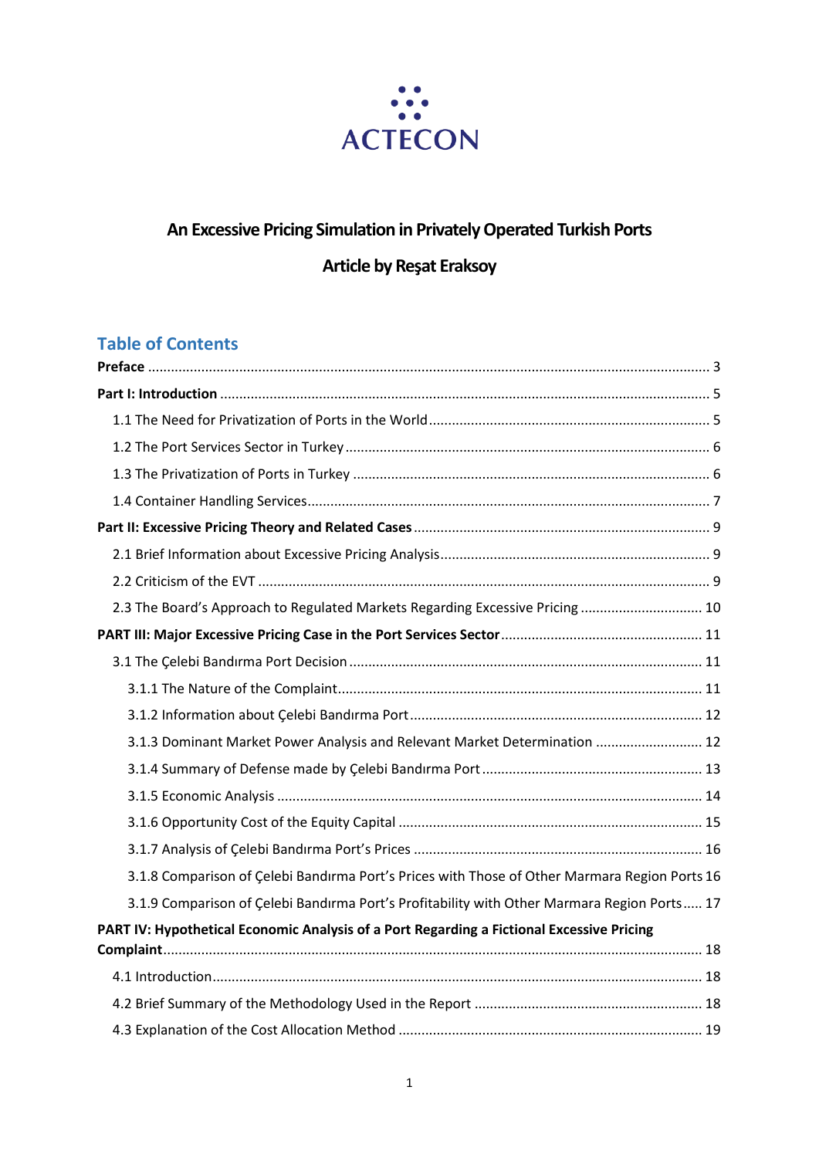

# **An Excessive Pricing Simulation in Privately Operated Turkish Ports**

## **Article by Reşat Eraksoy**

## **Table of Contents**

| 2.3 The Board's Approach to Regulated Markets Regarding Excessive Pricing  10                 |
|-----------------------------------------------------------------------------------------------|
|                                                                                               |
|                                                                                               |
|                                                                                               |
|                                                                                               |
| 3.1.3 Dominant Market Power Analysis and Relevant Market Determination  12                    |
|                                                                                               |
|                                                                                               |
|                                                                                               |
|                                                                                               |
| 3.1.8 Comparison of Çelebi Bandırma Port's Prices with Those of Other Marmara Region Ports 16 |
| 3.1.9 Comparison of Çelebi Bandırma Port's Profitability with Other Marmara Region Ports 17   |
| PART IV: Hypothetical Economic Analysis of a Port Regarding a Fictional Excessive Pricing     |
|                                                                                               |
|                                                                                               |
|                                                                                               |
|                                                                                               |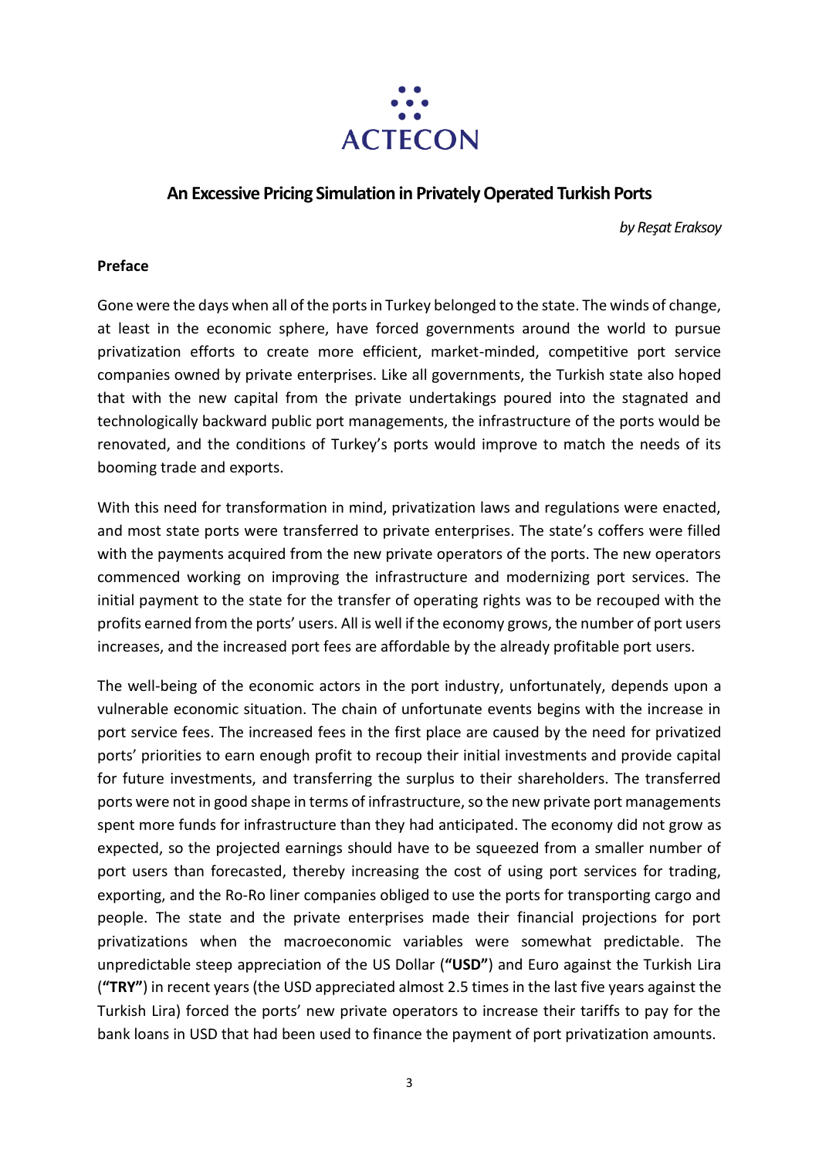

### **An Excessive Pricing Simulation in Privately Operated Turkish Ports**

*by Reşat Eraksoy*

#### <span id="page-2-0"></span>**Preface**

Gone were the days when all of the ports in Turkey belonged to the state. The winds of change, at least in the economic sphere, have forced governments around the world to pursue privatization efforts to create more efficient, market-minded, competitive port service companies owned by private enterprises. Like all governments, the Turkish state also hoped that with the new capital from the private undertakings poured into the stagnated and technologically backward public port managements, the infrastructure of the ports would be renovated, and the conditions of Turkey's ports would improve to match the needs of its booming trade and exports.

With this need for transformation in mind, privatization laws and regulations were enacted, and most state ports were transferred to private enterprises. The state's coffers were filled with the payments acquired from the new private operators of the ports. The new operators commenced working on improving the infrastructure and modernizing port services. The initial payment to the state for the transfer of operating rights was to be recouped with the profits earned from the ports' users. All is well if the economy grows, the number of port users increases, and the increased port fees are affordable by the already profitable port users.

The well-being of the economic actors in the port industry, unfortunately, depends upon a vulnerable economic situation. The chain of unfortunate events begins with the increase in port service fees. The increased fees in the first place are caused by the need for privatized ports' priorities to earn enough profit to recoup their initial investments and provide capital for future investments, and transferring the surplus to their shareholders. The transferred ports were not in good shape in terms of infrastructure, so the new private port managements spent more funds for infrastructure than they had anticipated. The economy did not grow as expected, so the projected earnings should have to be squeezed from a smaller number of port users than forecasted, thereby increasing the cost of using port services for trading, exporting, and the Ro-Ro liner companies obliged to use the ports for transporting cargo and people. The state and the private enterprises made their financial projections for port privatizations when the macroeconomic variables were somewhat predictable. The unpredictable steep appreciation of the US Dollar (**"USD"**) and Euro against the Turkish Lira (**"TRY"**) in recent years (the USD appreciated almost 2.5 times in the last five years against the Turkish Lira) forced the ports' new private operators to increase their tariffs to pay for the bank loans in USD that had been used to finance the payment of port privatization amounts.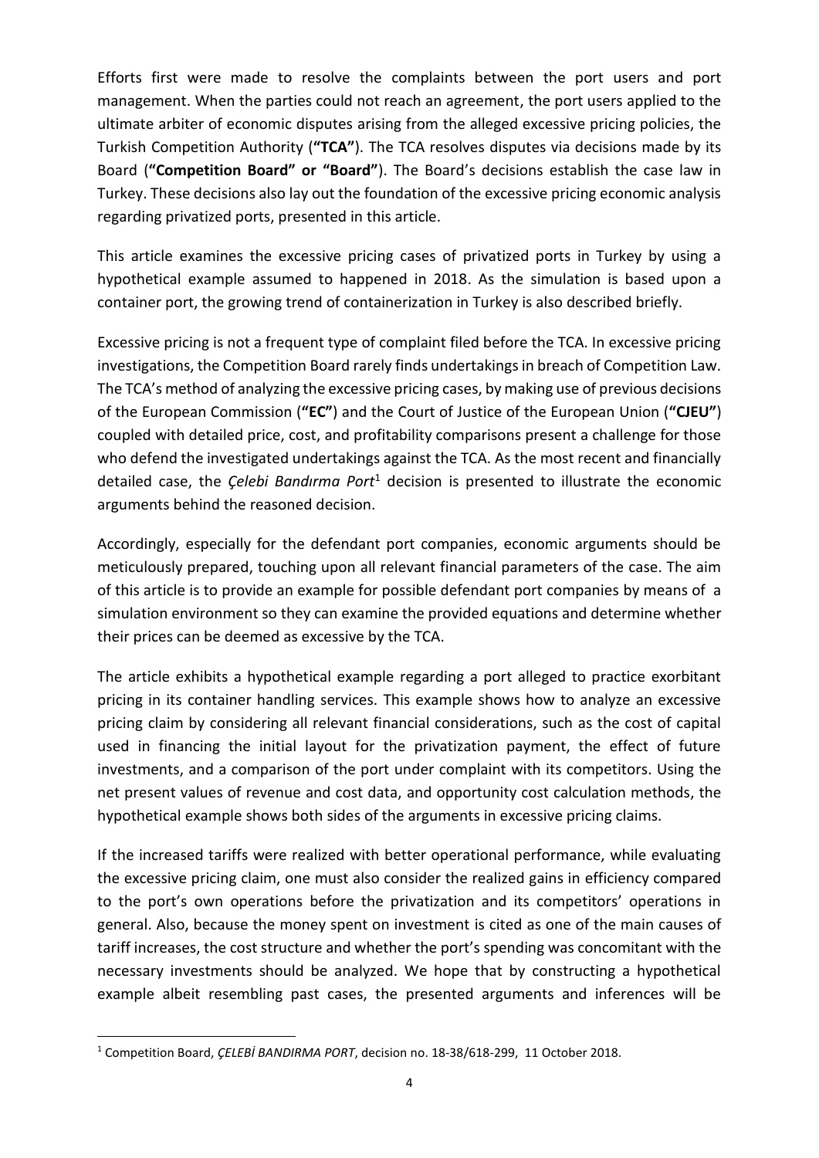Efforts first were made to resolve the complaints between the port users and port management. When the parties could not reach an agreement, the port users applied to the ultimate arbiter of economic disputes arising from the alleged excessive pricing policies, the Turkish Competition Authority (**"TCA"**). The TCA resolves disputes via decisions made by its Board (**"Competition Board" or "Board"**). The Board's decisions establish the case law in Turkey. These decisions also lay out the foundation of the excessive pricing economic analysis regarding privatized ports, presented in this article.

This article examines the excessive pricing cases of privatized ports in Turkey by using a hypothetical example assumed to happened in 2018. As the simulation is based upon a container port, the growing trend of containerization in Turkey is also described briefly.

Excessive pricing is not a frequent type of complaint filed before the TCA. In excessive pricing investigations, the Competition Board rarely finds undertakings in breach of Competition Law. The TCA's method of analyzing the excessive pricing cases, by making use of previous decisions of the European Commission (**"EC"**) and the Court of Justice of the European Union (**"CJEU"**) coupled with detailed price, cost, and profitability comparisons present a challenge for those who defend the investigated undertakings against the TCA. As the most recent and financially detailed case, the *Çelebi Bandırma Port*<sup>1</sup> decision is presented to illustrate the economic arguments behind the reasoned decision.

Accordingly, especially for the defendant port companies, economic arguments should be meticulously prepared, touching upon all relevant financial parameters of the case. The aim of this article is to provide an example for possible defendant port companies by means of a simulation environment so they can examine the provided equations and determine whether their prices can be deemed as excessive by the TCA.

The article exhibits a hypothetical example regarding a port alleged to practice exorbitant pricing in its container handling services. This example shows how to analyze an excessive pricing claim by considering all relevant financial considerations, such as the cost of capital used in financing the initial layout for the privatization payment, the effect of future investments, and a comparison of the port under complaint with its competitors. Using the net present values of revenue and cost data, and opportunity cost calculation methods, the hypothetical example shows both sides of the arguments in excessive pricing claims.

If the increased tariffs were realized with better operational performance, while evaluating the excessive pricing claim, one must also consider the realized gains in efficiency compared to the port's own operations before the privatization and its competitors' operations in general. Also, because the money spent on investment is cited as one of the main causes of tariff increases, the cost structure and whether the port's spending was concomitant with the necessary investments should be analyzed. We hope that by constructing a hypothetical example albeit resembling past cases, the presented arguments and inferences will be

<sup>1</sup> Competition Board, *ÇELEBİ BANDIRMA PORT*, decision no. 18-38/618-299, 11 October 2018.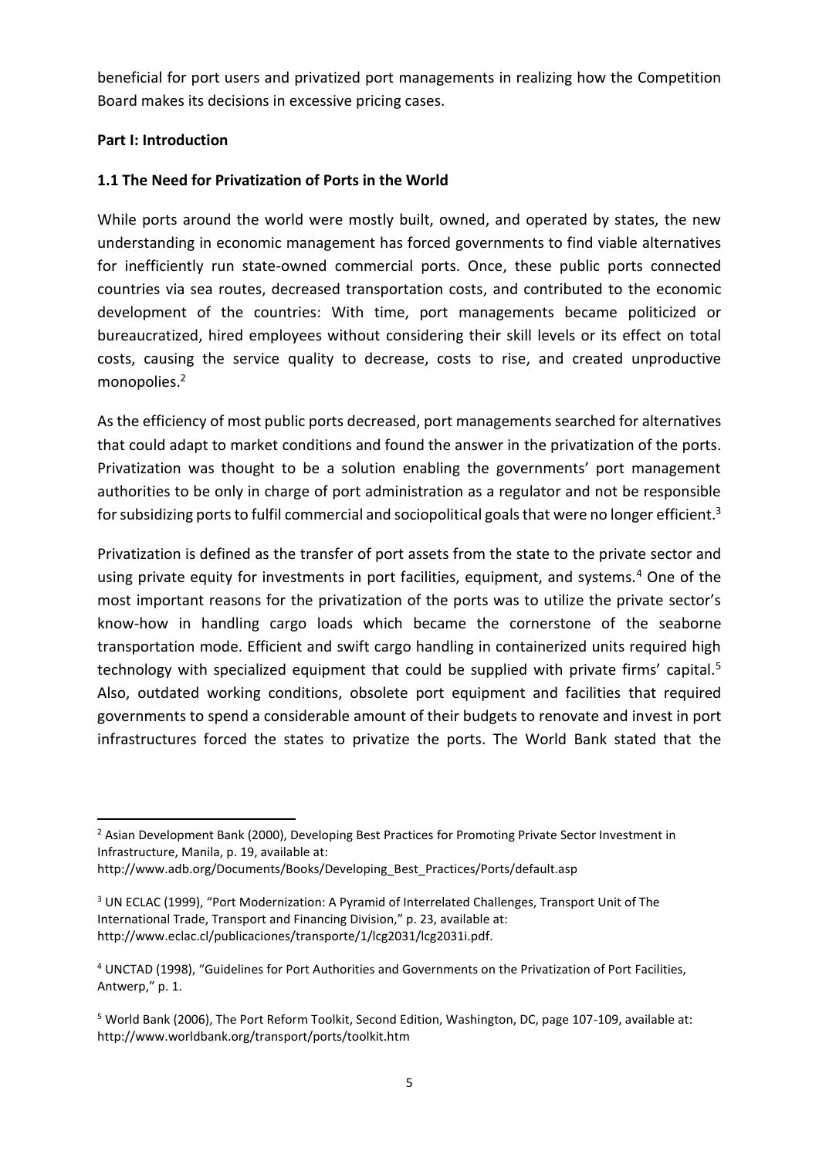beneficial for port users and privatized port managements in realizing how the Competition Board makes its decisions in excessive pricing cases.

### <span id="page-4-0"></span>**Part I: Introduction**

### <span id="page-4-1"></span>**1.1 The Need for Privatization of Ports in the World**

While ports around the world were mostly built, owned, and operated by states, the new understanding in economic management has forced governments to find viable alternatives for inefficiently run state-owned commercial ports. Once, these public ports connected countries via sea routes, decreased transportation costs, and contributed to the economic development of the countries: With time, port managements became politicized or bureaucratized, hired employees without considering their skill levels or its effect on total costs, causing the service quality to decrease, costs to rise, and created unproductive monopolies.<sup>2</sup>

As the efficiency of most public ports decreased, port managements searched for alternatives that could adapt to market conditions and found the answer in the privatization of the ports. Privatization was thought to be a solution enabling the governments' port management authorities to be only in charge of port administration as a regulator and not be responsible for subsidizing ports to fulfil commercial and sociopolitical goals that were no longer efficient.<sup>3</sup>

Privatization is defined as the transfer of port assets from the state to the private sector and using private equity for investments in port facilities, equipment, and systems.<sup>4</sup> One of the most important reasons for the privatization of the ports was to utilize the private sector's know-how in handling cargo loads which became the cornerstone of the seaborne transportation mode. Efficient and swift cargo handling in containerized units required high technology with specialized equipment that could be supplied with private firms' capital.<sup>5</sup> Also, outdated working conditions, obsolete port equipment and facilities that required governments to spend a considerable amount of their budgets to renovate and invest in port infrastructures forced the states to privatize the ports. The World Bank stated that the

 $<sup>2</sup>$  Asian Development Bank (2000), Developing Best Practices for Promoting Private Sector Investment in</sup> Infrastructure, Manila, p. 19, available at:

http://www.adb.org/Documents/Books/Developing\_Best\_Practices/Ports/default.asp

<sup>&</sup>lt;sup>3</sup> UN ECLAC (1999), "Port Modernization: A Pyramid of Interrelated Challenges, Transport Unit of The International Trade, Transport and Financing Division," p. 23, available at: [http://www.eclac.cl/publicaciones/transporte/1/lcg2031/lcg2031i.pdf.](http://www.eclac.cl/publicaciones/transporte/1/lcg2031/lcg2031i.pdf)

<sup>4</sup> UNCTAD (1998), "Guidelines for Port Authorities and Governments on the Privatization of Port Facilities, Antwerp," p. 1.

<sup>5</sup> World Bank (2006), The Port Reform Toolkit, Second Edition, Washington, DC, page 107-109, available at: <http://www.worldbank.org/transport/ports/toolkit.htm>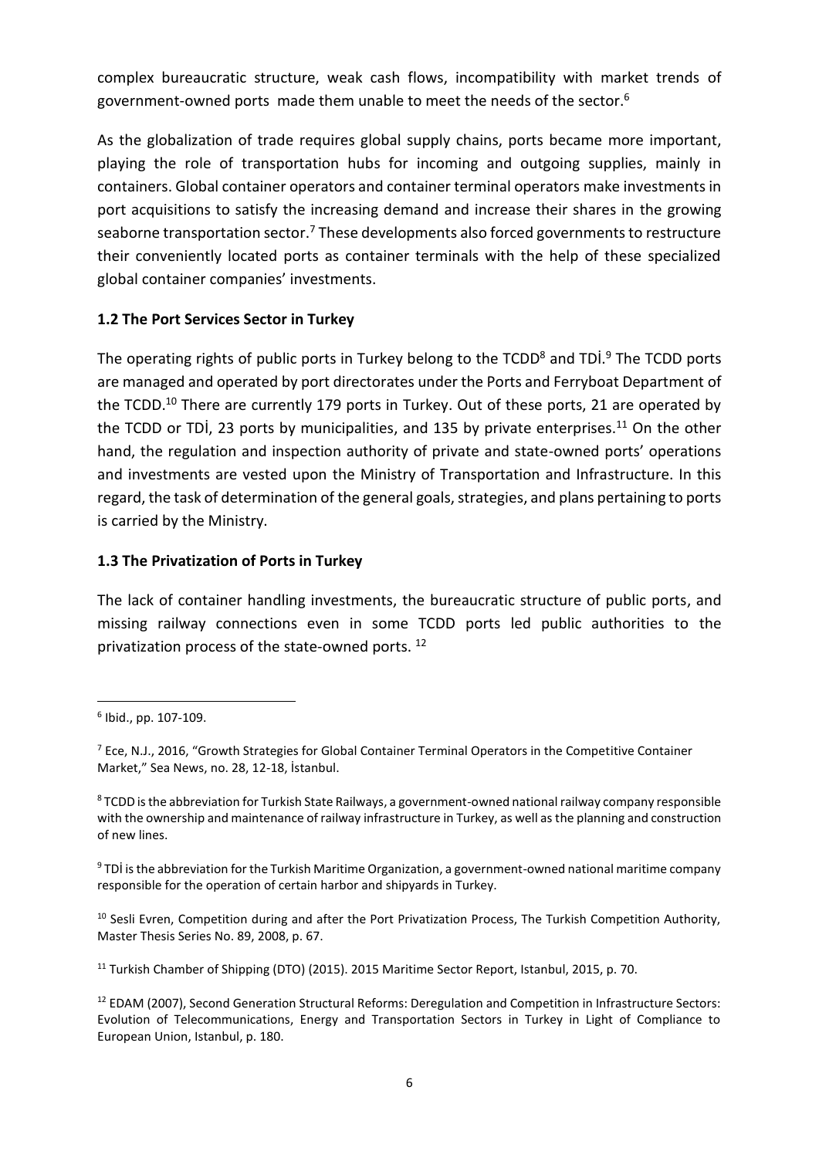complex bureaucratic structure, weak cash flows, incompatibility with market trends of government-owned ports made them unable to meet the needs of the sector.<sup>6</sup>

As the globalization of trade requires global supply chains, ports became more important, playing the role of transportation hubs for incoming and outgoing supplies, mainly in containers. Global container operators and container terminal operators make investments in port acquisitions to satisfy the increasing demand and increase their shares in the growing seaborne transportation sector.<sup>7</sup> These developments also forced governments to restructure their conveniently located ports as container terminals with the help of these specialized global container companies' investments.

### <span id="page-5-0"></span>**1.2 The Port Services Sector in Turkey**

The operating rights of public ports in Turkey belong to the TCDD<sup>8</sup> and TDİ.<sup>9</sup> The TCDD ports are managed and operated by port directorates under the Ports and Ferryboat Department of the TCDD.<sup>10</sup> There are currently 179 ports in Turkey. Out of these ports, 21 are operated by the TCDD or TDI, 23 ports by municipalities, and 135 by private enterprises.<sup>11</sup> On the other hand, the regulation and inspection authority of private and state-owned ports' operations and investments are vested upon the Ministry of Transportation and Infrastructure. In this regard, the task of determination of the general goals, strategies, and plans pertaining to ports is carried by the Ministry.

### <span id="page-5-1"></span>**1.3 The Privatization of Ports in Turkey**

The lack of container handling investments, the bureaucratic structure of public ports, and missing railway connections even in some TCDD ports led public authorities to the privatization process of the state-owned ports. <sup>12</sup>

<sup>9</sup> TDİ is the abbreviation for the Turkish Maritime Organization, a government-owned national maritime company responsible for the operation of certain harbor and shipyards in Turkey.

<sup>10</sup> Sesli Evren, Competition during and after the Port Privatization Process, The Turkish Competition Authority, Master Thesis Series No. 89, 2008, p. 67.

<sup>11</sup> Turkish Chamber of Shipping (DTO) (2015). 2015 Maritime Sector Report, Istanbul, 2015, p. 70.

<sup>12</sup> EDAM (2007), Second Generation Structural Reforms: Deregulation and Competition in Infrastructure Sectors: Evolution of Telecommunications, Energy and Transportation Sectors in Turkey in Light of Compliance to European Union, Istanbul, p. 180.

<sup>6</sup> Ibid., pp. 107-109.

 $<sup>7</sup>$  Ece, N.J., 2016, "Growth Strategies for Global Container Terminal Operators in the Competitive Container</sup> Market," Sea News, no. 28, 12-18, İstanbul.

<sup>8</sup> TCDD is the abbreviation for Turkish State Railways, a government-owned national railway company responsible with the ownership and maintenance of railway infrastructure in Turkey, as well as the planning and construction of new lines.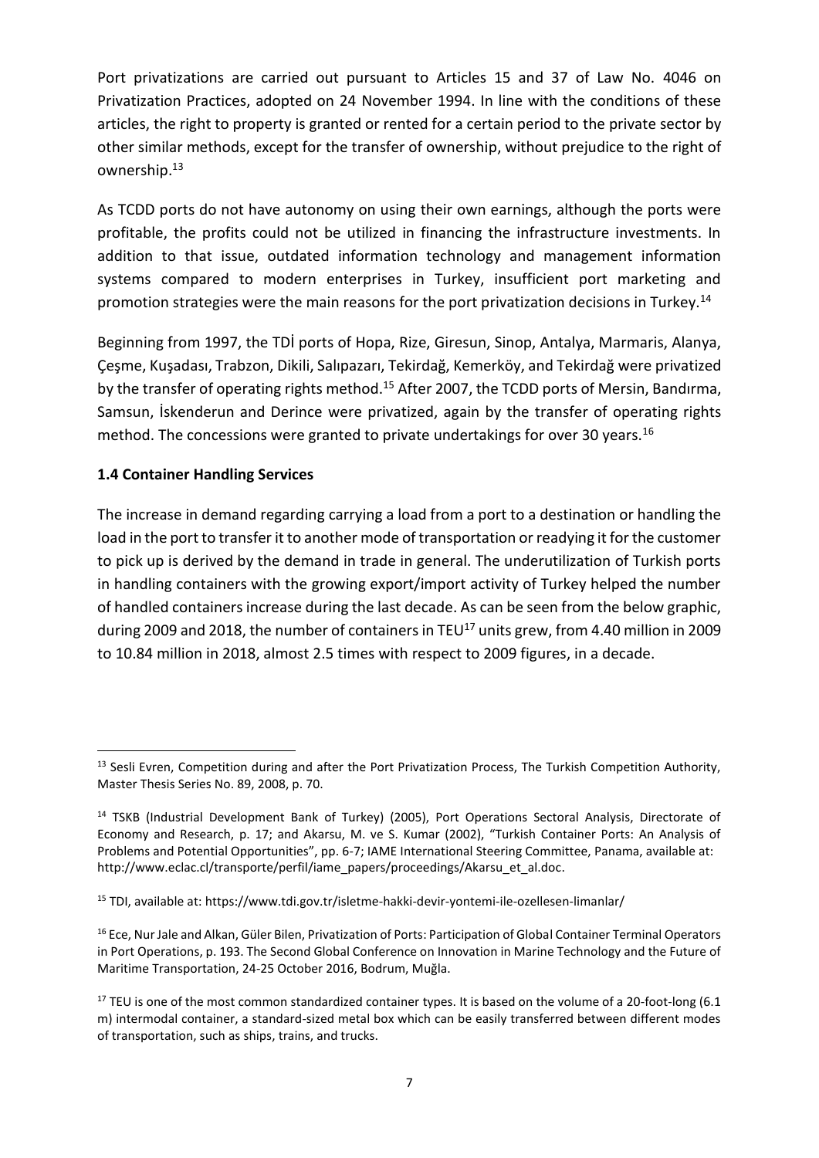Port privatizations are carried out pursuant to Articles 15 and 37 of Law No. 4046 on Privatization Practices, adopted on 24 November 1994. In line with the conditions of these articles, the right to property is granted or rented for a certain period to the private sector by other similar methods, except for the transfer of ownership, without prejudice to the right of ownership.<sup>13</sup>

As TCDD ports do not have autonomy on using their own earnings, although the ports were profitable, the profits could not be utilized in financing the infrastructure investments. In addition to that issue, outdated information technology and management information systems compared to modern enterprises in Turkey, insufficient port marketing and promotion strategies were the main reasons for the port privatization decisions in Turkey.<sup>14</sup>

Beginning from 1997, the TDİ ports of Hopa, Rize, Giresun, Sinop, Antalya, Marmaris, Alanya, Çeşme, Kuşadası, Trabzon, Dikili, Salıpazarı, Tekirdağ, Kemerköy, and Tekirdağ were privatized by the transfer of operating rights method.<sup>15</sup> After 2007, the TCDD ports of Mersin, Bandırma, Samsun, İskenderun and Derince were privatized, again by the transfer of operating rights method. The concessions were granted to private undertakings for over 30 years.<sup>16</sup>

### <span id="page-6-0"></span>**1.4 Container Handling Services**

The increase in demand regarding carrying a load from a port to a destination or handling the load in the port to transfer it to another mode of transportation or readying it for the customer to pick up is derived by the demand in trade in general. The underutilization of Turkish ports in handling containers with the growing export/import activity of Turkey helped the number of handled containers increase during the last decade. As can be seen from the below graphic, during 2009 and 2018, the number of containers in TEU $^{17}$  units grew, from 4.40 million in 2009 to 10.84 million in 2018, almost 2.5 times with respect to 2009 figures, in a decade.

<sup>&</sup>lt;sup>13</sup> Sesli Evren, Competition during and after the Port Privatization Process, The Turkish Competition Authority, Master Thesis Series No. 89, 2008, p. 70.

<sup>&</sup>lt;sup>14</sup> TSKB (Industrial Development Bank of Turkey) (2005), Port Operations Sectoral Analysis, Directorate of Economy and Research, p. 17; and Akarsu, M. ve S. Kumar (2002), "Turkish Container Ports: An Analysis of Problems and Potential Opportunities", pp. 6-7; IAME International Steering Committee, Panama, available at: [http://www.eclac.cl/transporte/perfil/iame\\_papers/proceedings/Akarsu\\_et\\_al.doc.](http://www.eclac.cl/transporte/perfil/iame_papers/proceedings/Akarsu_et_al.doc)

<sup>15</sup> TDI, available at:<https://www.tdi.gov.tr/isletme-hakki-devir-yontemi-ile-ozellesen-limanlar/>

<sup>&</sup>lt;sup>16</sup> Ece, Nur Jale and Alkan, Güler Bilen, Privatization of Ports: Participation of Global Container Terminal Operators in Port Operations, p. 193. The Second Global Conference on Innovation in Marine Technology and the Future of Maritime Transportation, 24-25 October 2016, Bodrum, Muğla.

<sup>&</sup>lt;sup>17</sup> TEU is one of the most common standardized container types. It is based on the volume of a 20-foot-long (6.1 m) intermodal container, a standard-sized metal box which can be easily transferred between different modes of transportation, such as ships, trains, and trucks.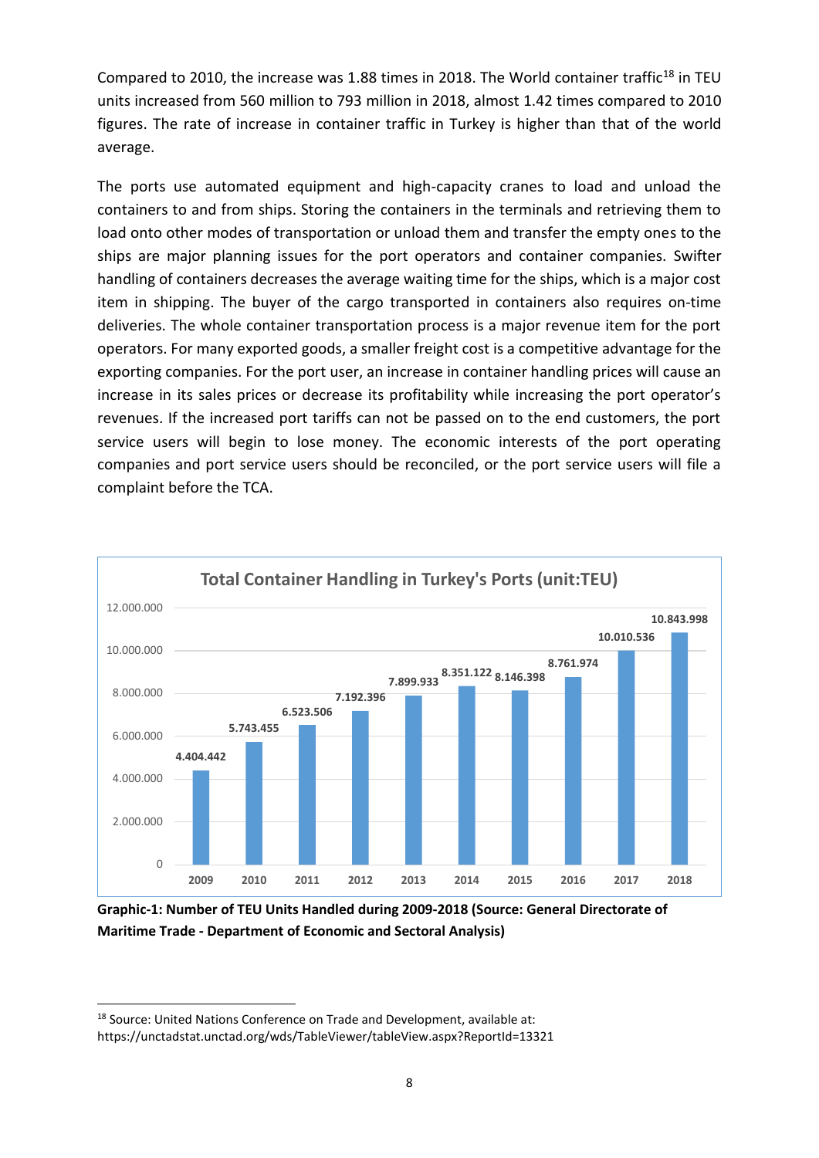Compared to 2010, the increase was 1.88 times in 2018. The World container traffic<sup>18</sup> in TEU units increased from 560 million to 793 million in 2018, almost 1.42 times compared to 2010 figures. The rate of increase in container traffic in Turkey is higher than that of the world average.

The ports use automated equipment and high-capacity cranes to load and unload the containers to and from ships. Storing the containers in the terminals and retrieving them to load onto other modes of transportation or unload them and transfer the empty ones to the ships are major planning issues for the port operators and container companies. Swifter handling of containers decreases the average waiting time for the ships, which is a major cost item in shipping. The buyer of the cargo transported in containers also requires on-time deliveries. The whole container transportation process is a major revenue item for the port operators. For many exported goods, a smaller freight cost is a competitive advantage for the exporting companies. For the port user, an increase in container handling prices will cause an increase in its sales prices or decrease its profitability while increasing the port operator's revenues. If the increased port tariffs can not be passed on to the end customers, the port service users will begin to lose money. The economic interests of the port operating companies and port service users should be reconciled, or the port service users will file a complaint before the TCA.



**Graphic-1: Number of TEU Units Handled during 2009-2018 (Source: General Directorate of Maritime Trade - Department of Economic and Sectoral Analysis)**

<sup>&</sup>lt;sup>18</sup> Source: United Nations Conference on Trade and Development, available at: https://unctadstat.unctad.org/wds/TableViewer/tableView.aspx?ReportId=13321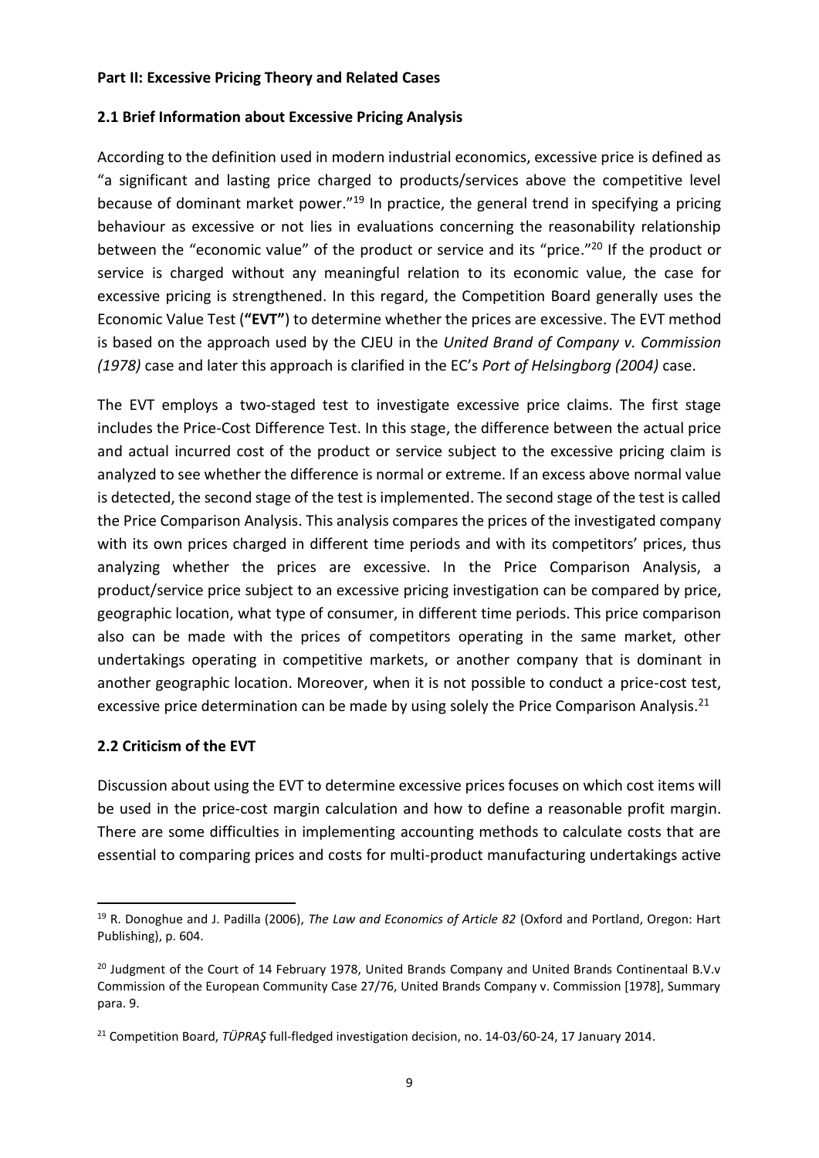#### <span id="page-8-0"></span>**Part II: Excessive Pricing Theory and Related Cases**

### <span id="page-8-1"></span>**2.1 Brief Information about Excessive Pricing Analysis**

According to the definition used in modern industrial economics, excessive price is defined as "a significant and lasting price charged to products/services above the competitive level because of dominant market power."<sup>19</sup> In practice, the general trend in specifying a pricing behaviour as excessive or not lies in evaluations concerning the reasonability relationship between the "economic value" of the product or service and its "price."<sup>20</sup> If the product or service is charged without any meaningful relation to its economic value, the case for excessive pricing is strengthened. In this regard, the Competition Board generally uses the Economic Value Test (**"EVT"**) to determine whether the prices are excessive. The EVT method is based on the approach used by the CJEU in the *United Brand of Company v. Commission (1978)* case and later this approach is clarified in the EC's *Port of Helsingborg (2004)* case.

The EVT employs a two-staged test to investigate excessive price claims. The first stage includes the Price-Cost Difference Test. In this stage, the difference between the actual price and actual incurred cost of the product or service subject to the excessive pricing claim is analyzed to see whether the difference is normal or extreme. If an excess above normal value is detected, the second stage of the test is implemented. The second stage of the test is called the Price Comparison Analysis. This analysis compares the prices of the investigated company with its own prices charged in different time periods and with its competitors' prices, thus analyzing whether the prices are excessive. In the Price Comparison Analysis, a product/service price subject to an excessive pricing investigation can be compared by price, geographic location, what type of consumer, in different time periods. This price comparison also can be made with the prices of competitors operating in the same market, other undertakings operating in competitive markets, or another company that is dominant in another geographic location. Moreover, when it is not possible to conduct a price-cost test, excessive price determination can be made by using solely the Price Comparison Analysis.<sup>21</sup>

### <span id="page-8-2"></span>**2.2 Criticism of the EVT**

Discussion about using the EVT to determine excessive prices focuses on which cost items will be used in the price-cost margin calculation and how to define a reasonable profit margin. There are some difficulties in implementing accounting methods to calculate costs that are essential to comparing prices and costs for multi-product manufacturing undertakings active

<sup>19</sup> R. Donoghue and J. Padilla (2006), *The Law and Economics of Article 82* (Oxford and Portland, Oregon: Hart Publishing), p. 604.

<sup>&</sup>lt;sup>20</sup> Judgment of the Court of 14 February 1978, United Brands Company and United Brands Continentaal B.V.v Commission of the European Community Case 27/76, United Brands Company v. Commission [1978], Summary para. 9.

<sup>21</sup> Competition Board, *TÜPRAŞ* full-fledged investigation decision, no. 14-03/60-24, 17 January 2014.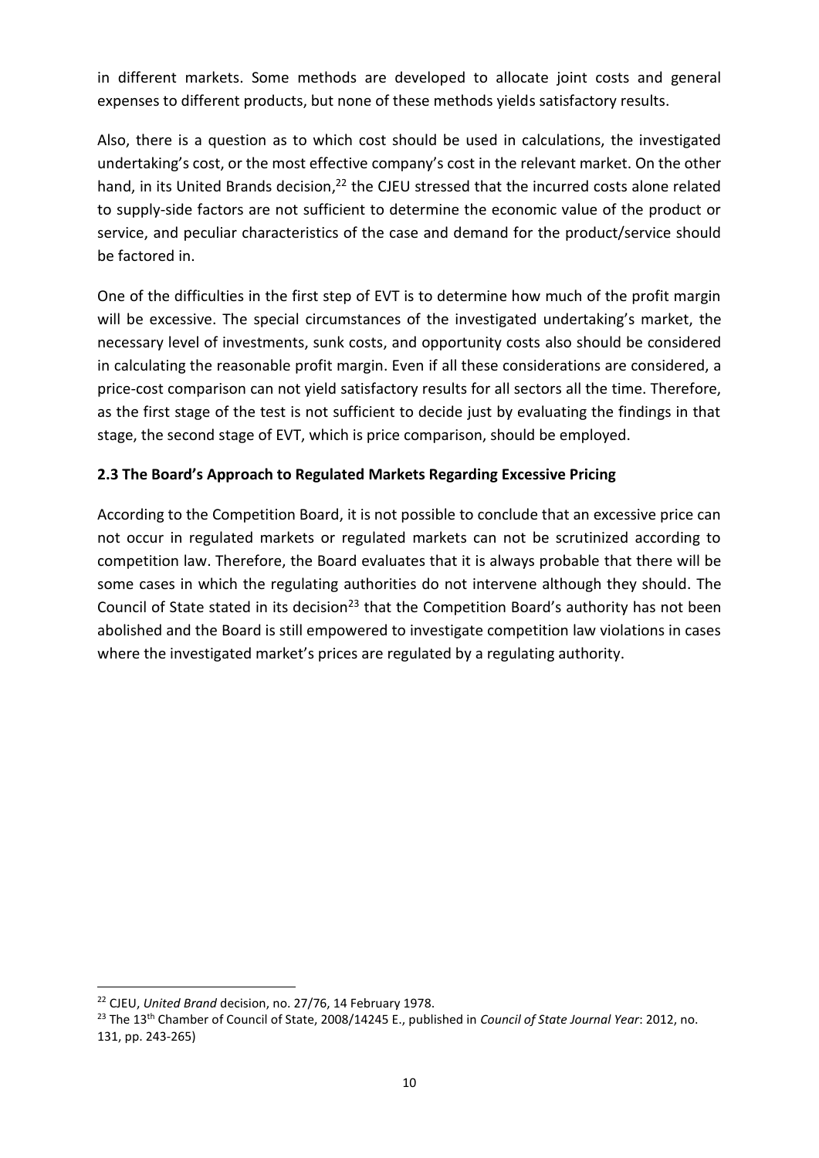in different markets. Some methods are developed to allocate joint costs and general expenses to different products, but none of these methods yields satisfactory results.

Also, there is a question as to which cost should be used in calculations, the investigated undertaking's cost, or the most effective company's cost in the relevant market. On the other hand, in its United Brands decision,<sup>22</sup> the CJEU stressed that the incurred costs alone related to supply-side factors are not sufficient to determine the economic value of the product or service, and peculiar characteristics of the case and demand for the product/service should be factored in.

One of the difficulties in the first step of EVT is to determine how much of the profit margin will be excessive. The special circumstances of the investigated undertaking's market, the necessary level of investments, sunk costs, and opportunity costs also should be considered in calculating the reasonable profit margin. Even if all these considerations are considered, a price-cost comparison can not yield satisfactory results for all sectors all the time. Therefore, as the first stage of the test is not sufficient to decide just by evaluating the findings in that stage, the second stage of EVT, which is price comparison, should be employed.

### <span id="page-9-0"></span>**2.3 The Board's Approach to Regulated Markets Regarding Excessive Pricing**

According to the Competition Board, it is not possible to conclude that an excessive price can not occur in regulated markets or regulated markets can not be scrutinized according to competition law. Therefore, the Board evaluates that it is always probable that there will be some cases in which the regulating authorities do not intervene although they should. The Council of State stated in its decision<sup>23</sup> that the Competition Board's authority has not been abolished and the Board is still empowered to investigate competition law violations in cases where the investigated market's prices are regulated by a regulating authority.

<sup>22</sup> CJEU, *United Brand* decision, no. 27/76, 14 February 1978.

<sup>23</sup> The 13th Chamber of Council of State, 2008/14245 E., published in *Council of State Journal Year*: 2012, no. 131, pp. 243-265)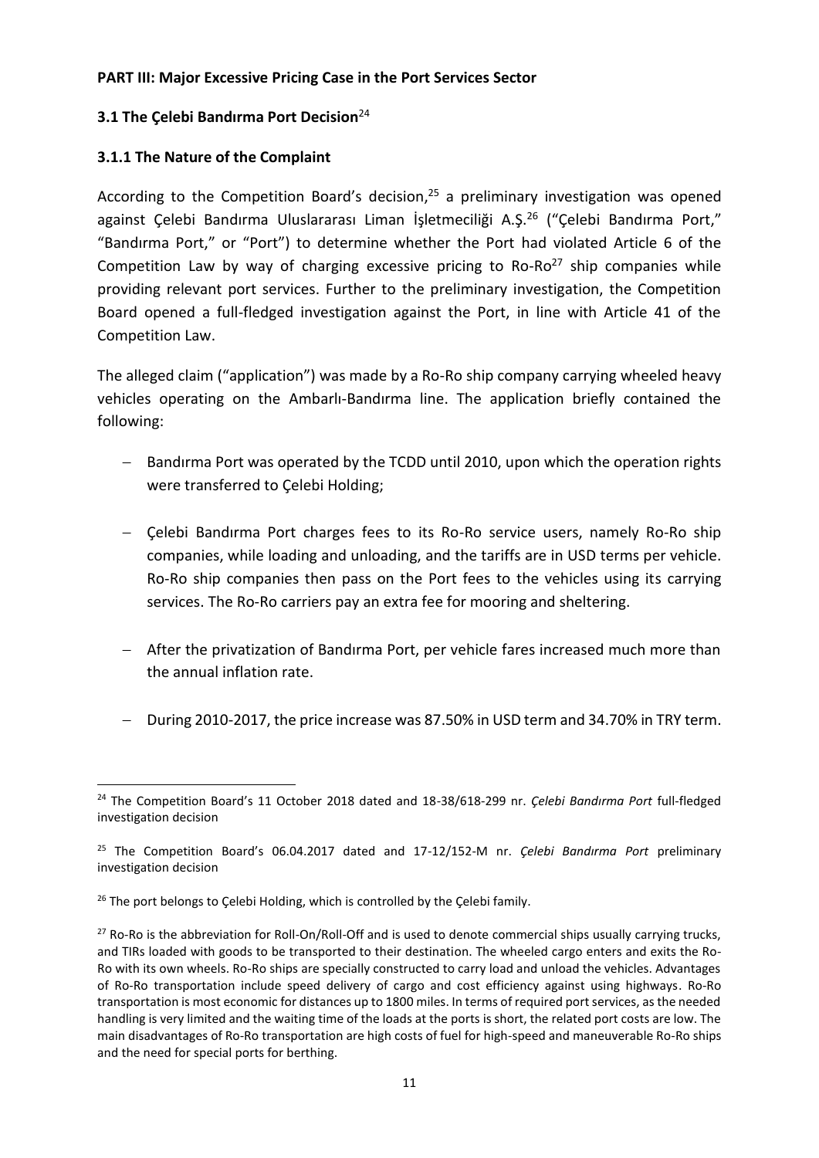#### <span id="page-10-0"></span>**PART III: Major Excessive Pricing Case in the Port Services Sector**

### <span id="page-10-1"></span>**3.1 The Çelebi Bandırma Port Decision**<sup>24</sup>

### <span id="page-10-2"></span>**3.1.1 The Nature of the Complaint**

According to the Competition Board's decision,<sup>25</sup> a preliminary investigation was opened against Çelebi Bandırma Uluslararası Liman İşletmeciliği A.Ş.<sup>26</sup> ("Çelebi Bandırma Port," "Bandırma Port," or "Port") to determine whether the Port had violated Article 6 of the Competition Law by way of charging excessive pricing to Ro-Ro<sup>27</sup> ship companies while providing relevant port services. Further to the preliminary investigation, the Competition Board opened a full-fledged investigation against the Port, in line with Article 41 of the Competition Law.

The alleged claim ("application") was made by a Ro-Ro ship company carrying wheeled heavy vehicles operating on the Ambarlı-Bandırma line. The application briefly contained the following:

- − Bandırma Port was operated by the TCDD until 2010, upon which the operation rights were transferred to Çelebi Holding;
- − Çelebi Bandırma Port charges fees to its Ro-Ro service users, namely Ro-Ro ship companies, while loading and unloading, and the tariffs are in USD terms per vehicle. Ro-Ro ship companies then pass on the Port fees to the vehicles using its carrying services. The Ro-Ro carriers pay an extra fee for mooring and sheltering.
- − After the privatization of Bandırma Port, per vehicle fares increased much more than the annual inflation rate.
- − During 2010-2017, the price increase was 87.50% in USD term and 34.70% in TRY term.

<sup>24</sup> The Competition Board's 11 October 2018 dated and 18-38/618-299 nr. *Çelebi Bandırma Port* full-fledged investigation decision

<sup>25</sup> The Competition Board's 06.04.2017 dated and 17-12/152-M nr. *Çelebi Bandırma Port* preliminary investigation decision

<sup>&</sup>lt;sup>26</sup> The port belongs to Çelebi Holding, which is controlled by the Çelebi family.

 $27$  Ro-Ro is the abbreviation for Roll-On/Roll-Off and is used to denote commercial ships usually carrying trucks, and TIRs loaded with goods to be transported to their destination. The wheeled cargo enters and exits the Ro-Ro with its own wheels. Ro-Ro ships are specially constructed to carry load and unload the vehicles. Advantages of Ro-Ro transportation include speed delivery of cargo and cost efficiency against using highways. Ro-Ro transportation is most economic for distances up to 1800 miles. In terms of required port services, as the needed handling is very limited and the waiting time of the loads at the ports is short, the related port costs are low. The main disadvantages of Ro-Ro transportation are high costs of fuel for high-speed and maneuverable Ro-Ro ships and the need for special ports for berthing.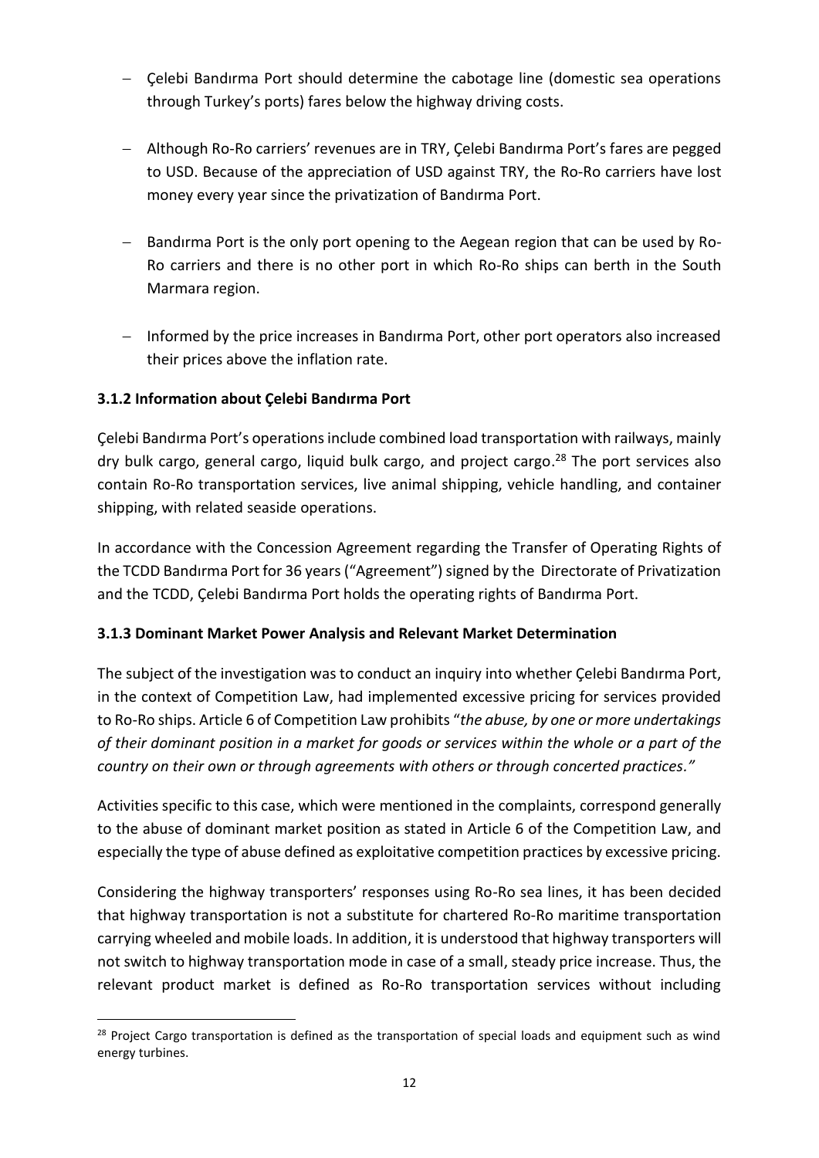- − Çelebi Bandırma Port should determine the cabotage line (domestic sea operations through Turkey's ports) fares below the highway driving costs.
- − Although Ro-Ro carriers' revenues are in TRY, Çelebi Bandırma Port's fares are pegged to USD. Because of the appreciation of USD against TRY, the Ro-Ro carriers have lost money every year since the privatization of Bandırma Port.
- − Bandırma Port is the only port opening to the Aegean region that can be used by Ro-Ro carriers and there is no other port in which Ro-Ro ships can berth in the South Marmara region.
- − Informed by the price increases in Bandırma Port, other port operators also increased their prices above the inflation rate.

### <span id="page-11-0"></span>**3.1.2 Information about Çelebi Bandırma Port**

Çelebi Bandırma Port's operations include combined load transportation with railways, mainly dry bulk cargo, general cargo, liquid bulk cargo, and project cargo.<sup>28</sup> The port services also contain Ro-Ro transportation services, live animal shipping, vehicle handling, and container shipping, with related seaside operations.

In accordance with the Concession Agreement regarding the Transfer of Operating Rights of the TCDD Bandırma Port for 36 years ("Agreement") signed by the Directorate of Privatization and the TCDD, Çelebi Bandırma Port holds the operating rights of Bandırma Port.

### <span id="page-11-1"></span>**3.1.3 Dominant Market Power Analysis and Relevant Market Determination**

The subject of the investigation was to conduct an inquiry into whether Çelebi Bandırma Port, in the context of Competition Law, had implemented excessive pricing for services provided to Ro-Ro ships. Article 6 of Competition Law prohibits "*the abuse, by one or more undertakings of their dominant position in a market for goods or services within the whole or a part of the country on their own or through agreements with others or through concerted practices."*

Activities specific to this case, which were mentioned in the complaints, correspond generally to the abuse of dominant market position as stated in Article 6 of the Competition Law, and especially the type of abuse defined as exploitative competition practices by excessive pricing.

Considering the highway transporters' responses using Ro-Ro sea lines, it has been decided that highway transportation is not a substitute for chartered Ro-Ro maritime transportation carrying wheeled and mobile loads. In addition, it is understood that highway transporters will not switch to highway transportation mode in case of a small, steady price increase. Thus, the relevant product market is defined as Ro-Ro transportation services without including

 $28$  Project Cargo transportation is defined as the transportation of special loads and equipment such as wind energy turbines.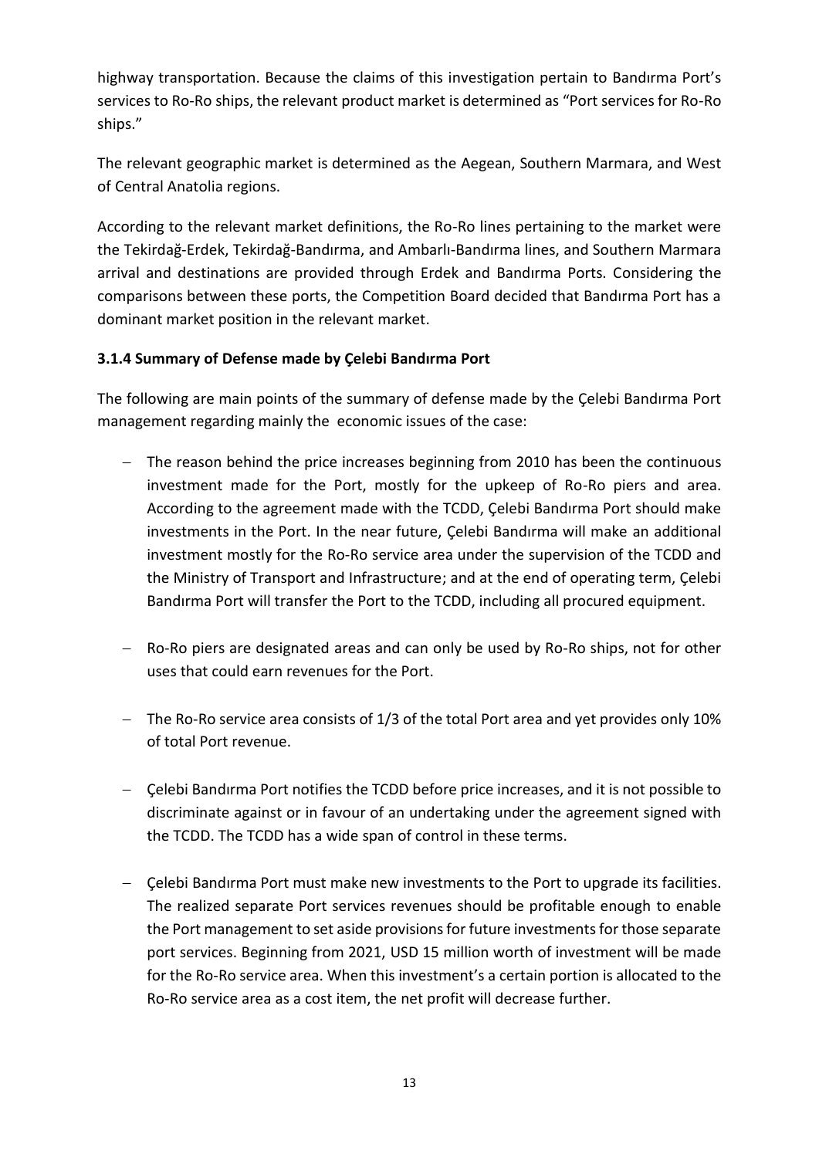highway transportation. Because the claims of this investigation pertain to Bandırma Port's services to Ro-Ro ships, the relevant product market is determined as "Port services for Ro-Ro ships."

The relevant geographic market is determined as the Aegean, Southern Marmara, and West of Central Anatolia regions.

According to the relevant market definitions, the Ro-Ro lines pertaining to the market were the Tekirdağ-Erdek, Tekirdağ-Bandırma, and Ambarlı-Bandırma lines, and Southern Marmara arrival and destinations are provided through Erdek and Bandırma Ports. Considering the comparisons between these ports, the Competition Board decided that Bandırma Port has a dominant market position in the relevant market.

### <span id="page-12-0"></span>**3.1.4 Summary of Defense made by Çelebi Bandırma Port**

The following are main points of the summary of defense made by the Çelebi Bandırma Port management regarding mainly the economic issues of the case:

- − The reason behind the price increases beginning from 2010 has been the continuous investment made for the Port, mostly for the upkeep of Ro-Ro piers and area. According to the agreement made with the TCDD, Çelebi Bandırma Port should make investments in the Port. In the near future, Çelebi Bandırma will make an additional investment mostly for the Ro-Ro service area under the supervision of the TCDD and the Ministry of Transport and Infrastructure; and at the end of operating term, Çelebi Bandırma Port will transfer the Port to the TCDD, including all procured equipment.
- − Ro-Ro piers are designated areas and can only be used by Ro-Ro ships, not for other uses that could earn revenues for the Port.
- − The Ro-Ro service area consists of 1/3 of the total Port area and yet provides only 10% of total Port revenue.
- − Çelebi Bandırma Port notifies the TCDD before price increases, and it is not possible to discriminate against or in favour of an undertaking under the agreement signed with the TCDD. The TCDD has a wide span of control in these terms.
- − Çelebi Bandırma Port must make new investments to the Port to upgrade its facilities. The realized separate Port services revenues should be profitable enough to enable the Port management to set aside provisions for future investments for those separate port services. Beginning from 2021, USD 15 million worth of investment will be made for the Ro-Ro service area. When this investment's a certain portion is allocated to the Ro-Ro service area as a cost item, the net profit will decrease further.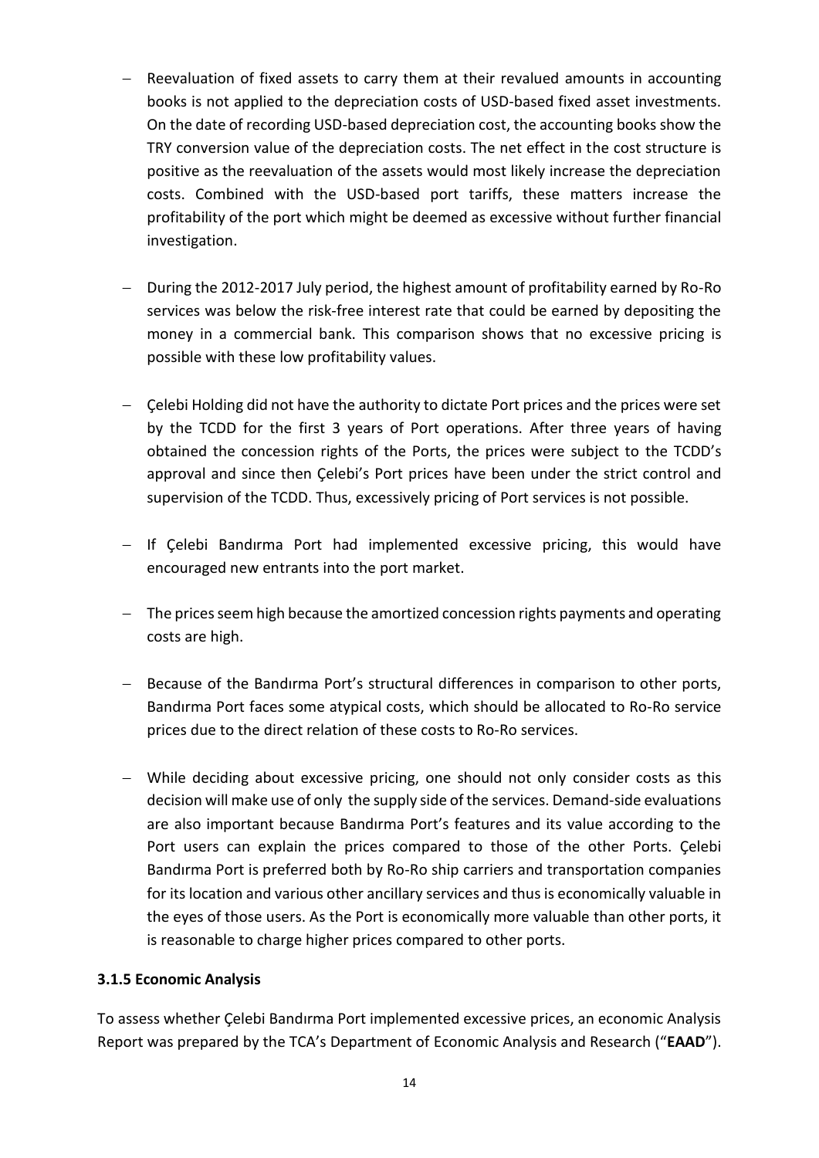- − Reevaluation of fixed assets to carry them at their revalued amounts in accounting books is not applied to the depreciation costs of USD-based fixed asset investments. On the date of recording USD-based depreciation cost, the accounting books show the TRY conversion value of the depreciation costs. The net effect in the cost structure is positive as the reevaluation of the assets would most likely increase the depreciation costs. Combined with the USD-based port tariffs, these matters increase the profitability of the port which might be deemed as excessive without further financial investigation.
- − During the 2012-2017 July period, the highest amount of profitability earned by Ro-Ro services was below the risk-free interest rate that could be earned by depositing the money in a commercial bank. This comparison shows that no excessive pricing is possible with these low profitability values.
- − Çelebi Holding did not have the authority to dictate Port prices and the prices were set by the TCDD for the first 3 years of Port operations. After three years of having obtained the concession rights of the Ports, the prices were subject to the TCDD's approval and since then Çelebi's Port prices have been under the strict control and supervision of the TCDD. Thus, excessively pricing of Port services is not possible.
- − If Çelebi Bandırma Port had implemented excessive pricing, this would have encouraged new entrants into the port market.
- − The prices seem high because the amortized concession rights payments and operating costs are high.
- − Because of the Bandırma Port's structural differences in comparison to other ports, Bandırma Port faces some atypical costs, which should be allocated to Ro-Ro service prices due to the direct relation of these costs to Ro-Ro services.
- − While deciding about excessive pricing, one should not only consider costs as this decision will make use of only the supply side of the services. Demand-side evaluations are also important because Bandırma Port's features and its value according to the Port users can explain the prices compared to those of the other Ports. Çelebi Bandırma Port is preferred both by Ro-Ro ship carriers and transportation companies for its location and various other ancillary services and thus is economically valuable in the eyes of those users. As the Port is economically more valuable than other ports, it is reasonable to charge higher prices compared to other ports.

#### <span id="page-13-0"></span>**3.1.5 Economic Analysis**

To assess whether Çelebi Bandırma Port implemented excessive prices, an economic Analysis Report was prepared by the TCA's Department of Economic Analysis and Research ("**EAAD**").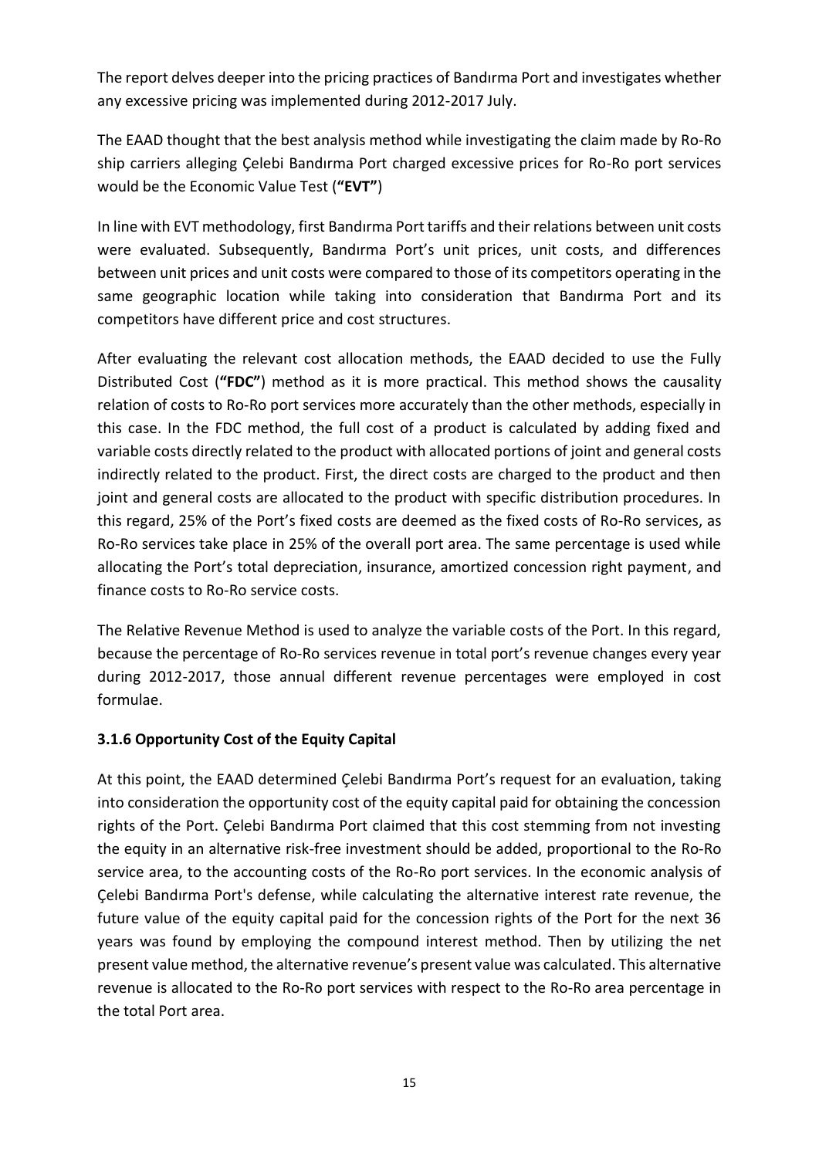The report delves deeper into the pricing practices of Bandırma Port and investigates whether any excessive pricing was implemented during 2012-2017 July.

The EAAD thought that the best analysis method while investigating the claim made by Ro-Ro ship carriers alleging Çelebi Bandırma Port charged excessive prices for Ro-Ro port services would be the Economic Value Test (**"EVT"**)

In line with EVT methodology, first Bandırma Port tariffs and their relations between unit costs were evaluated. Subsequently, Bandırma Port's unit prices, unit costs, and differences between unit prices and unit costs were compared to those of its competitors operating in the same geographic location while taking into consideration that Bandırma Port and its competitors have different price and cost structures.

After evaluating the relevant cost allocation methods, the EAAD decided to use the Fully Distributed Cost (**"FDC"**) method as it is more practical. This method shows the causality relation of costs to Ro-Ro port services more accurately than the other methods, especially in this case. In the FDC method, the full cost of a product is calculated by adding fixed and variable costs directly related to the product with allocated portions of joint and general costs indirectly related to the product. First, the direct costs are charged to the product and then joint and general costs are allocated to the product with specific distribution procedures. In this regard, 25% of the Port's fixed costs are deemed as the fixed costs of Ro-Ro services, as Ro-Ro services take place in 25% of the overall port area. The same percentage is used while allocating the Port's total depreciation, insurance, amortized concession right payment, and finance costs to Ro-Ro service costs.

The Relative Revenue Method is used to analyze the variable costs of the Port. In this regard, because the percentage of Ro-Ro services revenue in total port's revenue changes every year during 2012-2017, those annual different revenue percentages were employed in cost formulae.

### <span id="page-14-0"></span>**3.1.6 Opportunity Cost of the Equity Capital**

At this point, the EAAD determined Çelebi Bandırma Port's request for an evaluation, taking into consideration the opportunity cost of the equity capital paid for obtaining the concession rights of the Port. Çelebi Bandırma Port claimed that this cost stemming from not investing the equity in an alternative risk-free investment should be added, proportional to the Ro-Ro service area, to the accounting costs of the Ro-Ro port services. In the economic analysis of Çelebi Bandırma Port's defense, while calculating the alternative interest rate revenue, the future value of the equity capital paid for the concession rights of the Port for the next 36 years was found by employing the compound interest method. Then by utilizing the net present value method, the alternative revenue's present value was calculated. This alternative revenue is allocated to the Ro-Ro port services with respect to the Ro-Ro area percentage in the total Port area.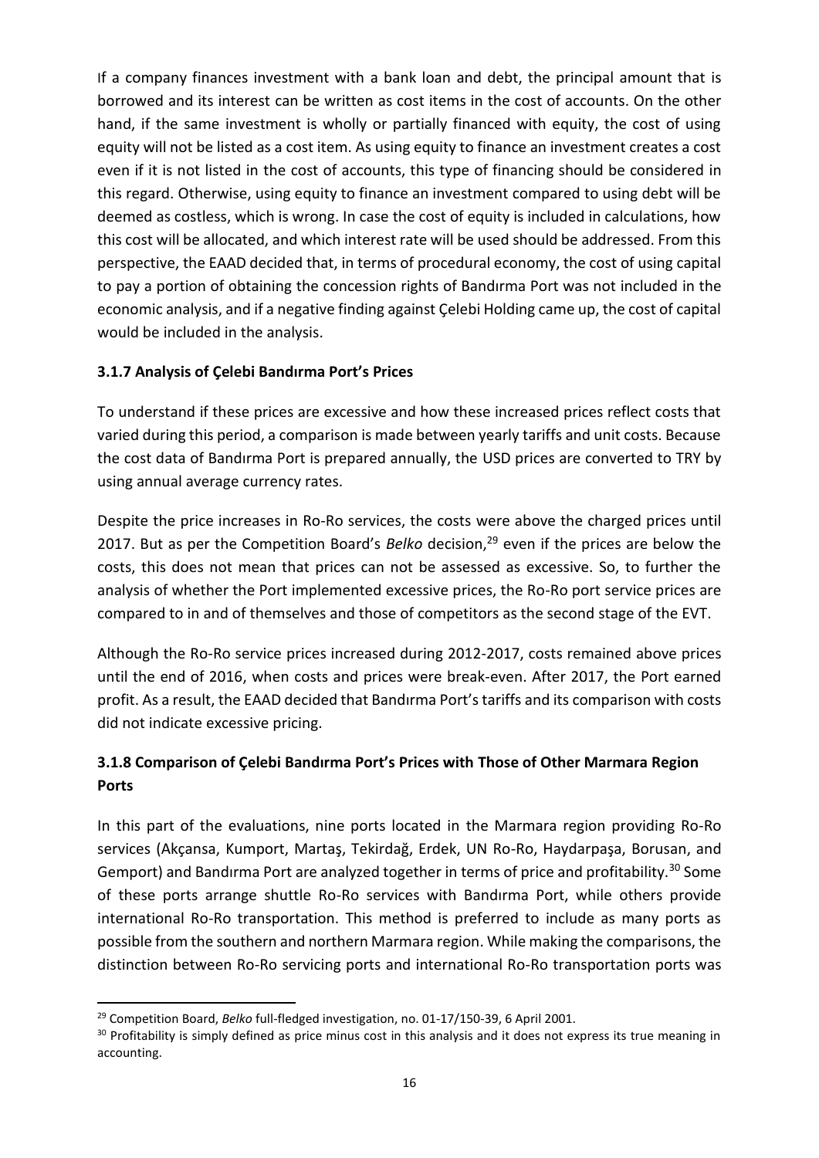If a company finances investment with a bank loan and debt, the principal amount that is borrowed and its interest can be written as cost items in the cost of accounts. On the other hand, if the same investment is wholly or partially financed with equity, the cost of using equity will not be listed as a cost item. As using equity to finance an investment creates a cost even if it is not listed in the cost of accounts, this type of financing should be considered in this regard. Otherwise, using equity to finance an investment compared to using debt will be deemed as costless, which is wrong. In case the cost of equity is included in calculations, how this cost will be allocated, and which interest rate will be used should be addressed. From this perspective, the EAAD decided that, in terms of procedural economy, the cost of using capital to pay a portion of obtaining the concession rights of Bandırma Port was not included in the economic analysis, and if a negative finding against Çelebi Holding came up, the cost of capital would be included in the analysis.

### <span id="page-15-0"></span>**3.1.7 Analysis of Çelebi Bandırma Port's Prices**

To understand if these prices are excessive and how these increased prices reflect costs that varied during this period, a comparison is made between yearly tariffs and unit costs. Because the cost data of Bandırma Port is prepared annually, the USD prices are converted to TRY by using annual average currency rates.

Despite the price increases in Ro-Ro services, the costs were above the charged prices until 2017. But as per the Competition Board's *Belko* decision, <sup>29</sup> even if the prices are below the costs, this does not mean that prices can not be assessed as excessive. So, to further the analysis of whether the Port implemented excessive prices, the Ro-Ro port service prices are compared to in and of themselves and those of competitors as the second stage of the EVT.

Although the Ro-Ro service prices increased during 2012-2017, costs remained above prices until the end of 2016, when costs and prices were break-even. After 2017, the Port earned profit. As a result, the EAAD decided that Bandırma Port's tariffs and its comparison with costs did not indicate excessive pricing.

### <span id="page-15-1"></span>**3.1.8 Comparison of Çelebi Bandırma Port's Prices with Those of Other Marmara Region Ports**

In this part of the evaluations, nine ports located in the Marmara region providing Ro-Ro services (Akçansa, Kumport, Martaş, Tekirdağ, Erdek, UN Ro-Ro, Haydarpaşa, Borusan, and Gemport) and Bandırma Port are analyzed together in terms of price and profitability.<sup>30</sup> Some of these ports arrange shuttle Ro-Ro services with Bandırma Port, while others provide international Ro-Ro transportation. This method is preferred to include as many ports as possible from the southern and northern Marmara region. While making the comparisons, the distinction between Ro-Ro servicing ports and international Ro-Ro transportation ports was

<sup>29</sup> Competition Board, *Belko* full-fledged investigation, no. 01-17/150-39, 6 April 2001.

<sup>&</sup>lt;sup>30</sup> Profitability is simply defined as price minus cost in this analysis and it does not express its true meaning in accounting.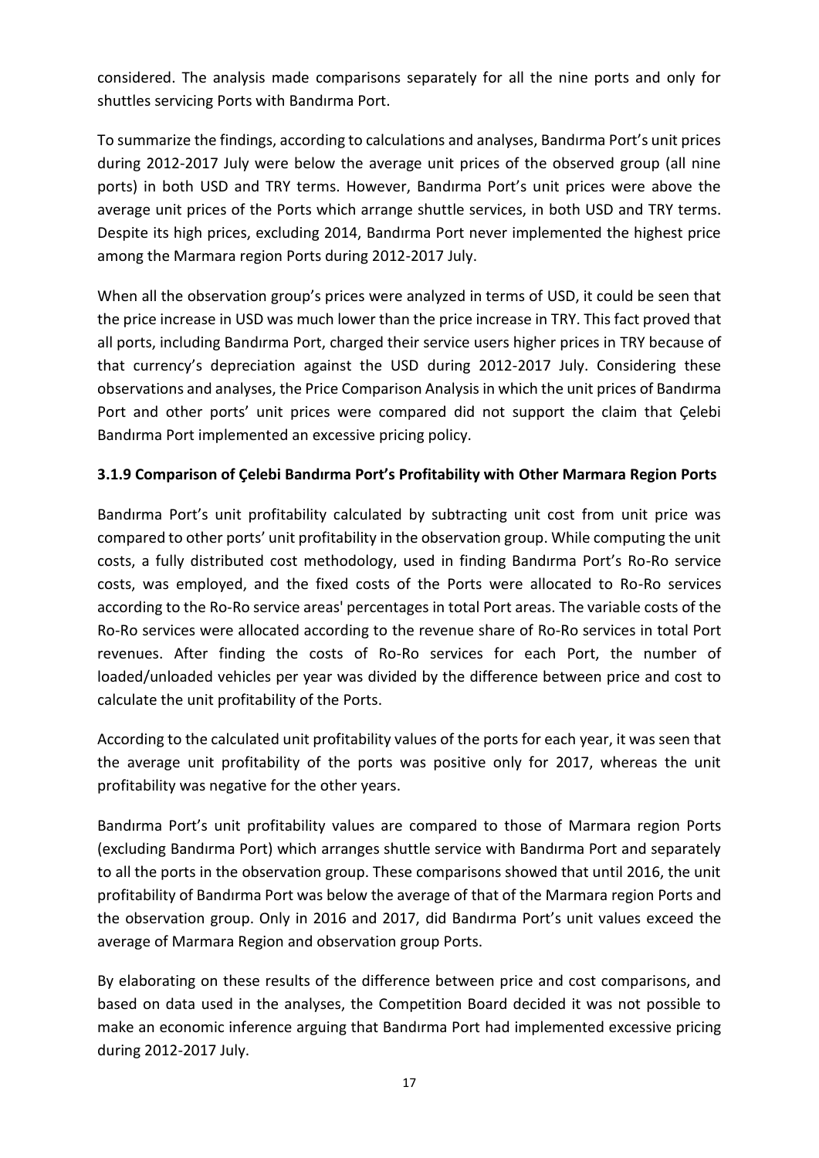considered. The analysis made comparisons separately for all the nine ports and only for shuttles servicing Ports with Bandırma Port.

To summarize the findings, according to calculations and analyses, Bandırma Port's unit prices during 2012-2017 July were below the average unit prices of the observed group (all nine ports) in both USD and TRY terms. However, Bandırma Port's unit prices were above the average unit prices of the Ports which arrange shuttle services, in both USD and TRY terms. Despite its high prices, excluding 2014, Bandırma Port never implemented the highest price among the Marmara region Ports during 2012-2017 July.

When all the observation group's prices were analyzed in terms of USD, it could be seen that the price increase in USD was much lower than the price increase in TRY. This fact proved that all ports, including Bandırma Port, charged their service users higher prices in TRY because of that currency's depreciation against the USD during 2012-2017 July. Considering these observations and analyses, the Price Comparison Analysis in which the unit prices of Bandırma Port and other ports' unit prices were compared did not support the claim that Çelebi Bandırma Port implemented an excessive pricing policy.

### <span id="page-16-0"></span>**3.1.9 Comparison of Çelebi Bandırma Port's Profitability with Other Marmara Region Ports**

Bandırma Port's unit profitability calculated by subtracting unit cost from unit price was compared to other ports' unit profitability in the observation group. While computing the unit costs, a fully distributed cost methodology, used in finding Bandırma Port's Ro-Ro service costs, was employed, and the fixed costs of the Ports were allocated to Ro-Ro services according to the Ro-Ro service areas' percentages in total Port areas. The variable costs of the Ro-Ro services were allocated according to the revenue share of Ro-Ro services in total Port revenues. After finding the costs of Ro-Ro services for each Port, the number of loaded/unloaded vehicles per year was divided by the difference between price and cost to calculate the unit profitability of the Ports.

According to the calculated unit profitability values of the ports for each year, it was seen that the average unit profitability of the ports was positive only for 2017, whereas the unit profitability was negative for the other years.

Bandırma Port's unit profitability values are compared to those of Marmara region Ports (excluding Bandırma Port) which arranges shuttle service with Bandırma Port and separately to all the ports in the observation group. These comparisons showed that until 2016, the unit profitability of Bandırma Port was below the average of that of the Marmara region Ports and the observation group. Only in 2016 and 2017, did Bandırma Port's unit values exceed the average of Marmara Region and observation group Ports.

By elaborating on these results of the difference between price and cost comparisons, and based on data used in the analyses, the Competition Board decided it was not possible to make an economic inference arguing that Bandırma Port had implemented excessive pricing during 2012-2017 July.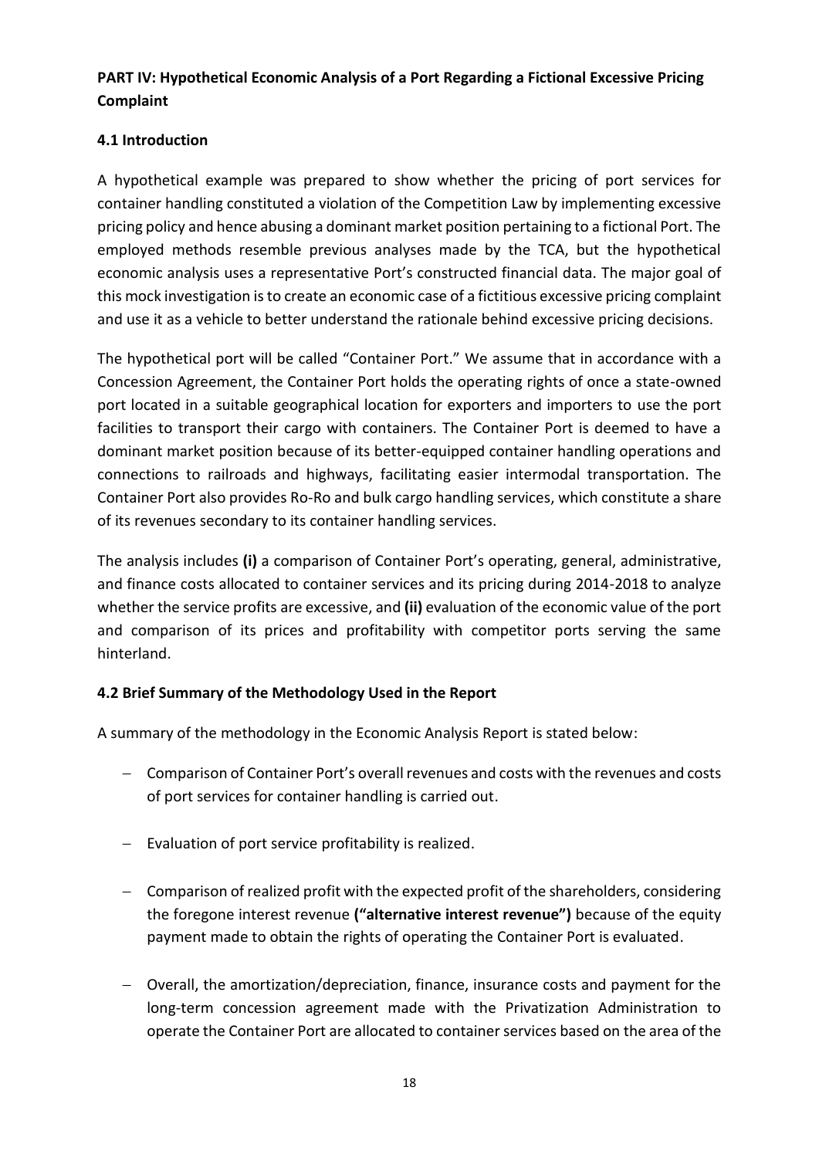### <span id="page-17-0"></span>**PART IV: Hypothetical Economic Analysis of a Port Regarding a Fictional Excessive Pricing Complaint**

### <span id="page-17-1"></span>**4.1 Introduction**

A hypothetical example was prepared to show whether the pricing of port services for container handling constituted a violation of the Competition Law by implementing excessive pricing policy and hence abusing a dominant market position pertaining to a fictional Port. The employed methods resemble previous analyses made by the TCA, but the hypothetical economic analysis uses a representative Port's constructed financial data. The major goal of this mock investigation is to create an economic case of a fictitious excessive pricing complaint and use it as a vehicle to better understand the rationale behind excessive pricing decisions.

The hypothetical port will be called "Container Port." We assume that in accordance with a Concession Agreement, the Container Port holds the operating rights of once a state-owned port located in a suitable geographical location for exporters and importers to use the port facilities to transport their cargo with containers. The Container Port is deemed to have a dominant market position because of its better-equipped container handling operations and connections to railroads and highways, facilitating easier intermodal transportation. The Container Port also provides Ro-Ro and bulk cargo handling services, which constitute a share of its revenues secondary to its container handling services.

The analysis includes **(i)** a comparison of Container Port's operating, general, administrative, and finance costs allocated to container services and its pricing during 2014-2018 to analyze whether the service profits are excessive, and **(ii)** evaluation of the economic value of the port and comparison of its prices and profitability with competitor ports serving the same hinterland.

### <span id="page-17-2"></span>**4.2 Brief Summary of the Methodology Used in the Report**

A summary of the methodology in the Economic Analysis Report is stated below:

- − Comparison of Container Port's overall revenues and costs with the revenues and costs of port services for container handling is carried out.
- − Evaluation of port service profitability is realized.
- − Comparison of realized profit with the expected profit of the shareholders, considering the foregone interest revenue **("alternative interest revenue")** because of the equity payment made to obtain the rights of operating the Container Port is evaluated.
- − Overall, the amortization/depreciation, finance, insurance costs and payment for the long-term concession agreement made with the Privatization Administration to operate the Container Port are allocated to container services based on the area of the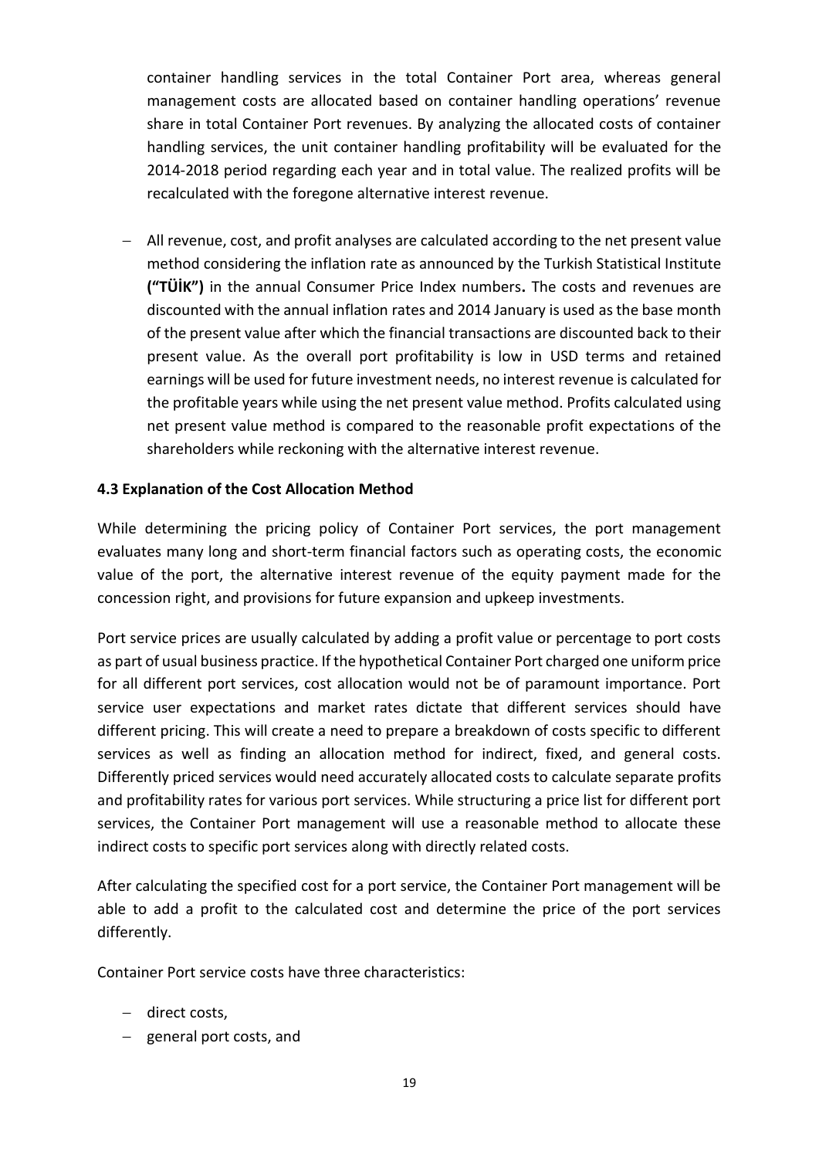container handling services in the total Container Port area, whereas general management costs are allocated based on container handling operations' revenue share in total Container Port revenues. By analyzing the allocated costs of container handling services, the unit container handling profitability will be evaluated for the 2014-2018 period regarding each year and in total value. The realized profits will be recalculated with the foregone alternative interest revenue.

− All revenue, cost, and profit analyses are calculated according to the net present value method considering the inflation rate as announced by the Turkish Statistical Institute **("TÜİK")** in the annual Consumer Price Index numbers**.** The costs and revenues are discounted with the annual inflation rates and 2014 January is used as the base month of the present value after which the financial transactions are discounted back to their present value. As the overall port profitability is low in USD terms and retained earnings will be used for future investment needs, no interest revenue is calculated for the profitable years while using the net present value method. Profits calculated using net present value method is compared to the reasonable profit expectations of the shareholders while reckoning with the alternative interest revenue.

#### <span id="page-18-0"></span>**4.3 Explanation of the Cost Allocation Method**

While determining the pricing policy of Container Port services, the port management evaluates many long and short-term financial factors such as operating costs, the economic value of the port, the alternative interest revenue of the equity payment made for the concession right, and provisions for future expansion and upkeep investments.

Port service prices are usually calculated by adding a profit value or percentage to port costs as part of usual business practice. If the hypothetical Container Port charged one uniform price for all different port services, cost allocation would not be of paramount importance. Port service user expectations and market rates dictate that different services should have different pricing. This will create a need to prepare a breakdown of costs specific to different services as well as finding an allocation method for indirect, fixed, and general costs. Differently priced services would need accurately allocated costs to calculate separate profits and profitability rates for various port services. While structuring a price list for different port services, the Container Port management will use a reasonable method to allocate these indirect costs to specific port services along with directly related costs.

After calculating the specified cost for a port service, the Container Port management will be able to add a profit to the calculated cost and determine the price of the port services differently.

Container Port service costs have three characteristics:

- − direct costs,
- − general port costs, and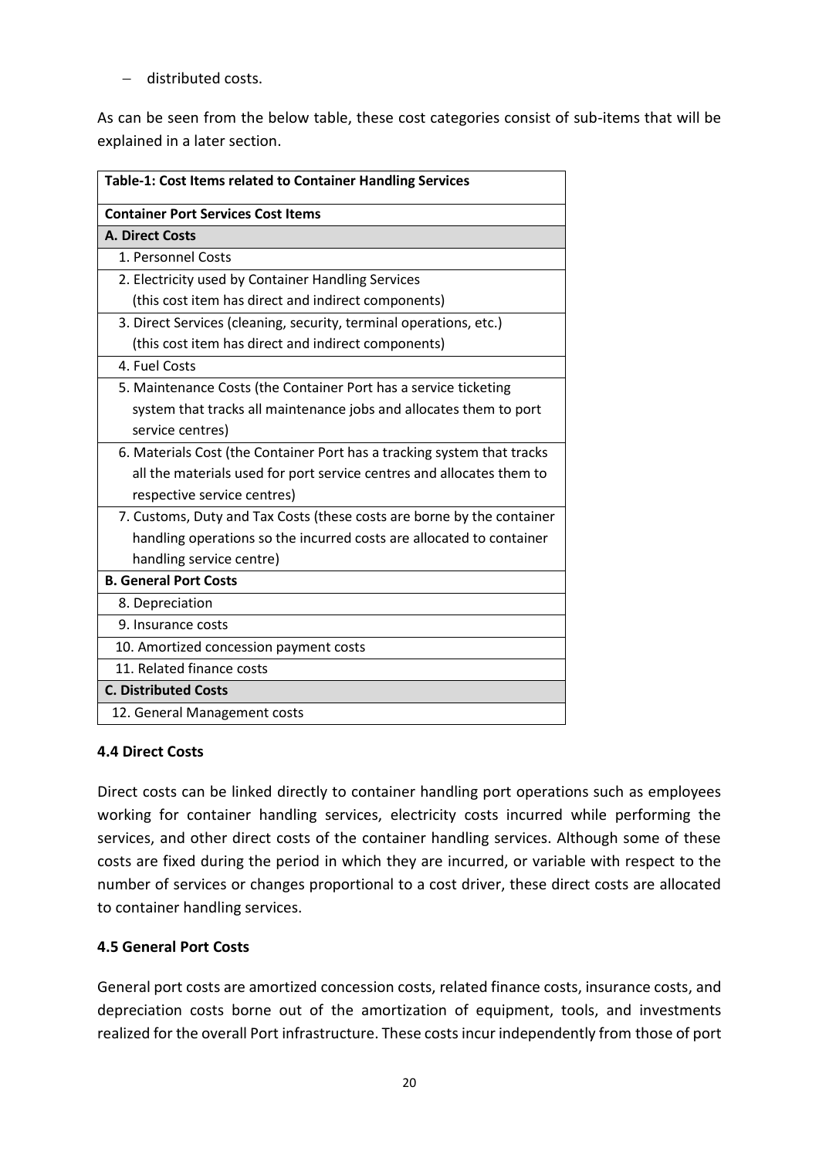− distributed costs.

As can be seen from the below table, these cost categories consist of sub-items that will be explained in a later section.

| Table-1: Cost Items related to Container Handling Services              |
|-------------------------------------------------------------------------|
| <b>Container Port Services Cost Items</b>                               |
| <b>A. Direct Costs</b>                                                  |
| 1. Personnel Costs                                                      |
| 2. Electricity used by Container Handling Services                      |
| (this cost item has direct and indirect components)                     |
| 3. Direct Services (cleaning, security, terminal operations, etc.)      |
| (this cost item has direct and indirect components)                     |
| 4. Fuel Costs                                                           |
| 5. Maintenance Costs (the Container Port has a service ticketing        |
| system that tracks all maintenance jobs and allocates them to port      |
| service centres)                                                        |
| 6. Materials Cost (the Container Port has a tracking system that tracks |
| all the materials used for port service centres and allocates them to   |
| respective service centres)                                             |
| 7. Customs, Duty and Tax Costs (these costs are borne by the container  |
| handling operations so the incurred costs are allocated to container    |
| handling service centre)                                                |
| <b>B. General Port Costs</b>                                            |
| 8. Depreciation                                                         |
| 9. Insurance costs                                                      |
| 10. Amortized concession payment costs                                  |
| 11. Related finance costs                                               |
| <b>C. Distributed Costs</b>                                             |
| 12. General Management costs                                            |

#### <span id="page-19-0"></span>**4.4 Direct Costs**

Direct costs can be linked directly to container handling port operations such as employees working for container handling services, electricity costs incurred while performing the services, and other direct costs of the container handling services. Although some of these costs are fixed during the period in which they are incurred, or variable with respect to the number of services or changes proportional to a cost driver, these direct costs are allocated to container handling services.

### <span id="page-19-1"></span>**4.5 General Port Costs**

General port costs are amortized concession costs, related finance costs, insurance costs, and depreciation costs borne out of the amortization of equipment, tools, and investments realized for the overall Port infrastructure. These costs incur independently from those of port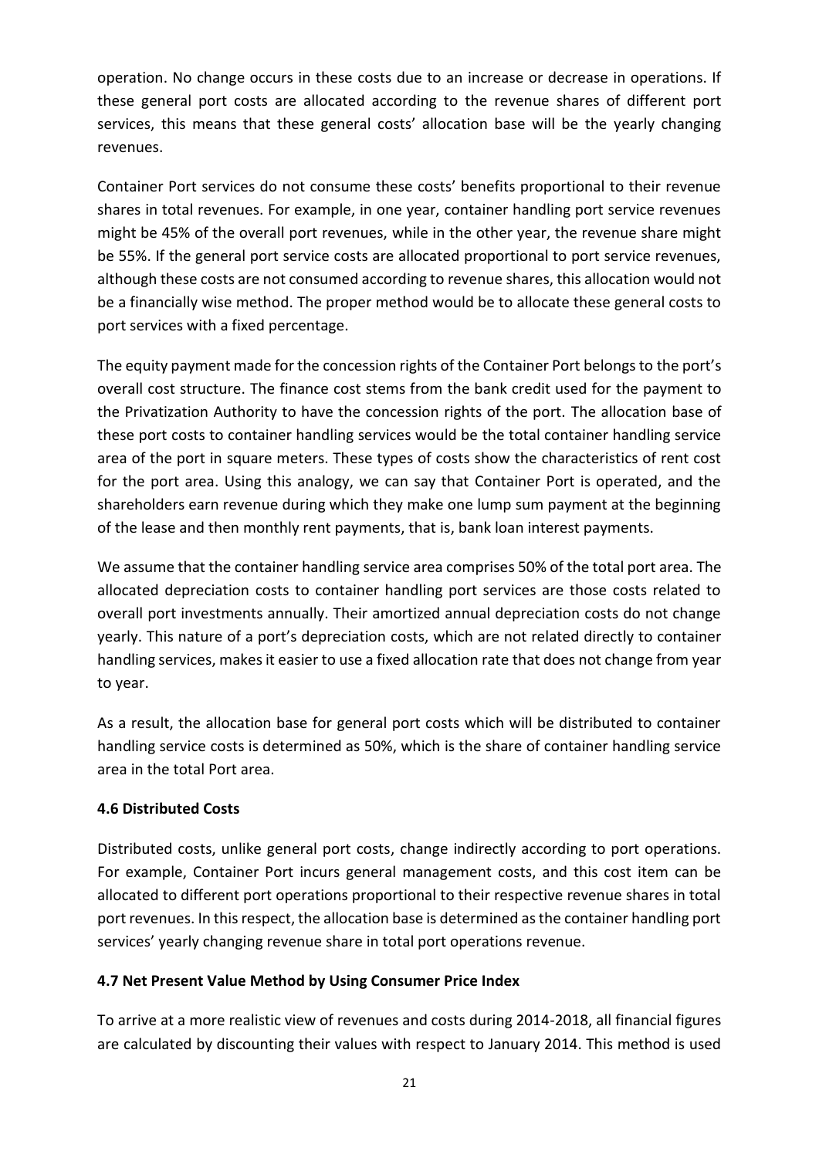operation. No change occurs in these costs due to an increase or decrease in operations. If these general port costs are allocated according to the revenue shares of different port services, this means that these general costs' allocation base will be the yearly changing revenues.

Container Port services do not consume these costs' benefits proportional to their revenue shares in total revenues. For example, in one year, container handling port service revenues might be 45% of the overall port revenues, while in the other year, the revenue share might be 55%. If the general port service costs are allocated proportional to port service revenues, although these costs are not consumed according to revenue shares, this allocation would not be a financially wise method. The proper method would be to allocate these general costs to port services with a fixed percentage.

The equity payment made for the concession rights of the Container Port belongs to the port's overall cost structure. The finance cost stems from the bank credit used for the payment to the Privatization Authority to have the concession rights of the port. The allocation base of these port costs to container handling services would be the total container handling service area of the port in square meters. These types of costs show the characteristics of rent cost for the port area. Using this analogy, we can say that Container Port is operated, and the shareholders earn revenue during which they make one lump sum payment at the beginning of the lease and then monthly rent payments, that is, bank loan interest payments.

We assume that the container handling service area comprises 50% of the total port area. The allocated depreciation costs to container handling port services are those costs related to overall port investments annually. Their amortized annual depreciation costs do not change yearly. This nature of a port's depreciation costs, which are not related directly to container handling services, makes it easier to use a fixed allocation rate that does not change from year to year.

As a result, the allocation base for general port costs which will be distributed to container handling service costs is determined as 50%, which is the share of container handling service area in the total Port area.

### <span id="page-20-0"></span>**4.6 Distributed Costs**

Distributed costs, unlike general port costs, change indirectly according to port operations. For example, Container Port incurs general management costs, and this cost item can be allocated to different port operations proportional to their respective revenue shares in total port revenues. In this respect, the allocation base is determined as the container handling port services' yearly changing revenue share in total port operations revenue.

### <span id="page-20-1"></span>**4.7 Net Present Value Method by Using Consumer Price Index**

To arrive at a more realistic view of revenues and costs during 2014-2018, all financial figures are calculated by discounting their values with respect to January 2014. This method is used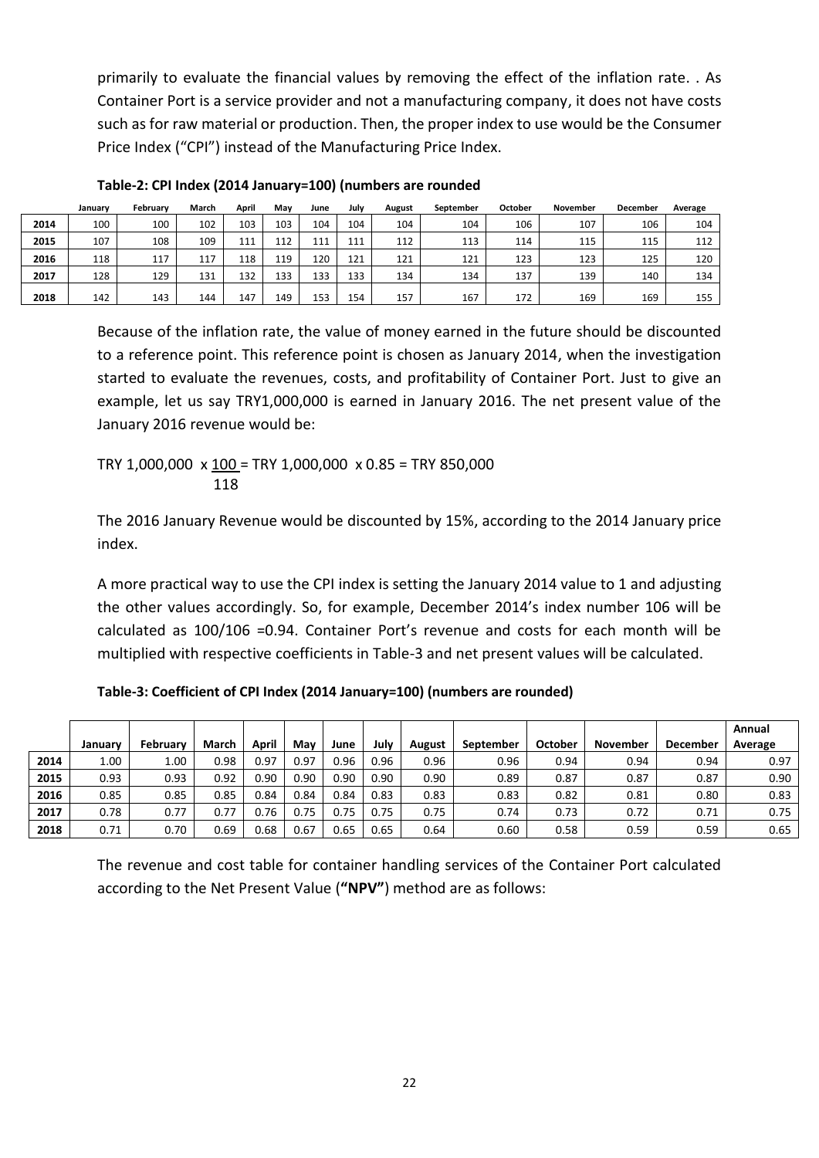primarily to evaluate the financial values by removing the effect of the inflation rate. . As Container Port is a service provider and not a manufacturing company, it does not have costs such as for raw material or production. Then, the proper index to use would be the Consumer Price Index ("CPI") instead of the Manufacturing Price Index.

|      | January | February | March | April | Mav | June | July | August | September | October | <b>November</b> | December | Average |
|------|---------|----------|-------|-------|-----|------|------|--------|-----------|---------|-----------------|----------|---------|
| 2014 | 100     | 100      | 102   | 103   | 103 | 104  | 104  | 104    | 104       | 106     | 107             | 106      | 104     |
| 2015 | 107     | 108      | 109   | 111   | 112 | 111  | 111  | 112    | 113       | 114     | 115             | 115      | 112     |
| 2016 | 118     | 117      | 117   | 118   | 119 | 120  | 121  | 121    | 121       | 123     | 123             | 125      | 120     |
| 2017 | 128     | 129      | 131   | 132   | 133 | 133  | 133  | 134    | 134       | 137     | 139             | 140      | 134     |
| 2018 | 142     | 143      | 144   | 147   | 149 | 153  | 154  | 157    | 167       | 172     | 169             | 169      | 155     |

Because of the inflation rate, the value of money earned in the future should be discounted to a reference point. This reference point is chosen as January 2014, when the investigation started to evaluate the revenues, costs, and profitability of Container Port. Just to give an example, let us say TRY1,000,000 is earned in January 2016. The net present value of the January 2016 revenue would be:

TRY 1,000,000 x 100 = TRY 1,000,000 x 0.85 = TRY 850,000 118

The 2016 January Revenue would be discounted by 15%, according to the 2014 January price index.

A more practical way to use the CPI index is setting the January 2014 value to 1 and adjusting the other values accordingly. So, for example, December 2014's index number 106 will be calculated as 100/106 =0.94. Container Port's revenue and costs for each month will be multiplied with respective coefficients in Table-3 and net present values will be calculated.

| Table-3: Coefficient of CPI Index (2014 January=100) (numbers are rounded) |  |  |
|----------------------------------------------------------------------------|--|--|
|----------------------------------------------------------------------------|--|--|

|      |         |          |       |       |      |      |      |        |                  |                |                 |                 | Annual  |
|------|---------|----------|-------|-------|------|------|------|--------|------------------|----------------|-----------------|-----------------|---------|
|      | Januarv | February | March | April | May  | June | July | August | <b>September</b> | <b>October</b> | <b>November</b> | <b>December</b> | Average |
| 2014 | 1.00    | 1.00     | 0.98  | 0.97  | 0.97 | 0.96 | 0.96 | 0.96   | 0.96             | 0.94           | 0.94            | 0.94            | 0.97    |
| 2015 | 0.93    | 0.93     | 0.92  | 0.90  | 0.90 | 0.90 | 0.90 | 0.90   | 0.89             | 0.87           | 0.87            | 0.87            | 0.90    |
| 2016 | 0.85    | 0.85     | 0.85  | 0.84  | 0.84 | 0.84 | 0.83 | 0.83   | 0.83             | 0.82           | 0.81            | 0.80            | 0.83    |
| 2017 | 0.78    | 0.77     | 0.77  | 0.76  | 0.75 | 0.75 | 0.75 | 0.75   | 0.74             | 0.73           | 0.72            | 0.71            | 0.75    |
| 2018 | 0.71    | 0.70     | 0.69  | 0.68  | 0.67 | 0.65 | 0.65 | 0.64   | 0.60             | 0.58           | 0.59            | 0.59            | 0.65    |

The revenue and cost table for container handling services of the Container Port calculated according to the Net Present Value (**"NPV"**) method are as follows: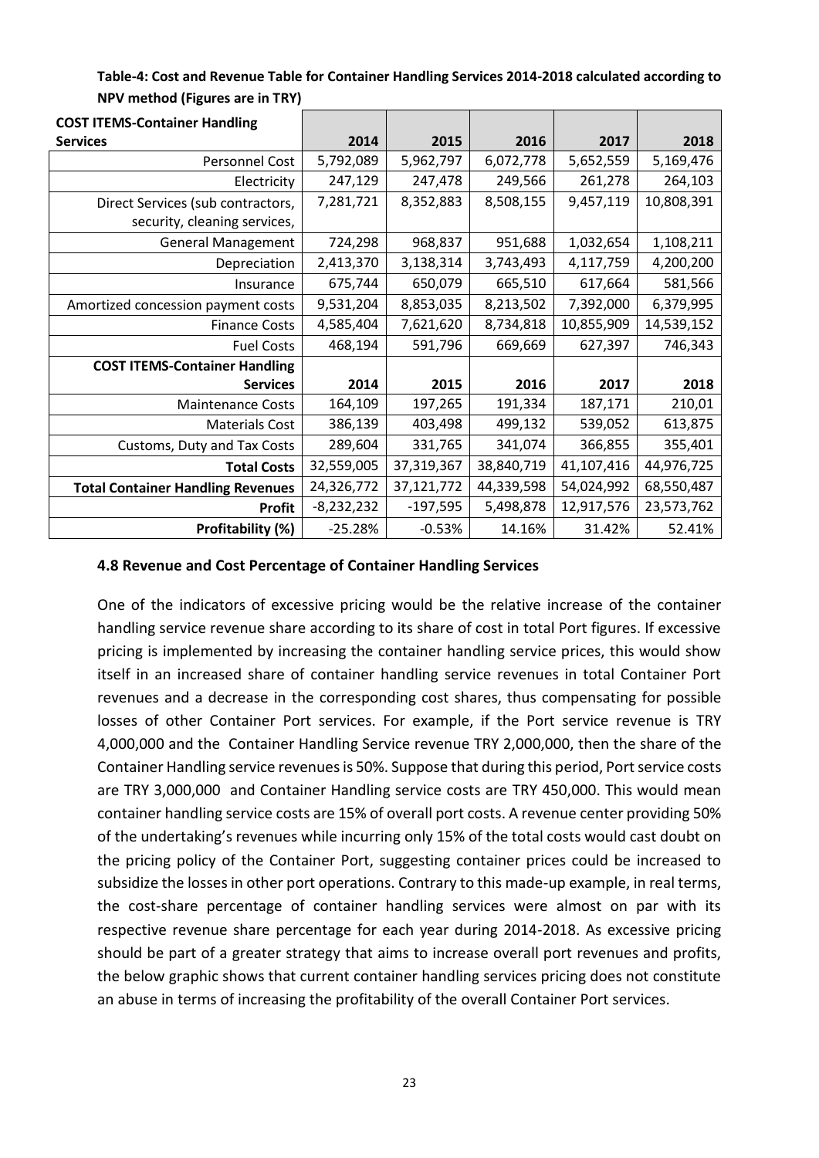| <b>COST ITEMS-Container Handling</b><br><b>Services</b>           | 2014         | 2015       | 2016       | 2017       | 2018       |
|-------------------------------------------------------------------|--------------|------------|------------|------------|------------|
| Personnel Cost                                                    | 5,792,089    | 5,962,797  | 6,072,778  | 5,652,559  | 5,169,476  |
| Electricity                                                       | 247,129      | 247,478    | 249,566    | 261,278    | 264,103    |
| Direct Services (sub contractors,<br>security, cleaning services, | 7,281,721    | 8,352,883  | 8,508,155  | 9,457,119  | 10,808,391 |
| <b>General Management</b>                                         | 724,298      | 968,837    | 951,688    | 1,032,654  | 1,108,211  |
| Depreciation                                                      | 2,413,370    | 3,138,314  | 3,743,493  | 4,117,759  | 4,200,200  |
| Insurance                                                         | 675,744      | 650,079    | 665,510    | 617,664    | 581,566    |
| Amortized concession payment costs                                | 9,531,204    | 8,853,035  | 8,213,502  | 7,392,000  | 6,379,995  |
| <b>Finance Costs</b>                                              | 4,585,404    | 7,621,620  | 8,734,818  | 10,855,909 | 14,539,152 |
| <b>Fuel Costs</b>                                                 | 468,194      | 591,796    | 669,669    | 627,397    | 746,343    |
| <b>COST ITEMS-Container Handling</b>                              |              |            |            |            |            |
| <b>Services</b>                                                   | 2014         | 2015       | 2016       | 2017       | 2018       |
| <b>Maintenance Costs</b>                                          | 164,109      | 197,265    | 191,334    | 187,171    | 210,01     |
| Materials Cost                                                    | 386,139      | 403,498    | 499,132    | 539,052    | 613,875    |
| Customs, Duty and Tax Costs                                       | 289,604      | 331,765    | 341,074    | 366,855    | 355,401    |
| <b>Total Costs</b>                                                | 32,559,005   | 37,319,367 | 38,840,719 | 41,107,416 | 44,976,725 |
| <b>Total Container Handling Revenues</b>                          | 24,326,772   | 37,121,772 | 44,339,598 | 54,024,992 | 68,550,487 |
| <b>Profit</b>                                                     | $-8,232,232$ | $-197,595$ | 5,498,878  | 12,917,576 | 23,573,762 |
| Profitability (%)                                                 | $-25.28%$    | $-0.53%$   | 14.16%     | 31.42%     | 52.41%     |

#### **Table-4: Cost and Revenue Table for Container Handling Services 2014-2018 calculated according to NPV method (Figures are in TRY)**

### <span id="page-22-0"></span>**4.8 Revenue and Cost Percentage of Container Handling Services**

One of the indicators of excessive pricing would be the relative increase of the container handling service revenue share according to its share of cost in total Port figures. If excessive pricing is implemented by increasing the container handling service prices, this would show itself in an increased share of container handling service revenues in total Container Port revenues and a decrease in the corresponding cost shares, thus compensating for possible losses of other Container Port services. For example, if the Port service revenue is TRY 4,000,000 and the Container Handling Service revenue TRY 2,000,000, then the share of the Container Handling service revenues is 50%. Suppose that during this period, Port service costs are TRY 3,000,000 and Container Handling service costs are TRY 450,000. This would mean container handling service costs are 15% of overall port costs. A revenue center providing 50% of the undertaking's revenues while incurring only 15% of the total costs would cast doubt on the pricing policy of the Container Port, suggesting container prices could be increased to subsidize the losses in other port operations. Contrary to this made-up example, in real terms, the cost-share percentage of container handling services were almost on par with its respective revenue share percentage for each year during 2014-2018. As excessive pricing should be part of a greater strategy that aims to increase overall port revenues and profits, the below graphic shows that current container handling services pricing does not constitute an abuse in terms of increasing the profitability of the overall Container Port services.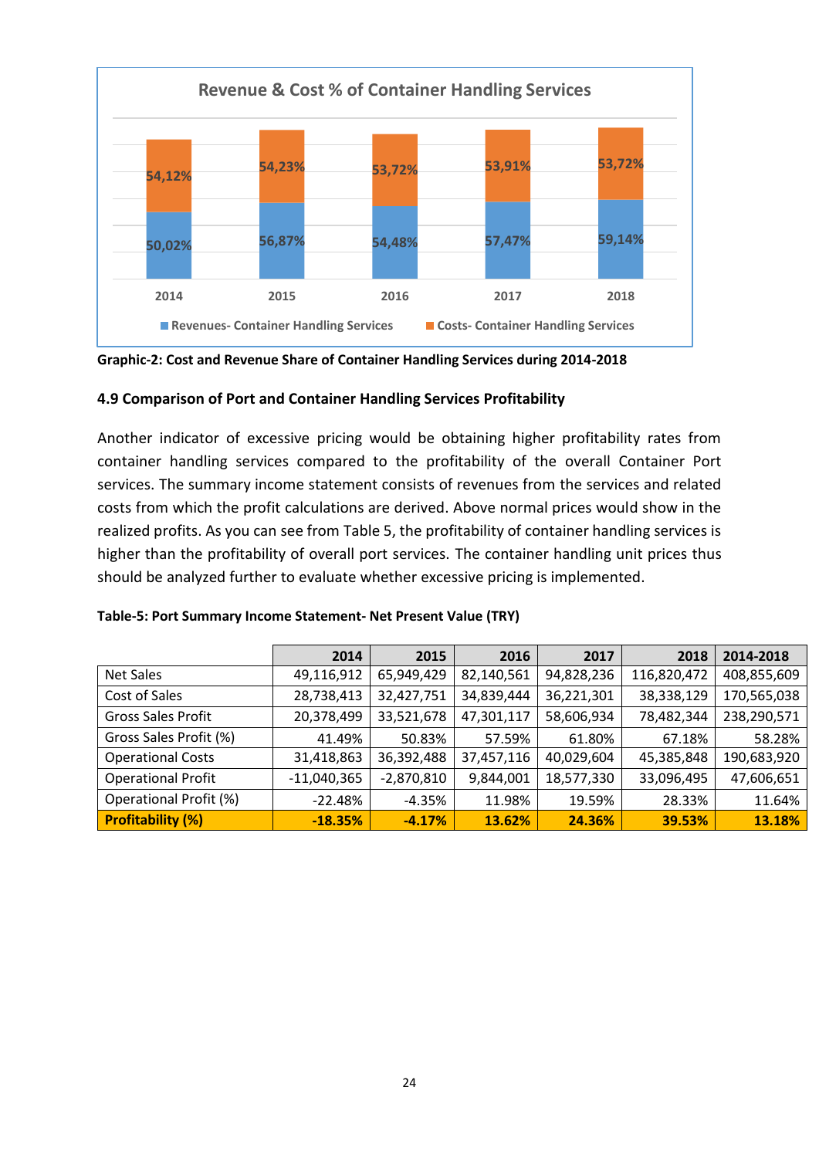

**Graphic-2: Cost and Revenue Share of Container Handling Services during 2014-2018** 

#### <span id="page-23-0"></span>**4.9 Comparison of Port and Container Handling Services Profitability**

Another indicator of excessive pricing would be obtaining higher profitability rates from container handling services compared to the profitability of the overall Container Port services. The summary income statement consists of revenues from the services and related costs from which the profit calculations are derived. Above normal prices would show in the realized profits. As you can see from Table 5, the profitability of container handling services is higher than the profitability of overall port services. The container handling unit prices thus should be analyzed further to evaluate whether excessive pricing is implemented.

|                           | 2014          | 2015         | 2016       | 2017       | 2018        | 2014-2018   |
|---------------------------|---------------|--------------|------------|------------|-------------|-------------|
| Net Sales                 | 49,116,912    | 65,949,429   | 82,140,561 | 94,828,236 | 116,820,472 | 408,855,609 |
| Cost of Sales             | 28,738,413    | 32,427,751   | 34,839,444 | 36,221,301 | 38,338,129  | 170,565,038 |
| <b>Gross Sales Profit</b> | 20,378,499    | 33,521,678   | 47,301,117 | 58,606,934 | 78,482,344  | 238,290,571 |
| Gross Sales Profit (%)    | 41.49%        | 50.83%       | 57.59%     | 61.80%     | 67.18%      | 58.28%      |
| <b>Operational Costs</b>  | 31,418,863    | 36,392,488   | 37,457,116 | 40,029,604 | 45,385,848  | 190,683,920 |
| <b>Operational Profit</b> | $-11,040,365$ | $-2,870,810$ | 9,844,001  | 18,577,330 | 33,096,495  | 47,606,651  |
| Operational Profit (%)    | $-22.48%$     | $-4.35%$     | 11.98%     | 19.59%     | 28.33%      | 11.64%      |
| <b>Profitability (%)</b>  | $-18.35%$     | $-4.17%$     | 13.62%     | 24.36%     | 39.53%      | 13.18%      |

|  | Table-5: Port Summary Income Statement- Net Present Value (TRY) |  |
|--|-----------------------------------------------------------------|--|
|--|-----------------------------------------------------------------|--|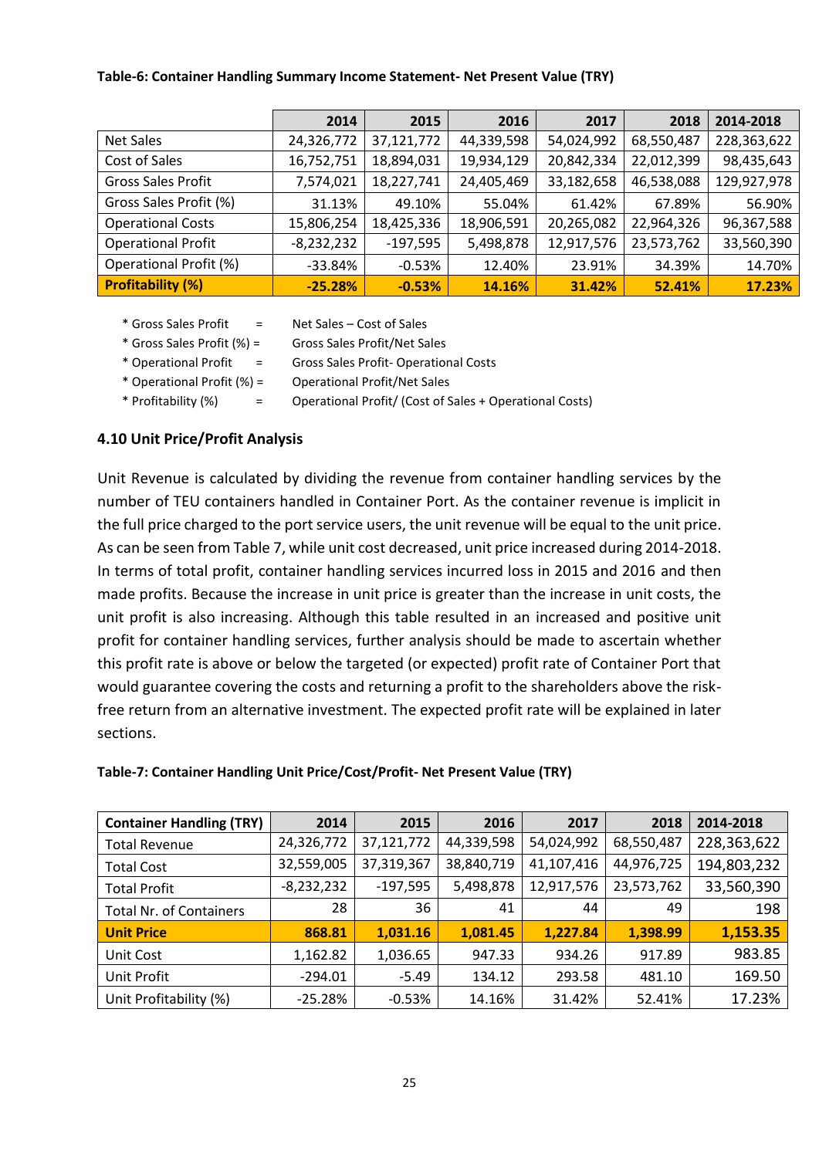#### **Table-6: Container Handling Summary Income Statement- Net Present Value (TRY)**

|                           | 2014         | 2015       | 2016       | 2017       | 2018       | 2014-2018   |
|---------------------------|--------------|------------|------------|------------|------------|-------------|
| Net Sales                 | 24,326,772   | 37,121,772 | 44,339,598 | 54,024,992 | 68,550,487 | 228,363,622 |
| Cost of Sales             | 16,752,751   | 18,894,031 | 19,934,129 | 20,842,334 | 22,012,399 | 98,435,643  |
| <b>Gross Sales Profit</b> | 7,574,021    | 18,227,741 | 24,405,469 | 33,182,658 | 46,538,088 | 129,927,978 |
| Gross Sales Profit (%)    | 31.13%       | 49.10%     | 55.04%     | 61.42%     | 67.89%     | 56.90%      |
| <b>Operational Costs</b>  | 15,806,254   | 18,425,336 | 18,906,591 | 20,265,082 | 22,964,326 | 96,367,588  |
| <b>Operational Profit</b> | $-8,232,232$ | $-197,595$ | 5,498,878  | 12,917,576 | 23,573,762 | 33,560,390  |
| Operational Profit (%)    | $-33.84\%$   | $-0.53%$   | 12.40%     | 23.91%     | 34.39%     | 14.70%      |
| <b>Profitability (%)</b>  | $-25.28%$    | $-0.53%$   | 14.16%     | 31.42%     | 52.41%     | 17.23%      |

\* Gross Sales Profit = Net Sales – Cost of Sales

\* Gross Sales Profit (%) = Gross Sales Profit/Net Sales

\* Operational Profit = Gross Sales Profit- Operational Costs

\* Operational Profit (%) = Operational Profit/Net Sales

\* Profitability (%) = Operational Profit/ (Cost of Sales + Operational Costs)

#### <span id="page-24-0"></span>**4.10 Unit Price/Profit Analysis**

Unit Revenue is calculated by dividing the revenue from container handling services by the number of TEU containers handled in Container Port. As the container revenue is implicit in the full price charged to the port service users, the unit revenue will be equal to the unit price. As can be seen from Table 7, while unit cost decreased, unit price increased during 2014-2018. In terms of total profit, container handling services incurred loss in 2015 and 2016 and then made profits. Because the increase in unit price is greater than the increase in unit costs, the unit profit is also increasing. Although this table resulted in an increased and positive unit profit for container handling services, further analysis should be made to ascertain whether this profit rate is above or below the targeted (or expected) profit rate of Container Port that would guarantee covering the costs and returning a profit to the shareholders above the riskfree return from an alternative investment. The expected profit rate will be explained in later sections.

<span id="page-24-1"></span>

| <b>Container Handling (TRY)</b> | 2014         | 2015       | 2016       | 2017       | 2018       | 2014-2018   |
|---------------------------------|--------------|------------|------------|------------|------------|-------------|
| <b>Total Revenue</b>            | 24,326,772   | 37,121,772 | 44,339,598 | 54,024,992 | 68,550,487 | 228,363,622 |
| <b>Total Cost</b>               | 32,559,005   | 37,319,367 | 38,840,719 | 41,107,416 | 44,976,725 | 194,803,232 |
| <b>Total Profit</b>             | $-8,232,232$ | $-197,595$ | 5,498,878  | 12,917,576 | 23,573,762 | 33,560,390  |
| <b>Total Nr. of Containers</b>  | 28           | 36         | 41         | 44         | 49         | 198         |
| <b>Unit Price</b>               | 868.81       | 1,031.16   | 1,081.45   | 1,227.84   | 1,398.99   | 1,153.35    |
| Unit Cost                       | 1,162.82     | 1,036.65   | 947.33     | 934.26     | 917.89     | 983.85      |
| Unit Profit                     | $-294.01$    | $-5.49$    | 134.12     | 293.58     | 481.10     | 169.50      |
| Unit Profitability (%)          | $-25.28%$    | $-0.53%$   | 14.16%     | 31.42%     | 52.41%     | 17.23%      |

#### **Table-7: Container Handling Unit Price/Cost/Profit- Net Present Value (TRY)**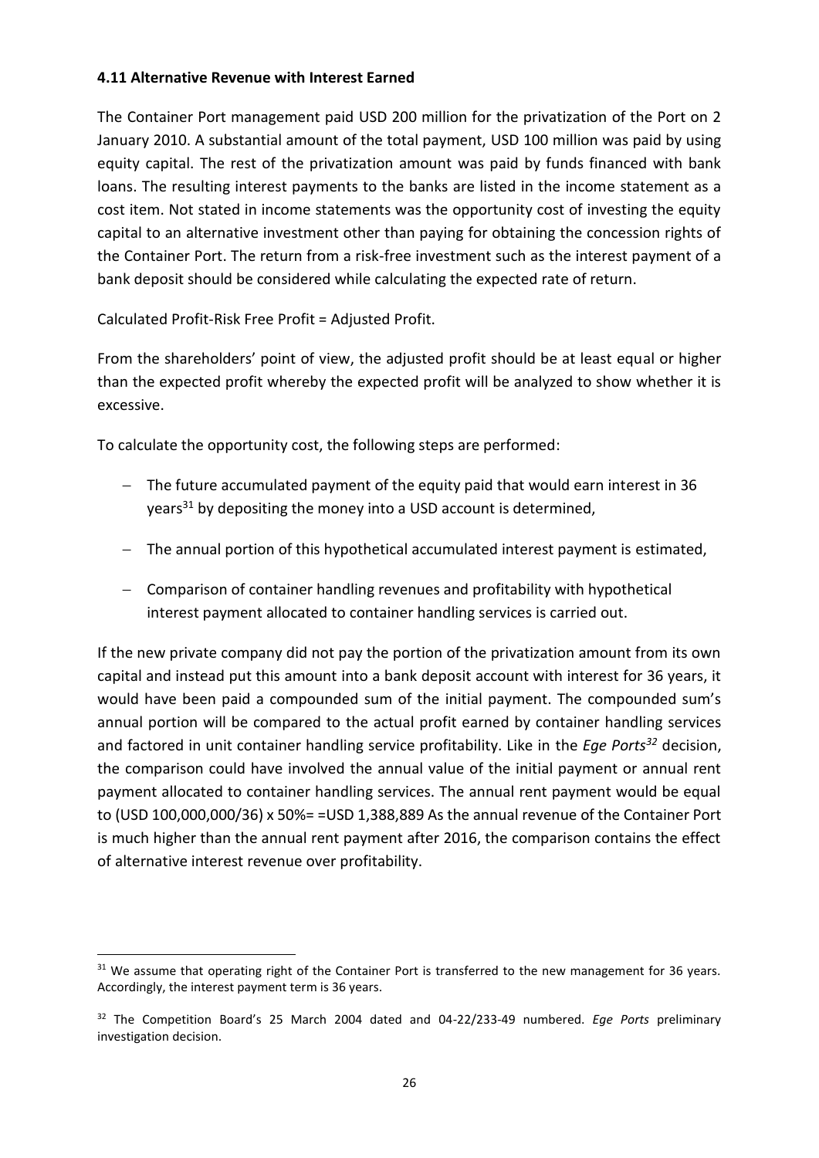#### **4.11 Alternative Revenue with Interest Earned**

The Container Port management paid USD 200 million for the privatization of the Port on 2 January 2010. A substantial amount of the total payment, USD 100 million was paid by using equity capital. The rest of the privatization amount was paid by funds financed with bank loans. The resulting interest payments to the banks are listed in the income statement as a cost item. Not stated in income statements was the opportunity cost of investing the equity capital to an alternative investment other than paying for obtaining the concession rights of the Container Port. The return from a risk-free investment such as the interest payment of a bank deposit should be considered while calculating the expected rate of return.

Calculated Profit-Risk Free Profit = Adjusted Profit.

From the shareholders' point of view, the adjusted profit should be at least equal or higher than the expected profit whereby the expected profit will be analyzed to show whether it is excessive.

To calculate the opportunity cost, the following steps are performed:

- − The future accumulated payment of the equity paid that would earn interest in 36 years<sup>31</sup> by depositing the money into a USD account is determined,
- − The annual portion of this hypothetical accumulated interest payment is estimated,
- − Comparison of container handling revenues and profitability with hypothetical interest payment allocated to container handling services is carried out.

If the new private company did not pay the portion of the privatization amount from its own capital and instead put this amount into a bank deposit account with interest for 36 years, it would have been paid a compounded sum of the initial payment. The compounded sum's annual portion will be compared to the actual profit earned by container handling services and factored in unit container handling service profitability. Like in the *Ege Ports<sup>32</sup>* decision, the comparison could have involved the annual value of the initial payment or annual rent payment allocated to container handling services. The annual rent payment would be equal to (USD 100,000,000/36) x 50%= =USD 1,388,889 As the annual revenue of the Container Port is much higher than the annual rent payment after 2016, the comparison contains the effect of alternative interest revenue over profitability.

<sup>&</sup>lt;sup>31</sup> We assume that operating right of the Container Port is transferred to the new management for 36 years. Accordingly, the interest payment term is 36 years.

<sup>32</sup> The Competition Board's 25 March 2004 dated and 04-22/233-49 numbered. *Ege Ports* preliminary investigation decision.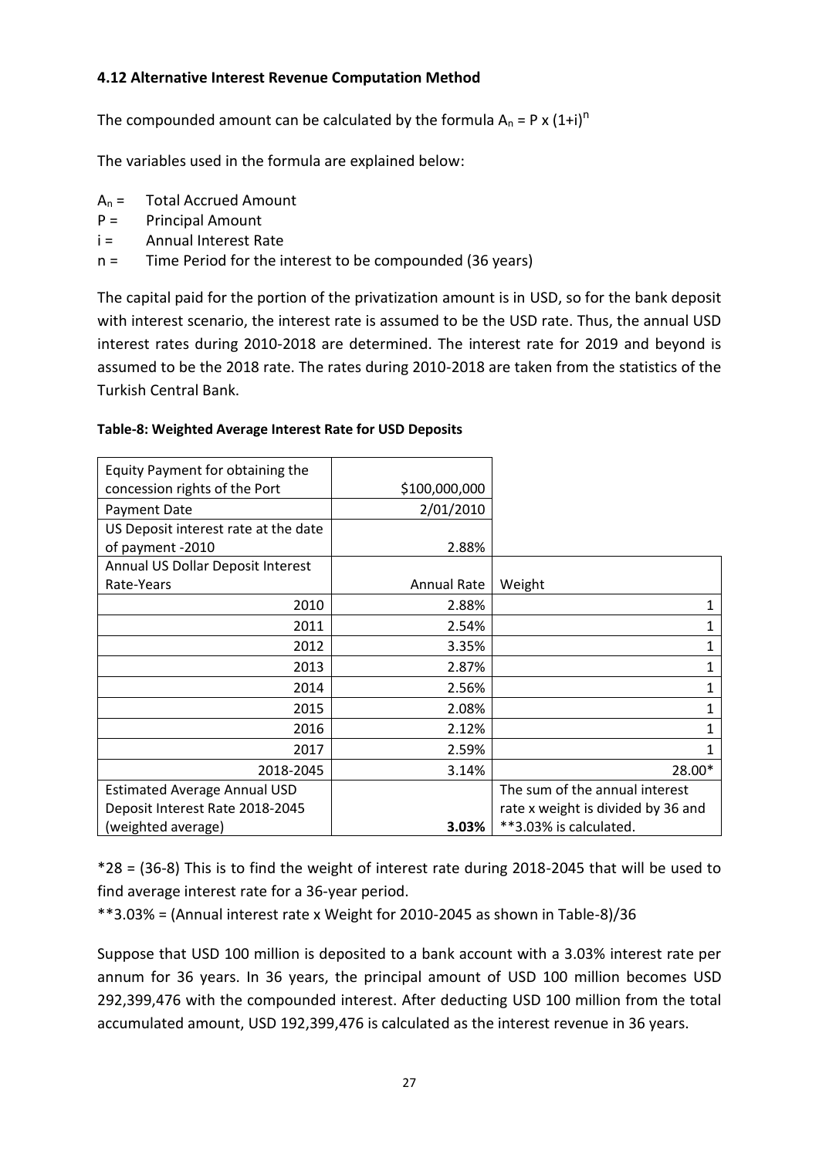### <span id="page-26-0"></span>**4.12 Alternative Interest Revenue Computation Method**

The compounded amount can be calculated by the formula  $A_n = P x (1+i)^n$ 

The variables used in the formula are explained below:

- $A_n =$  Total Accrued Amount
- P = Principal Amount
- i = Annual Interest Rate
- n = Time Period for the interest to be compounded (36 years)

The capital paid for the portion of the privatization amount is in USD, so for the bank deposit with interest scenario, the interest rate is assumed to be the USD rate. Thus, the annual USD interest rates during 2010-2018 are determined. The interest rate for 2019 and beyond is assumed to be the 2018 rate. The rates during 2010-2018 are taken from the statistics of the Turkish Central Bank.

| Equity Payment for obtaining the     |               |                                    |
|--------------------------------------|---------------|------------------------------------|
| concession rights of the Port        | \$100,000,000 |                                    |
| Payment Date                         | 2/01/2010     |                                    |
| US Deposit interest rate at the date |               |                                    |
| of payment -2010                     | 2.88%         |                                    |
| Annual US Dollar Deposit Interest    |               |                                    |
| Rate-Years                           | Annual Rate   | Weight                             |
| 2010                                 | 2.88%         | 1                                  |
| 2011                                 | 2.54%         |                                    |
| 2012                                 | 3.35%         |                                    |
| 2013                                 | 2.87%         |                                    |
| 2014                                 | 2.56%         |                                    |
| 2015                                 | 2.08%         |                                    |
| 2016                                 | 2.12%         |                                    |
| 2017                                 | 2.59%         |                                    |
| 2018-2045                            | 3.14%         | 28.00*                             |
| <b>Estimated Average Annual USD</b>  |               | The sum of the annual interest     |
| Deposit Interest Rate 2018-2045      |               | rate x weight is divided by 36 and |
| (weighted average)                   | 3.03%         | **3.03% is calculated.             |

#### **Table-8: Weighted Average Interest Rate for USD Deposits**

\*28 = (36-8) This is to find the weight of interest rate during 2018-2045 that will be used to find average interest rate for a 36-year period.

\*\*3.03% = (Annual interest rate x Weight for 2010-2045 as shown in Table-8)/36

Suppose that USD 100 million is deposited to a bank account with a 3.03% interest rate per annum for 36 years. In 36 years, the principal amount of USD 100 million becomes USD 292,399,476 with the compounded interest. After deducting USD 100 million from the total accumulated amount, USD 192,399,476 is calculated as the interest revenue in 36 years.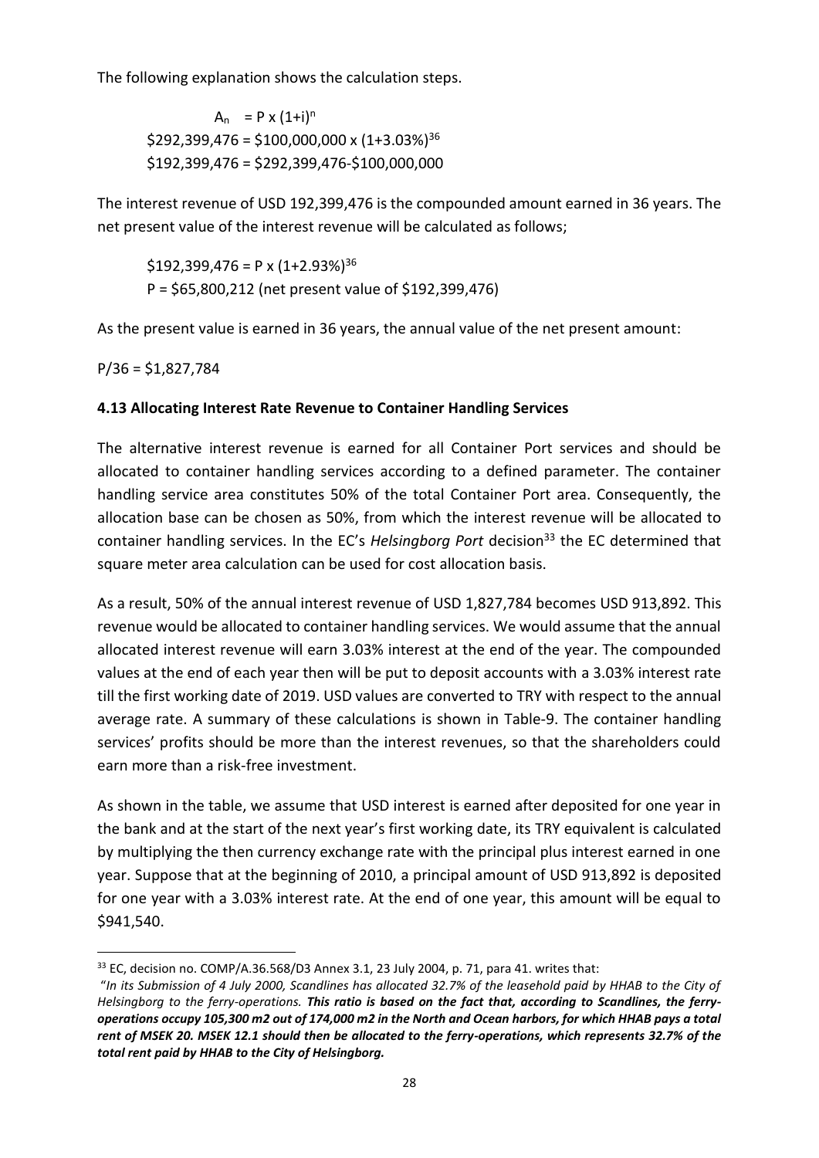The following explanation shows the calculation steps.

 $A_n = P \times (1+i)^n$  $$292,399,476 = $100,000,000 \times (1+3.03\%)$ <sup>36</sup> \$192,399,476 = \$292,399,476-\$100,000,000

The interest revenue of USD 192,399,476 is the compounded amount earned in 36 years. The net present value of the interest revenue will be calculated as follows;

 $$192,399,476 = P \times (1+2.93\%)^{36}$ P = \$65,800,212 (net present value of \$192,399,476)

As the present value is earned in 36 years, the annual value of the net present amount:

 $P/36 = $1,827,784$ 

### <span id="page-27-0"></span>**4.13 Allocating Interest Rate Revenue to Container Handling Services**

The alternative interest revenue is earned for all Container Port services and should be allocated to container handling services according to a defined parameter. The container handling service area constitutes 50% of the total Container Port area. Consequently, the allocation base can be chosen as 50%, from which the interest revenue will be allocated to container handling services. In the EC's *Helsingborg Port* decision<sup>33</sup> the EC determined that square meter area calculation can be used for cost allocation basis.

As a result, 50% of the annual interest revenue of USD 1,827,784 becomes USD 913,892. This revenue would be allocated to container handling services. We would assume that the annual allocated interest revenue will earn 3.03% interest at the end of the year. The compounded values at the end of each year then will be put to deposit accounts with a 3.03% interest rate till the first working date of 2019. USD values are converted to TRY with respect to the annual average rate. A summary of these calculations is shown in Table-9. The container handling services' profits should be more than the interest revenues, so that the shareholders could earn more than a risk-free investment.

As shown in the table, we assume that USD interest is earned after deposited for one year in the bank and at the start of the next year's first working date, its TRY equivalent is calculated by multiplying the then currency exchange rate with the principal plus interest earned in one year. Suppose that at the beginning of 2010, a principal amount of USD 913,892 is deposited for one year with a 3.03% interest rate. At the end of one year, this amount will be equal to \$941,540.

<sup>33</sup> EC, decision no. COMP/A.36.568/D3 Annex 3.1, 23 July 2004, p. 71, para 41. writes that:

<sup>&</sup>quot;*In its Submission of 4 July 2000, Scandlines has allocated 32.7% of the leasehold paid by HHAB to the City of Helsingborg to the ferry-operations. This ratio is based on the fact that, according to Scandlines, the ferryoperations occupy 105,300 m2 out of 174,000 m2 in the North and Ocean harbors, for which HHAB pays a total rent of MSEK 20. MSEK 12.1 should then be allocated to the ferry-operations, which represents 32.7% of the total rent paid by HHAB to the City of Helsingborg.*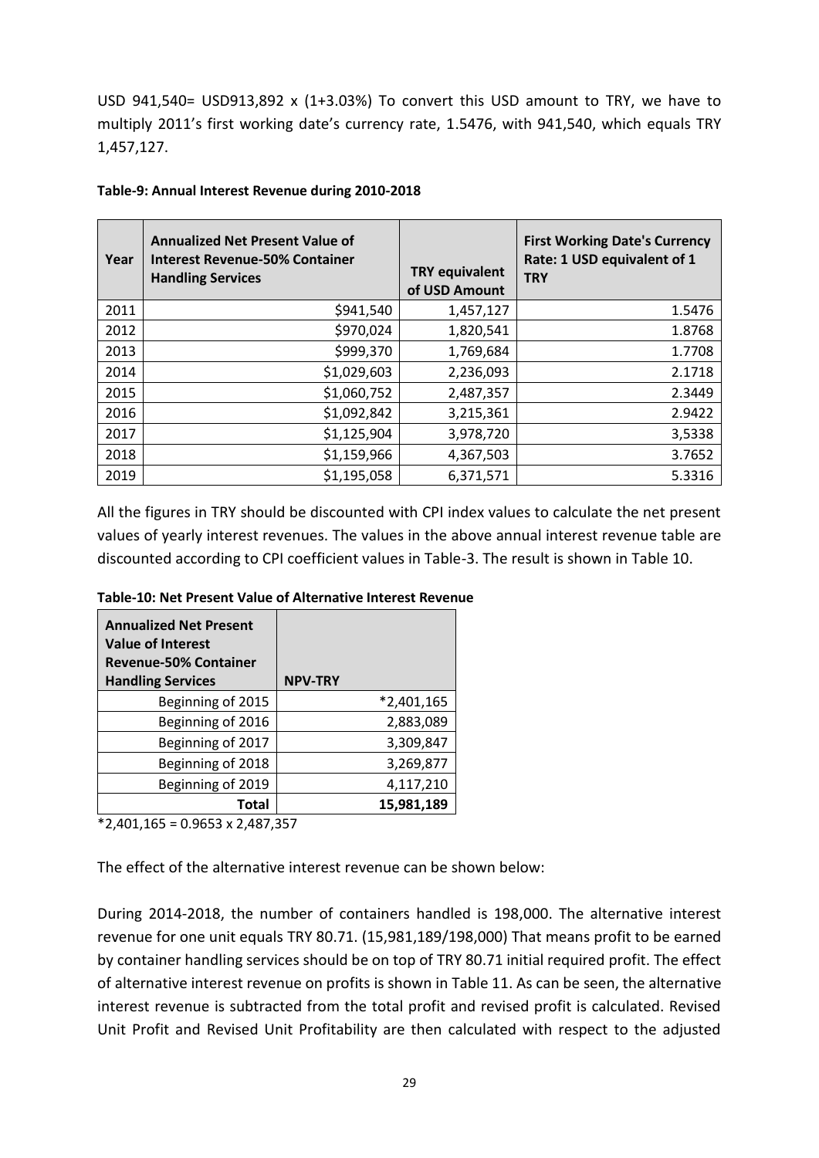USD 941,540= USD913,892 x (1+3.03%) To convert this USD amount to TRY, we have to multiply 2011's first working date's currency rate, 1.5476, with 941,540, which equals TRY 1,457,127.

| Year | <b>Annualized Net Present Value of</b><br><b>Interest Revenue-50% Container</b><br><b>Handling Services</b> | <b>TRY equivalent</b><br>of USD Amount | <b>First Working Date's Currency</b><br>Rate: 1 USD equivalent of 1<br><b>TRY</b> |
|------|-------------------------------------------------------------------------------------------------------------|----------------------------------------|-----------------------------------------------------------------------------------|
| 2011 | \$941,540                                                                                                   | 1,457,127                              | 1.5476                                                                            |
| 2012 | \$970,024                                                                                                   | 1,820,541                              | 1.8768                                                                            |
| 2013 | \$999,370                                                                                                   | 1,769,684                              | 1.7708                                                                            |
| 2014 | \$1,029,603                                                                                                 | 2,236,093                              | 2.1718                                                                            |
| 2015 | \$1,060,752                                                                                                 | 2,487,357                              | 2.3449                                                                            |
| 2016 | \$1,092,842                                                                                                 | 3,215,361                              | 2.9422                                                                            |
| 2017 | \$1,125,904                                                                                                 | 3,978,720                              | 3,5338                                                                            |
| 2018 | \$1,159,966                                                                                                 | 4,367,503                              | 3.7652                                                                            |
| 2019 | \$1,195,058                                                                                                 | 6,371,571                              | 5.3316                                                                            |

#### **Table-9: Annual Interest Revenue during 2010-2018**

All the figures in TRY should be discounted with CPI index values to calculate the net present values of yearly interest revenues. The values in the above annual interest revenue table are discounted according to CPI coefficient values in Table-3. The result is shown in Table 10.

| <b>Annualized Net Present</b><br><b>Value of Interest</b><br><b>Revenue-50% Container</b><br><b>Handling Services</b> | <b>NPV-TRY</b> |
|-----------------------------------------------------------------------------------------------------------------------|----------------|
| Beginning of 2015                                                                                                     | $*2,401,165$   |
| Beginning of 2016                                                                                                     | 2,883,089      |
| Beginning of 2017                                                                                                     | 3,309,847      |
| Beginning of 2018                                                                                                     | 3,269,877      |
| Beginning of 2019                                                                                                     | 4,117,210      |
| Total                                                                                                                 | 15,981,189     |

**Table-10: Net Present Value of Alternative Interest Revenue**

\*2,401,165 = 0.9653 x 2,487,357

The effect of the alternative interest revenue can be shown below:

During 2014-2018, the number of containers handled is 198,000. The alternative interest revenue for one unit equals TRY 80.71. (15,981,189/198,000) That means profit to be earned by container handling services should be on top of TRY 80.71 initial required profit. The effect of alternative interest revenue on profits is shown in Table 11. As can be seen, the alternative interest revenue is subtracted from the total profit and revised profit is calculated. Revised Unit Profit and Revised Unit Profitability are then calculated with respect to the adjusted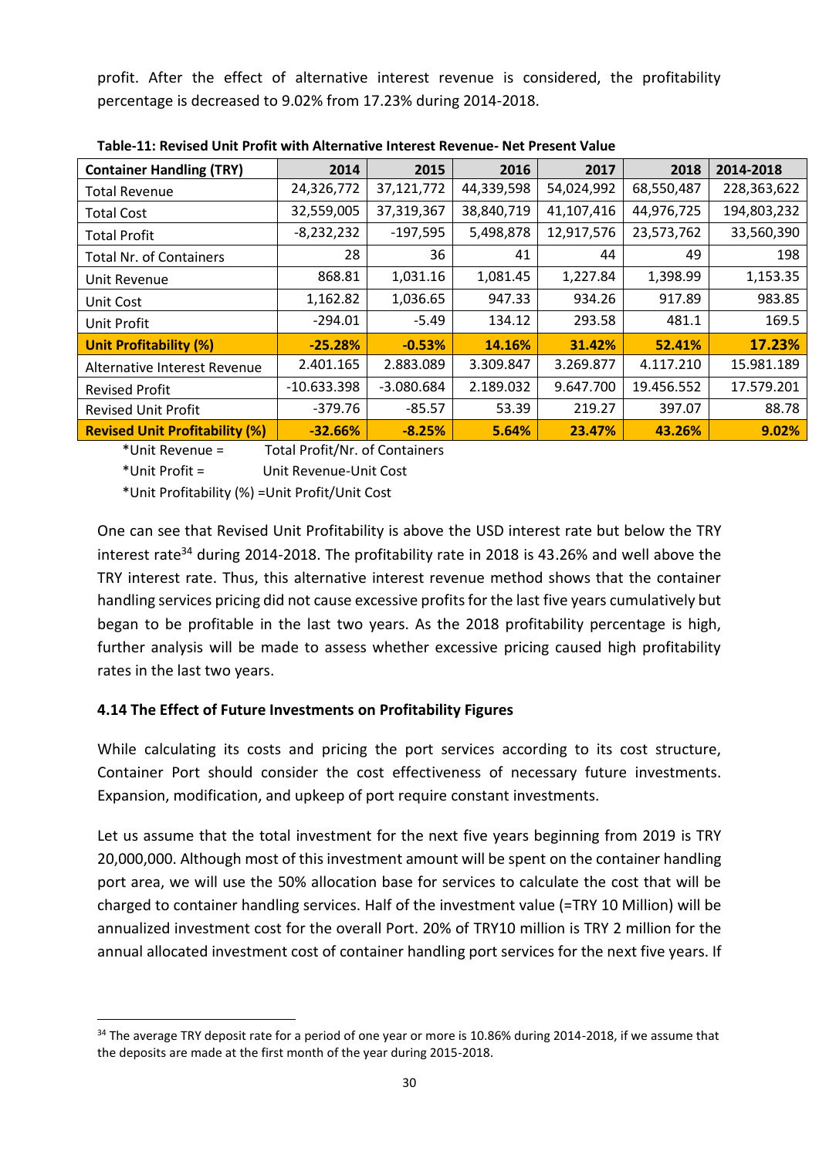profit. After the effect of alternative interest revenue is considered, the profitability percentage is decreased to 9.02% from 17.23% during 2014-2018.

| <b>Container Handling (TRY)</b>       | 2014          | 2015         | 2016       | 2017       | 2018       | 2014-2018   |
|---------------------------------------|---------------|--------------|------------|------------|------------|-------------|
| <b>Total Revenue</b>                  | 24,326,772    | 37,121,772   | 44,339,598 | 54,024,992 | 68,550,487 | 228,363,622 |
| <b>Total Cost</b>                     | 32,559,005    | 37,319,367   | 38,840,719 | 41,107,416 | 44,976,725 | 194,803,232 |
| <b>Total Profit</b>                   | $-8,232,232$  | $-197,595$   | 5,498,878  | 12,917,576 | 23,573,762 | 33,560,390  |
| <b>Total Nr. of Containers</b>        | 28            | 36           | 41         | 44         | 49         | 198         |
| Unit Revenue                          | 868.81        | 1,031.16     | 1,081.45   | 1,227.84   | 1,398.99   | 1,153.35    |
| Unit Cost                             | 1,162.82      | 1,036.65     | 947.33     | 934.26     | 917.89     | 983.85      |
| Unit Profit                           | $-294.01$     | $-5.49$      | 134.12     | 293.58     | 481.1      | 169.5       |
| <b>Unit Profitability (%)</b>         | $-25.28%$     | $-0.53%$     | 14.16%     | 31.42%     | 52.41%     | 17.23%      |
| Alternative Interest Revenue          | 2.401.165     | 2.883.089    | 3.309.847  | 3.269.877  | 4.117.210  | 15.981.189  |
| <b>Revised Profit</b>                 | $-10.633.398$ | $-3.080.684$ | 2.189.032  | 9.647.700  | 19.456.552 | 17.579.201  |
| <b>Revised Unit Profit</b>            | -379.76       | $-85.57$     | 53.39      | 219.27     | 397.07     | 88.78       |
| <b>Revised Unit Profitability (%)</b> | $-32.66%$     | $-8.25%$     | 5.64%      | 23.47%     | 43.26%     | 9.02%       |

**Table-11: Revised Unit Profit with Alternative Interest Revenue- Net Present Value**

\*Unit Revenue = Total Profit/Nr. of Containers

\*Unit Profit = Unit Revenue-Unit Cost

\*Unit Profitability (%) =Unit Profit/Unit Cost

One can see that Revised Unit Profitability is above the USD interest rate but below the TRY interest rate<sup>34</sup> during 2014-2018. The profitability rate in 2018 is 43.26% and well above the TRY interest rate. Thus, this alternative interest revenue method shows that the container handling services pricing did not cause excessive profits for the last five years cumulatively but began to be profitable in the last two years. As the 2018 profitability percentage is high, further analysis will be made to assess whether excessive pricing caused high profitability rates in the last two years.

### <span id="page-29-0"></span>**4.14 The Effect of Future Investments on Profitability Figures**

While calculating its costs and pricing the port services according to its cost structure, Container Port should consider the cost effectiveness of necessary future investments. Expansion, modification, and upkeep of port require constant investments.

Let us assume that the total investment for the next five years beginning from 2019 is TRY 20,000,000. Although most of this investment amount will be spent on the container handling port area, we will use the 50% allocation base for services to calculate the cost that will be charged to container handling services. Half of the investment value (=TRY 10 Million) will be annualized investment cost for the overall Port. 20% of TRY10 million is TRY 2 million for the annual allocated investment cost of container handling port services for the next five years. If

<sup>&</sup>lt;sup>34</sup> The average TRY deposit rate for a period of one year or more is 10.86% during 2014-2018, if we assume that the deposits are made at the first month of the year during 2015-2018.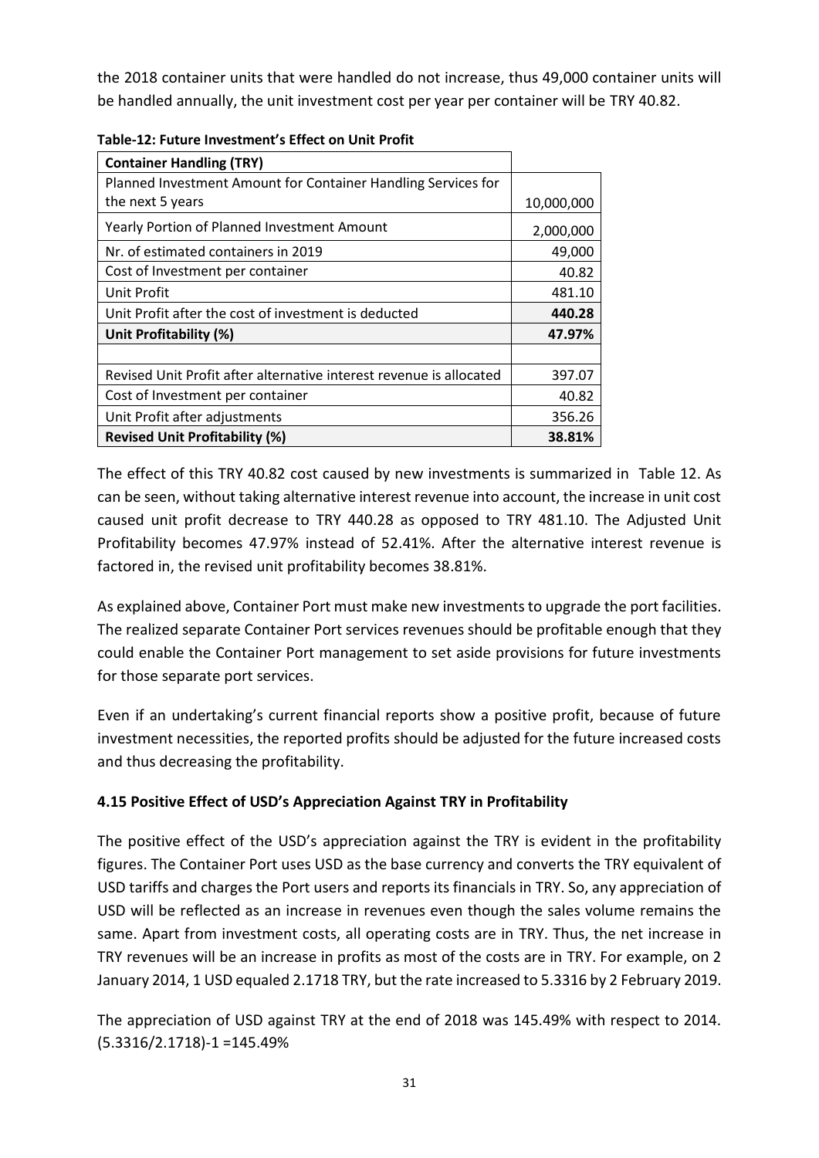the 2018 container units that were handled do not increase, thus 49,000 container units will be handled annually, the unit investment cost per year per container will be TRY 40.82.

| <b>Container Handling (TRY)</b>                                     |            |
|---------------------------------------------------------------------|------------|
| Planned Investment Amount for Container Handling Services for       |            |
| the next 5 years                                                    | 10,000,000 |
| <b>Yearly Portion of Planned Investment Amount</b>                  | 2,000,000  |
| Nr. of estimated containers in 2019                                 | 49,000     |
| Cost of Investment per container                                    | 40.82      |
| Unit Profit                                                         | 481.10     |
| Unit Profit after the cost of investment is deducted                | 440.28     |
| Unit Profitability (%)                                              | 47.97%     |
|                                                                     |            |
| Revised Unit Profit after alternative interest revenue is allocated | 397.07     |
| Cost of Investment per container                                    | 40.82      |
| Unit Profit after adjustments                                       | 356.26     |
| <b>Revised Unit Profitability (%)</b>                               | 38.81%     |

| Table-12: Future Investment's Effect on Unit Profit |  |  |
|-----------------------------------------------------|--|--|
|                                                     |  |  |

The effect of this TRY 40.82 cost caused by new investments is summarized in Table 12. As can be seen, without taking alternative interest revenue into account, the increase in unit cost caused unit profit decrease to TRY 440.28 as opposed to TRY 481.10. The Adjusted Unit Profitability becomes 47.97% instead of 52.41%. After the alternative interest revenue is factored in, the revised unit profitability becomes 38.81%.

As explained above, Container Port must make new investments to upgrade the port facilities. The realized separate Container Port services revenues should be profitable enough that they could enable the Container Port management to set aside provisions for future investments for those separate port services.

Even if an undertaking's current financial reports show a positive profit, because of future investment necessities, the reported profits should be adjusted for the future increased costs and thus decreasing the profitability.

### <span id="page-30-0"></span>**4.15 Positive Effect of USD's Appreciation Against TRY in Profitability**

The positive effect of the USD's appreciation against the TRY is evident in the profitability figures. The Container Port uses USD as the base currency and converts the TRY equivalent of USD tariffs and charges the Port users and reports its financials in TRY. So, any appreciation of USD will be reflected as an increase in revenues even though the sales volume remains the same. Apart from investment costs, all operating costs are in TRY. Thus, the net increase in TRY revenues will be an increase in profits as most of the costs are in TRY. For example, on 2 January 2014, 1 USD equaled 2.1718 TRY, but the rate increased to 5.3316 by 2 February 2019.

The appreciation of USD against TRY at the end of 2018 was 145.49% with respect to 2014. (5.3316/2.1718)-1 =145.49%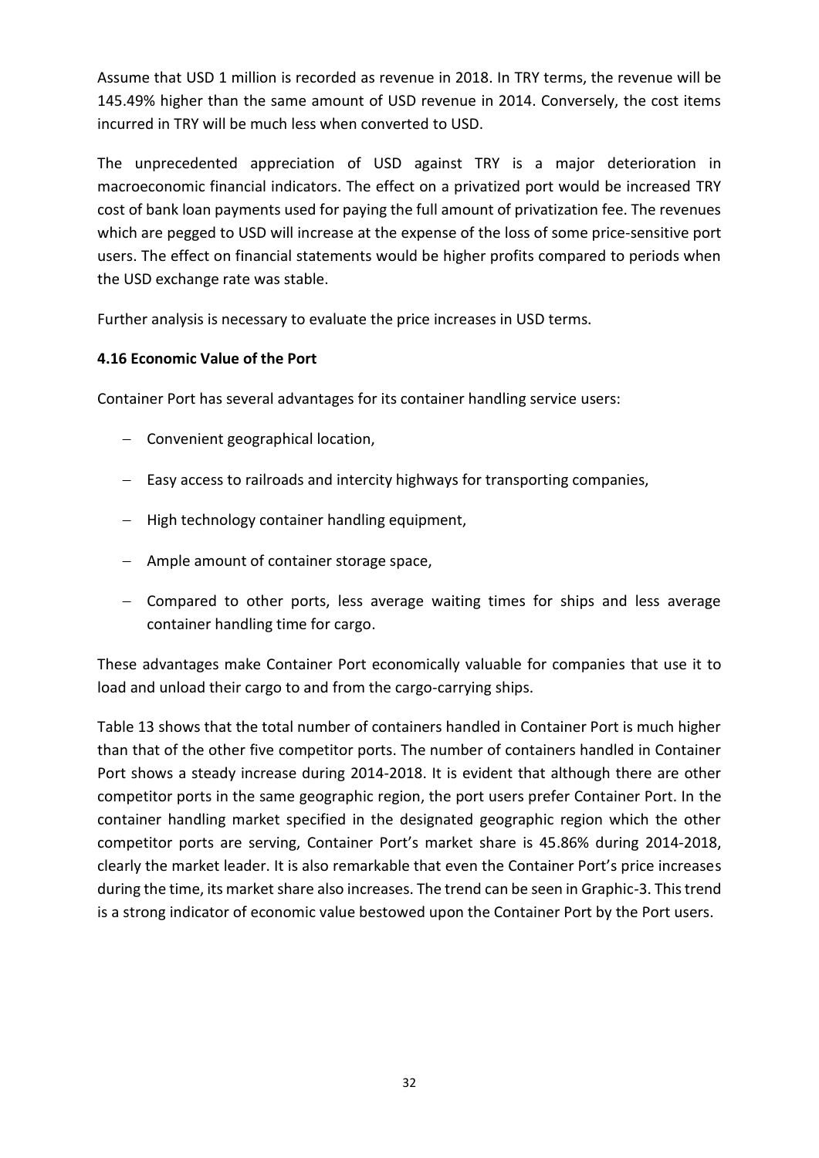Assume that USD 1 million is recorded as revenue in 2018. In TRY terms, the revenue will be 145.49% higher than the same amount of USD revenue in 2014. Conversely, the cost items incurred in TRY will be much less when converted to USD.

The unprecedented appreciation of USD against TRY is a major deterioration in macroeconomic financial indicators. The effect on a privatized port would be increased TRY cost of bank loan payments used for paying the full amount of privatization fee. The revenues which are pegged to USD will increase at the expense of the loss of some price-sensitive port users. The effect on financial statements would be higher profits compared to periods when the USD exchange rate was stable.

Further analysis is necessary to evaluate the price increases in USD terms.

### <span id="page-31-0"></span>**4.16 Economic Value of the Port**

Container Port has several advantages for its container handling service users:

- − Convenient geographical location,
- − Easy access to railroads and intercity highways for transporting companies,
- − High technology container handling equipment,
- − Ample amount of container storage space,
- − Compared to other ports, less average waiting times for ships and less average container handling time for cargo.

These advantages make Container Port economically valuable for companies that use it to load and unload their cargo to and from the cargo-carrying ships.

Table 13 shows that the total number of containers handled in Container Port is much higher than that of the other five competitor ports. The number of containers handled in Container Port shows a steady increase during 2014-2018. It is evident that although there are other competitor ports in the same geographic region, the port users prefer Container Port. In the container handling market specified in the designated geographic region which the other competitor ports are serving, Container Port's market share is 45.86% during 2014-2018, clearly the market leader. It is also remarkable that even the Container Port's price increases during the time, its market share also increases. The trend can be seen in Graphic-3. This trend is a strong indicator of economic value bestowed upon the Container Port by the Port users.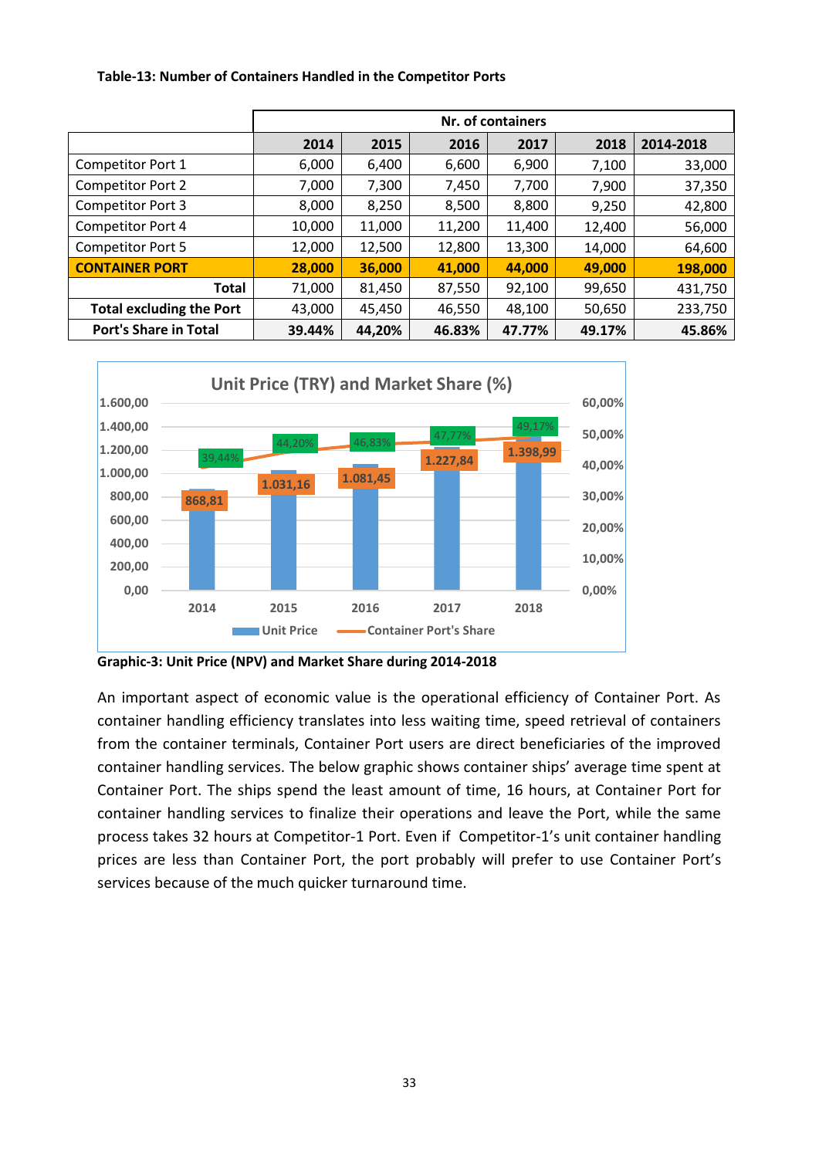#### **Table-13: Number of Containers Handled in the Competitor Ports**

|                                 | Nr. of containers |        |        |        |        |           |
|---------------------------------|-------------------|--------|--------|--------|--------|-----------|
|                                 | 2014              | 2015   | 2016   | 2017   | 2018   | 2014-2018 |
| Competitor Port 1               | 6,000             | 6,400  | 6,600  | 6,900  | 7,100  | 33,000    |
| <b>Competitor Port 2</b>        | 7,000             | 7,300  | 7,450  | 7,700  | 7,900  | 37,350    |
| <b>Competitor Port 3</b>        | 8,000             | 8,250  | 8,500  | 8,800  | 9,250  | 42,800    |
| Competitor Port 4               | 10,000            | 11,000 | 11,200 | 11,400 | 12,400 | 56,000    |
| <b>Competitor Port 5</b>        | 12,000            | 12,500 | 12,800 | 13,300 | 14,000 | 64,600    |
| <b>CONTAINER PORT</b>           | 28,000            | 36,000 | 41,000 | 44,000 | 49,000 | 198,000   |
| <b>Total</b>                    | 71,000            | 81,450 | 87,550 | 92,100 | 99,650 | 431,750   |
| <b>Total excluding the Port</b> | 43,000            | 45,450 | 46,550 | 48,100 | 50,650 | 233,750   |
| <b>Port's Share in Total</b>    | 39.44%            | 44,20% | 46.83% | 47.77% | 49.17% | 45.86%    |



**Graphic-3: Unit Price (NPV) and Market Share during 2014-2018** 

An important aspect of economic value is the operational efficiency of Container Port. As container handling efficiency translates into less waiting time, speed retrieval of containers from the container terminals, Container Port users are direct beneficiaries of the improved container handling services. The below graphic shows container ships' average time spent at Container Port. The ships spend the least amount of time, 16 hours, at Container Port for container handling services to finalize their operations and leave the Port, while the same process takes 32 hours at Competitor-1 Port. Even if Competitor-1's unit container handling prices are less than Container Port, the port probably will prefer to use Container Port's services because of the much quicker turnaround time.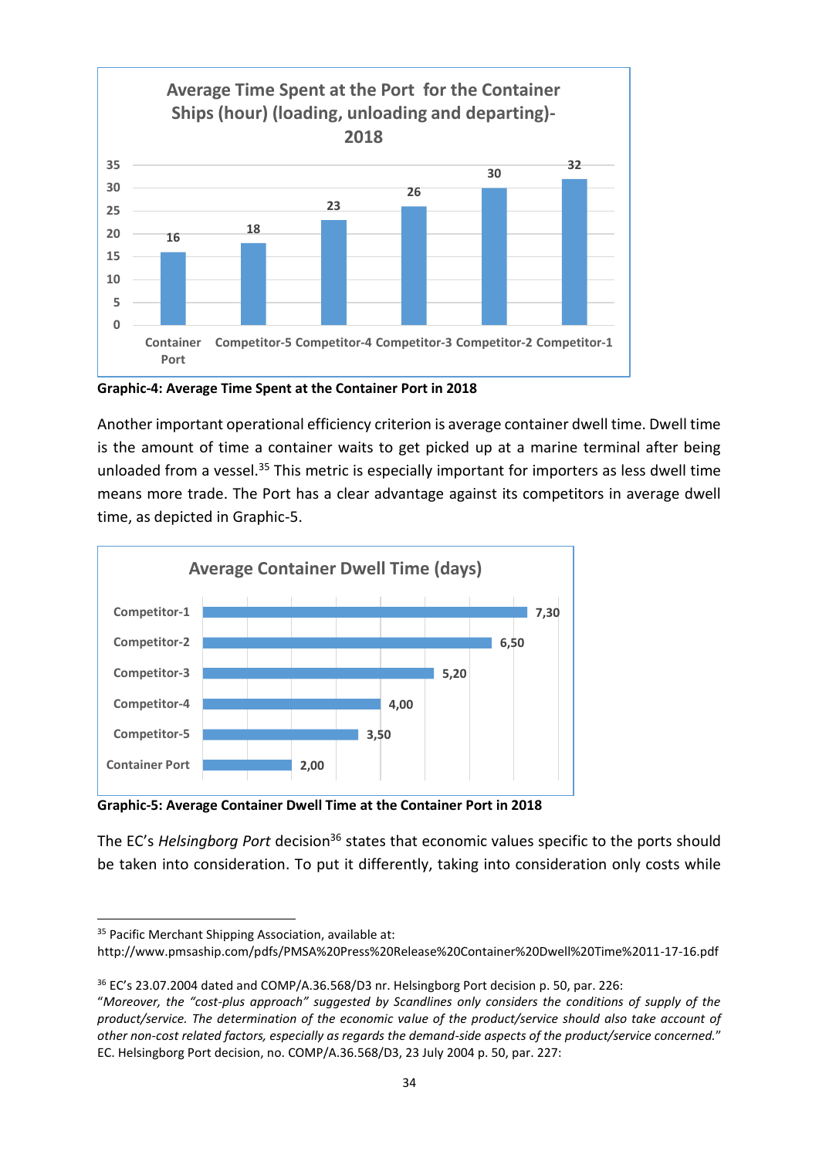

**Graphic-4: Average Time Spent at the Container Port in 2018** 

Another important operational efficiency criterion is average container dwell time. Dwell time is the amount of time a container waits to get picked up at a marine terminal after being unloaded from a vessel.<sup>35</sup> This metric is especially important for importers as less dwell time means more trade. The Port has a clear advantage against its competitors in average dwell time, as depicted in Graphic-5.



**Graphic-5: Average Container Dwell Time at the Container Port in 2018** 

The EC's *Helsingborg Port* decision<sup>36</sup> states that economic values specific to the ports should be taken into consideration. To put it differently, taking into consideration only costs while

<sup>&</sup>lt;sup>35</sup> Pacific Merchant Shipping Association, available at:

<http://www.pmsaship.com/pdfs/PMSA%20Press%20Release%20Container%20Dwell%20Time%2011-17-16.pdf>

<sup>36</sup> EC's 23.07.2004 dated and COMP/A.36.568/D3 nr. Helsingborg Port decision p. 50, par. 226:

<sup>&</sup>quot;*Moreover, the "cost-plus approach" suggested by Scandlines only considers the conditions of supply of the product/service. The determination of the economic value of the product/service should also take account of other non-cost related factors, especially as regards the demand-side aspects of the product/service concerned.*" EC. Helsingborg Port decision, no. COMP/A.36.568/D3, 23 July 2004 p. 50, par. 227: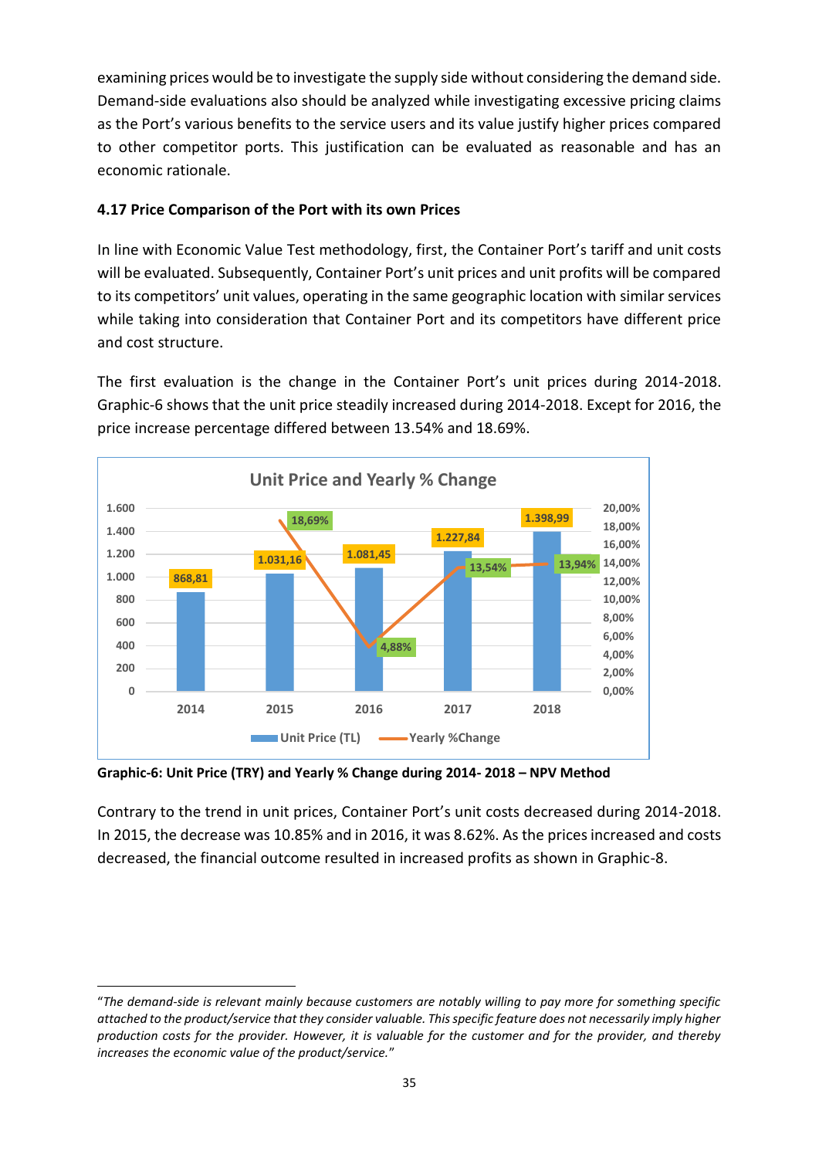examining prices would be to investigate the supply side without considering the demand side. Demand-side evaluations also should be analyzed while investigating excessive pricing claims as the Port's various benefits to the service users and its value justify higher prices compared to other competitor ports. This justification can be evaluated as reasonable and has an economic rationale.

### <span id="page-34-0"></span>**4.17 Price Comparison of the Port with its own Prices**

In line with Economic Value Test methodology, first, the Container Port's tariff and unit costs will be evaluated. Subsequently, Container Port's unit prices and unit profits will be compared to its competitors' unit values, operating in the same geographic location with similar services while taking into consideration that Container Port and its competitors have different price and cost structure.

The first evaluation is the change in the Container Port's unit prices during 2014-2018. Graphic-6 shows that the unit price steadily increased during 2014-2018. Except for 2016, the price increase percentage differed between 13.54% and 18.69%.



**Graphic-6: Unit Price (TRY) and Yearly % Change during 2014- 2018 – NPV Method**

Contrary to the trend in unit prices, Container Port's unit costs decreased during 2014-2018. In 2015, the decrease was 10.85% and in 2016, it was 8.62%. As the prices increased and costs decreased, the financial outcome resulted in increased profits as shown in Graphic-8.

<sup>&</sup>quot;*The demand-side is relevant mainly because customers are notably willing to pay more for something specific attached to the product/service that they consider valuable. This specific feature does not necessarily imply higher production costs for the provider. However, it is valuable for the customer and for the provider, and thereby increases the economic value of the product/service.*"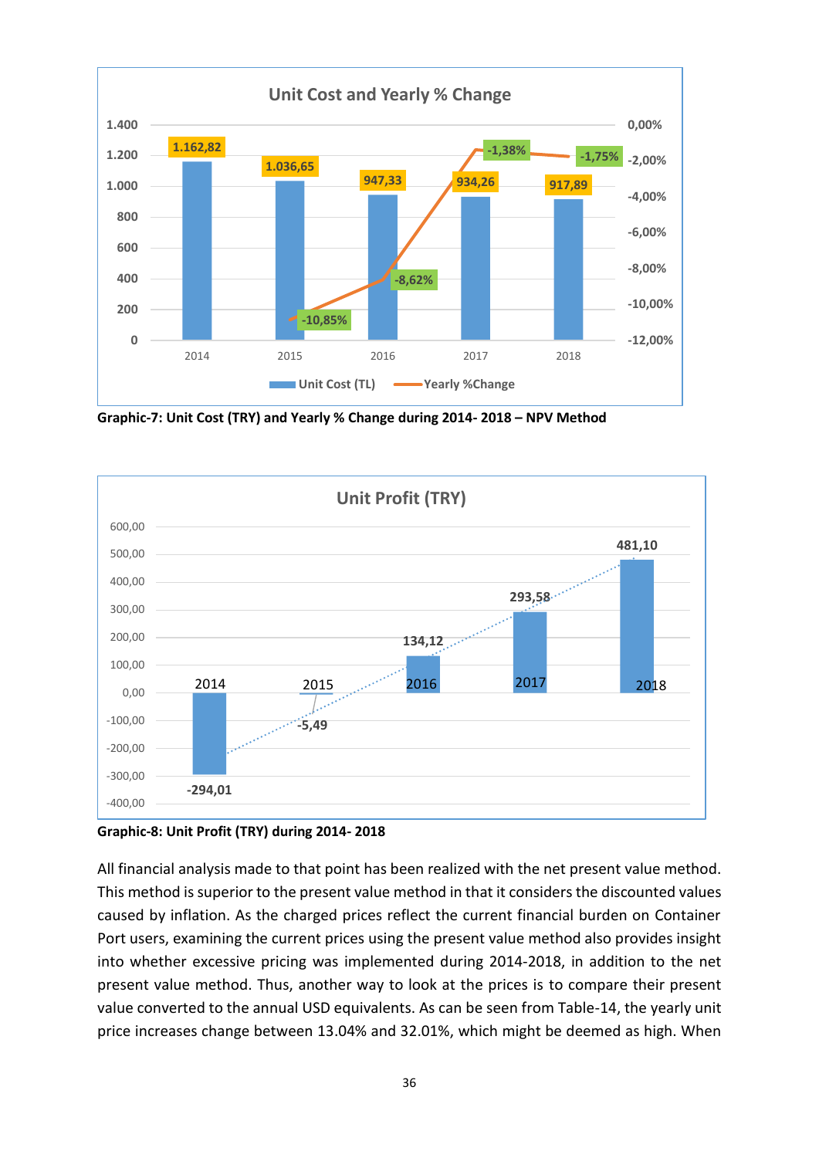

**Graphic-7: Unit Cost (TRY) and Yearly % Change during 2014- 2018 – NPV Method**





All financial analysis made to that point has been realized with the net present value method. This method is superior to the present value method in that it considers the discounted values caused by inflation. As the charged prices reflect the current financial burden on Container Port users, examining the current prices using the present value method also provides insight into whether excessive pricing was implemented during 2014-2018, in addition to the net present value method. Thus, another way to look at the prices is to compare their present value converted to the annual USD equivalents. As can be seen from Table-14, the yearly unit price increases change between 13.04% and 32.01%, which might be deemed as high. When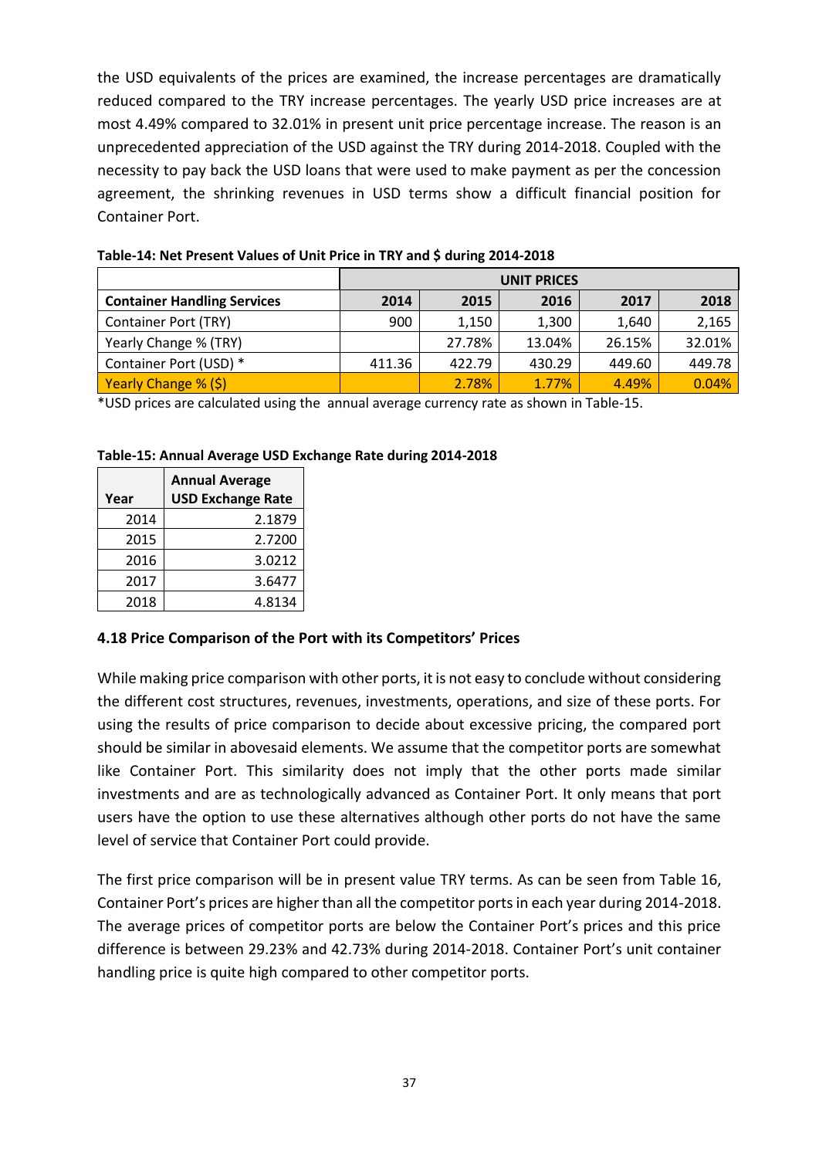the USD equivalents of the prices are examined, the increase percentages are dramatically reduced compared to the TRY increase percentages. The yearly USD price increases are at most 4.49% compared to 32.01% in present unit price percentage increase. The reason is an unprecedented appreciation of the USD against the TRY during 2014-2018. Coupled with the necessity to pay back the USD loans that were used to make payment as per the concession agreement, the shrinking revenues in USD terms show a difficult financial position for Container Port.

|                                    | UNIT PRICES |        |          |        |        |  |
|------------------------------------|-------------|--------|----------|--------|--------|--|
| <b>Container Handling Services</b> | 2014        | 2015   | 2016     | 2017   | 2018   |  |
| <b>Container Port (TRY)</b>        | 900         | 1,150  | 1.300    | 1.640  | 2,165  |  |
| Yearly Change % (TRY)              |             | 27.78% | 13.04%   | 26.15% | 32.01% |  |
| Container Port (USD) *             | 411.36      | 422.79 | 430.29   | 449.60 | 449.78 |  |
| Yearly Change % (\$)               |             | 2.78%  | $1.77\%$ | 4.49%  | 0.04%  |  |

**Table-14: Net Present Values of Unit Price in TRY and \$ during 2014-2018**

\*USD prices are calculated using the annual average currency rate as shown in Table-15.

#### **Table-15: Annual Average USD Exchange Rate during 2014-2018**

| Year | <b>Annual Average</b><br><b>USD Exchange Rate</b> |
|------|---------------------------------------------------|
|      |                                                   |
| 2014 | 2.1879                                            |
| 2015 | 2.7200                                            |
| 2016 | 3.0212                                            |
| 2017 | 3.6477                                            |
| 2018 | 4.8134                                            |

#### <span id="page-36-0"></span>**4.18 Price Comparison of the Port with its Competitors' Prices**

While making price comparison with other ports, it is not easy to conclude without considering the different cost structures, revenues, investments, operations, and size of these ports. For using the results of price comparison to decide about excessive pricing, the compared port should be similar in abovesaid elements. We assume that the competitor ports are somewhat like Container Port. This similarity does not imply that the other ports made similar investments and are as technologically advanced as Container Port. It only means that port users have the option to use these alternatives although other ports do not have the same level of service that Container Port could provide.

The first price comparison will be in present value TRY terms. As can be seen from Table 16, Container Port's prices are higher than all the competitor ports in each year during 2014-2018. The average prices of competitor ports are below the Container Port's prices and this price difference is between 29.23% and 42.73% during 2014-2018. Container Port's unit container handling price is quite high compared to other competitor ports.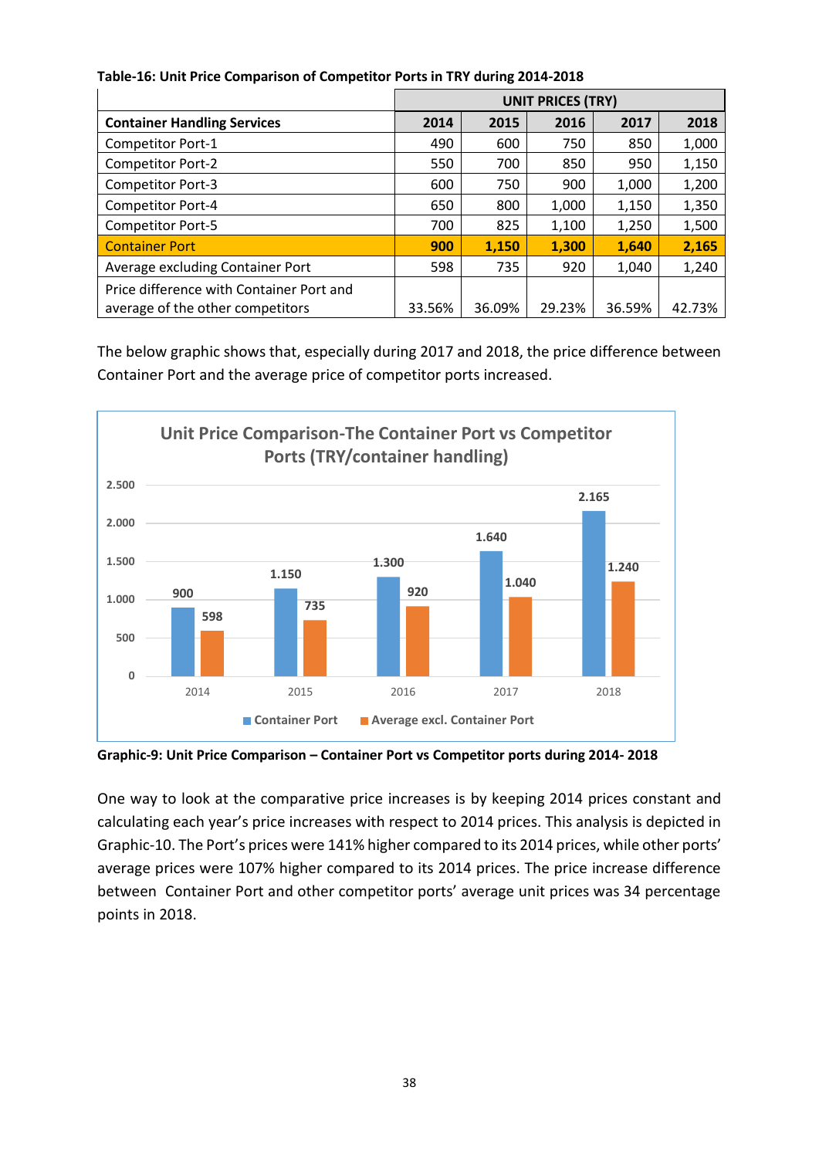|                                                                              | <b>UNIT PRICES (TRY)</b> |        |        |        |        |  |  |
|------------------------------------------------------------------------------|--------------------------|--------|--------|--------|--------|--|--|
| <b>Container Handling Services</b>                                           | 2014                     | 2015   | 2016   | 2017   | 2018   |  |  |
| Competitor Port-1                                                            | 490                      | 600    | 750    | 850    | 1,000  |  |  |
| <b>Competitor Port-2</b>                                                     | 550                      | 700    | 850    | 950    | 1,150  |  |  |
| <b>Competitor Port-3</b>                                                     | 600                      | 750    | 900    | 1,000  | 1,200  |  |  |
| <b>Competitor Port-4</b>                                                     | 650                      | 800    | 1,000  | 1,150  | 1,350  |  |  |
| <b>Competitor Port-5</b>                                                     | 700                      | 825    | 1,100  | 1,250  | 1,500  |  |  |
| <b>Container Port</b>                                                        | 900                      | 1,150  | 1,300  | 1,640  | 2,165  |  |  |
| Average excluding Container Port                                             | 598                      | 735    | 920    | 1,040  | 1,240  |  |  |
| Price difference with Container Port and<br>average of the other competitors | 33.56%                   | 36.09% | 29.23% | 36.59% | 42.73% |  |  |

#### **Table-16: Unit Price Comparison of Competitor Ports in TRY during 2014-2018**

The below graphic shows that, especially during 2017 and 2018, the price difference between Container Port and the average price of competitor ports increased.



**Graphic-9: Unit Price Comparison – Container Port vs Competitor ports during 2014- 2018**

One way to look at the comparative price increases is by keeping 2014 prices constant and calculating each year's price increases with respect to 2014 prices. This analysis is depicted in Graphic-10. The Port's prices were 141% higher compared to its 2014 prices, while other ports' average prices were 107% higher compared to its 2014 prices. The price increase difference between Container Port and other competitor ports' average unit prices was 34 percentage points in 2018.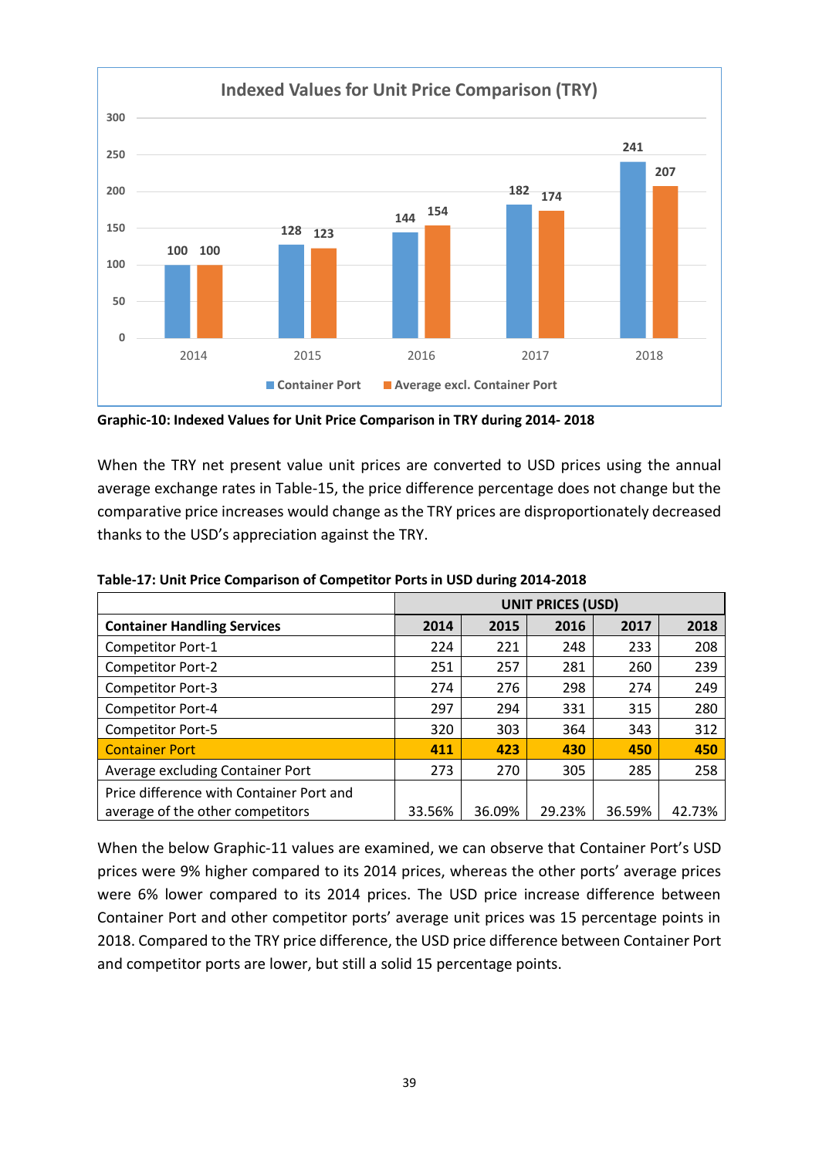

**Graphic-10: Indexed Values for Unit Price Comparison in TRY during 2014- 2018**

When the TRY net present value unit prices are converted to USD prices using the annual average exchange rates in Table-15, the price difference percentage does not change but the comparative price increases would change as the TRY prices are disproportionately decreased thanks to the USD's appreciation against the TRY.

|                                                                              | <b>UNIT PRICES (USD)</b> |        |        |        |        |  |
|------------------------------------------------------------------------------|--------------------------|--------|--------|--------|--------|--|
| <b>Container Handling Services</b>                                           | 2014                     | 2015   | 2016   | 2017   | 2018   |  |
| <b>Competitor Port-1</b>                                                     | 224                      | 221    | 248    | 233    | 208    |  |
| <b>Competitor Port-2</b>                                                     | 251                      | 257    | 281    | 260    | 239    |  |
| <b>Competitor Port-3</b>                                                     | 274                      | 276    | 298    | 274    | 249    |  |
| <b>Competitor Port-4</b>                                                     | 297                      | 294    | 331    | 315    | 280    |  |
| <b>Competitor Port-5</b>                                                     | 320                      | 303    | 364    | 343    | 312    |  |
| <b>Container Port</b>                                                        | 411                      | 423    | 430    | 450    | 450    |  |
| Average excluding Container Port                                             | 273                      | 270    | 305    | 285    | 258    |  |
| Price difference with Container Port and<br>average of the other competitors | 33.56%                   | 36.09% | 29.23% | 36.59% | 42.73% |  |

**Table-17: Unit Price Comparison of Competitor Ports in USD during 2014-2018**

When the below Graphic-11 values are examined, we can observe that Container Port's USD prices were 9% higher compared to its 2014 prices, whereas the other ports' average prices were 6% lower compared to its 2014 prices. The USD price increase difference between Container Port and other competitor ports' average unit prices was 15 percentage points in 2018. Compared to the TRY price difference, the USD price difference between Container Port and competitor ports are lower, but still a solid 15 percentage points.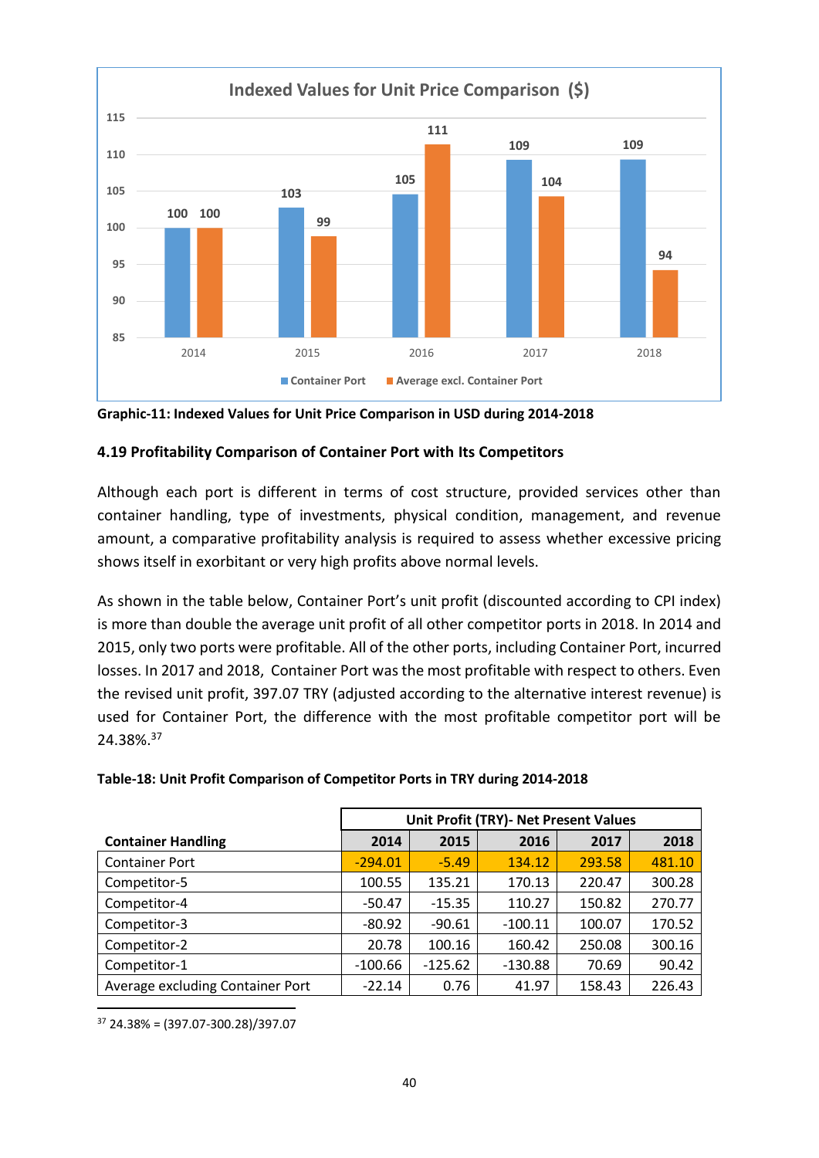

**Graphic-11: Indexed Values for Unit Price Comparison in USD during 2014-2018**

### <span id="page-39-0"></span>**4.19 Profitability Comparison of Container Port with Its Competitors**

Although each port is different in terms of cost structure, provided services other than container handling, type of investments, physical condition, management, and revenue amount, a comparative profitability analysis is required to assess whether excessive pricing shows itself in exorbitant or very high profits above normal levels.

As shown in the table below, Container Port's unit profit (discounted according to CPI index) is more than double the average unit profit of all other competitor ports in 2018. In 2014 and 2015, only two ports were profitable. All of the other ports, including Container Port, incurred losses. In 2017 and 2018, Container Port was the most profitable with respect to others. Even the revised unit profit, 397.07 TRY (adjusted according to the alternative interest revenue) is used for Container Port, the difference with the most profitable competitor port will be 24.38%. 37

#### **Table-18: Unit Profit Comparison of Competitor Ports in TRY during 2014-2018**

|                                  | Unit Profit (TRY)- Net Present Values |           |           |        |        |  |
|----------------------------------|---------------------------------------|-----------|-----------|--------|--------|--|
| <b>Container Handling</b>        | 2014                                  | 2015      | 2016      | 2017   | 2018   |  |
| <b>Container Port</b>            | $-294.01$                             | $-5.49$   | 134.12    | 293.58 | 481.10 |  |
| Competitor-5                     | 100.55                                | 135.21    | 170.13    | 220.47 | 300.28 |  |
| Competitor-4                     | $-50.47$                              | $-15.35$  | 110.27    | 150.82 | 270.77 |  |
| Competitor-3                     | $-80.92$                              | $-90.61$  | $-100.11$ | 100.07 | 170.52 |  |
| Competitor-2                     | 20.78                                 | 100.16    | 160.42    | 250.08 | 300.16 |  |
| Competitor-1                     | $-100.66$                             | $-125.62$ | $-130.88$ | 70.69  | 90.42  |  |
| Average excluding Container Port | $-22.14$                              | 0.76      | 41.97     | 158.43 | 226.43 |  |

 $37$  24.38% = (397.07-300.28)/397.07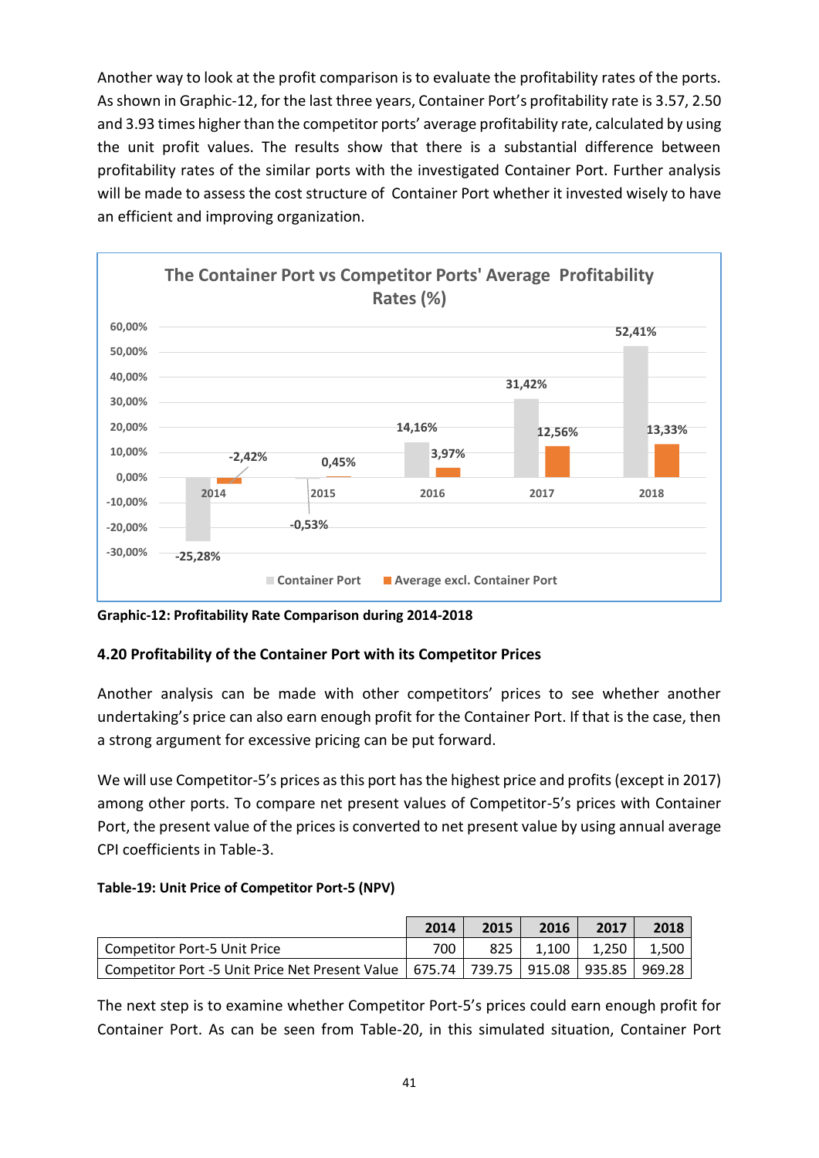Another way to look at the profit comparison is to evaluate the profitability rates of the ports. As shown in Graphic-12, for the last three years, Container Port's profitability rate is 3.57, 2.50 and 3.93 times higher than the competitor ports' average profitability rate, calculated by using the unit profit values. The results show that there is a substantial difference between profitability rates of the similar ports with the investigated Container Port. Further analysis will be made to assess the cost structure of Container Port whether it invested wisely to have an efficient and improving organization.



**Graphic-12: Profitability Rate Comparison during 2014-2018**

### <span id="page-40-0"></span>**4.20 Profitability of the Container Port with its Competitor Prices**

Another analysis can be made with other competitors' prices to see whether another undertaking's price can also earn enough profit for the Container Port. If that is the case, then a strong argument for excessive pricing can be put forward.

We will use Competitor-5's prices as this port has the highest price and profits (except in 2017) among other ports. To compare net present values of Competitor-5's prices with Container Port, the present value of the prices is converted to net present value by using annual average CPI coefficients in Table-3.

### **Table-19: Unit Price of Competitor Port-5 (NPV)**

|                                                                                              | 2014 | 2015 | 2016    | 2017    | 2018  |
|----------------------------------------------------------------------------------------------|------|------|---------|---------|-------|
| Competitor Port-5 Unit Price                                                                 | 700  | 825  | 1.100 l | 1.250 l | 1.500 |
| Competitor Port -5 Unit Price Net Present Value   675.74   739.75   915.08   935.85   969.28 |      |      |         |         |       |

The next step is to examine whether Competitor Port-5's prices could earn enough profit for Container Port. As can be seen from Table-20, in this simulated situation, Container Port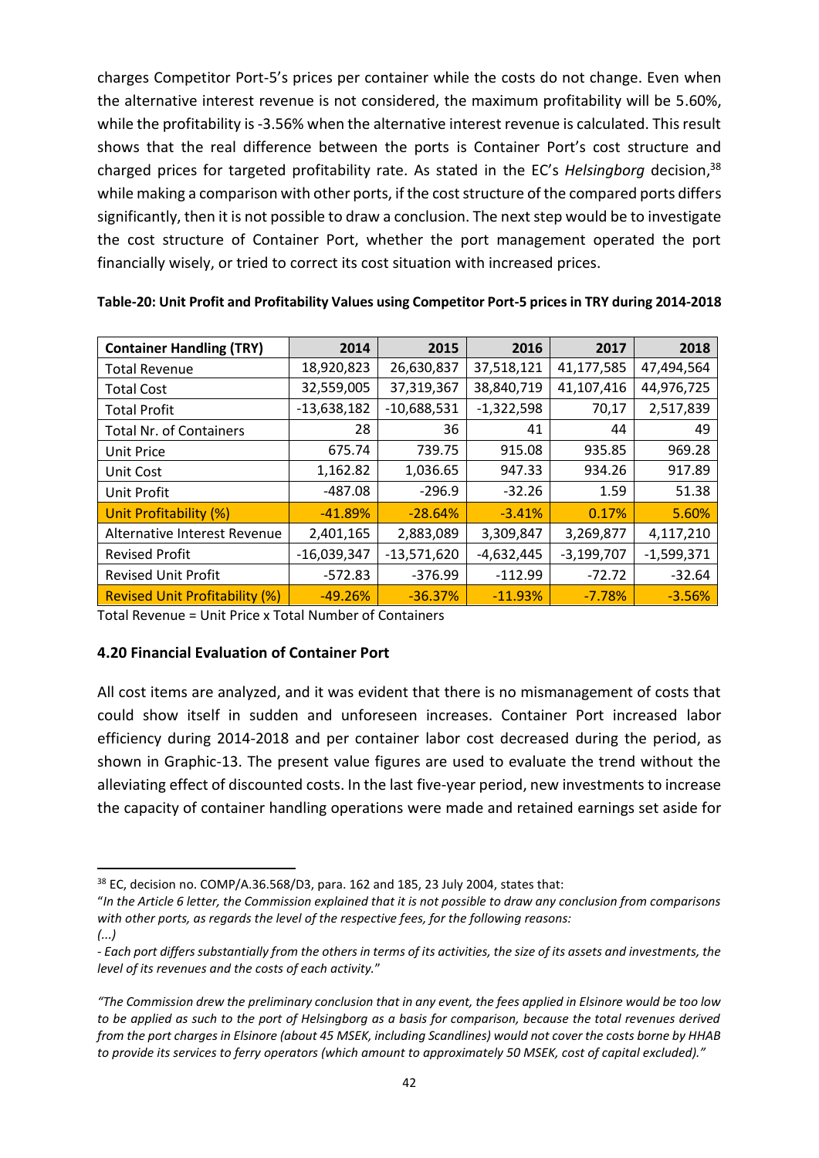charges Competitor Port-5's prices per container while the costs do not change. Even when the alternative interest revenue is not considered, the maximum profitability will be 5.60%, while the profitability is -3.56% when the alternative interest revenue is calculated. This result shows that the real difference between the ports is Container Port's cost structure and charged prices for targeted profitability rate. As stated in the EC's *Helsingborg* decision, 38 while making a comparison with other ports, if the cost structure of the compared ports differs significantly, then it is not possible to draw a conclusion. The next step would be to investigate the cost structure of Container Port, whether the port management operated the port financially wisely, or tried to correct its cost situation with increased prices.

| <b>Container Handling (TRY)</b>       | 2014          | 2015          | 2016         | 2017         | 2018         |
|---------------------------------------|---------------|---------------|--------------|--------------|--------------|
| <b>Total Revenue</b>                  | 18,920,823    | 26,630,837    | 37,518,121   | 41,177,585   | 47,494,564   |
| <b>Total Cost</b>                     | 32,559,005    | 37,319,367    | 38,840,719   | 41,107,416   | 44,976,725   |
| <b>Total Profit</b>                   | $-13,638,182$ | $-10,688,531$ | $-1,322,598$ | 70,17        | 2,517,839    |
| <b>Total Nr. of Containers</b>        | 28            | 36            | 41           | 44           | 49           |
| <b>Unit Price</b>                     | 675.74        | 739.75        | 915.08       | 935.85       | 969.28       |
| Unit Cost                             | 1,162.82      | 1,036.65      | 947.33       | 934.26       | 917.89       |
| Unit Profit                           | $-487.08$     | $-296.9$      | $-32.26$     | 1.59         | 51.38        |
| Unit Profitability (%)                | $-41.89%$     | $-28.64%$     | $-3.41%$     | 0.17%        | 5.60%        |
| Alternative Interest Revenue          | 2,401,165     | 2,883,089     | 3,309,847    | 3,269,877    | 4,117,210    |
| <b>Revised Profit</b>                 | $-16,039,347$ | $-13,571,620$ | $-4,632,445$ | $-3,199,707$ | $-1,599,371$ |
| <b>Revised Unit Profit</b>            | $-572.83$     | $-376.99$     | $-112.99$    | $-72.72$     | $-32.64$     |
| <b>Revised Unit Profitability (%)</b> | $-49.26%$     | $-36.37%$     | $-11.93%$    | $-7.78%$     | $-3.56%$     |

**Table-20: Unit Profit and Profitability Values using Competitor Port-5 prices in TRY during 2014-2018**

Total Revenue = Unit Price x Total Number of Containers

#### <span id="page-41-0"></span>**4.20 Financial Evaluation of Container Port**

All cost items are analyzed, and it was evident that there is no mismanagement of costs that could show itself in sudden and unforeseen increases. Container Port increased labor efficiency during 2014-2018 and per container labor cost decreased during the period, as shown in Graphic-13. The present value figures are used to evaluate the trend without the alleviating effect of discounted costs. In the last five-year period, new investments to increase the capacity of container handling operations were made and retained earnings set aside for

*(...)* 

<sup>&</sup>lt;sup>38</sup> EC, decision no. COMP/A.36.568/D3, para. 162 and 185, 23 July 2004, states that:

<sup>&</sup>quot;*In the Article 6 letter, the Commission explained that it is not possible to draw any conclusion from comparisons with other ports, as regards the level of the respective fees, for the following reasons:* 

<sup>-</sup> *Each port differs substantially from the others in terms of its activities, the size of its assets and investments, the level of its revenues and the costs of each activity.*"

*<sup>&</sup>quot;The Commission drew the preliminary conclusion that in any event, the fees applied in Elsinore would be too low*  to be applied as such to the port of Helsingborg as a basis for comparison, because the total revenues derived *from the port charges in Elsinore (about 45 MSEK, including Scandlines) would not cover the costs borne by HHAB to provide its services to ferry operators (which amount to approximately 50 MSEK, cost of capital excluded)."*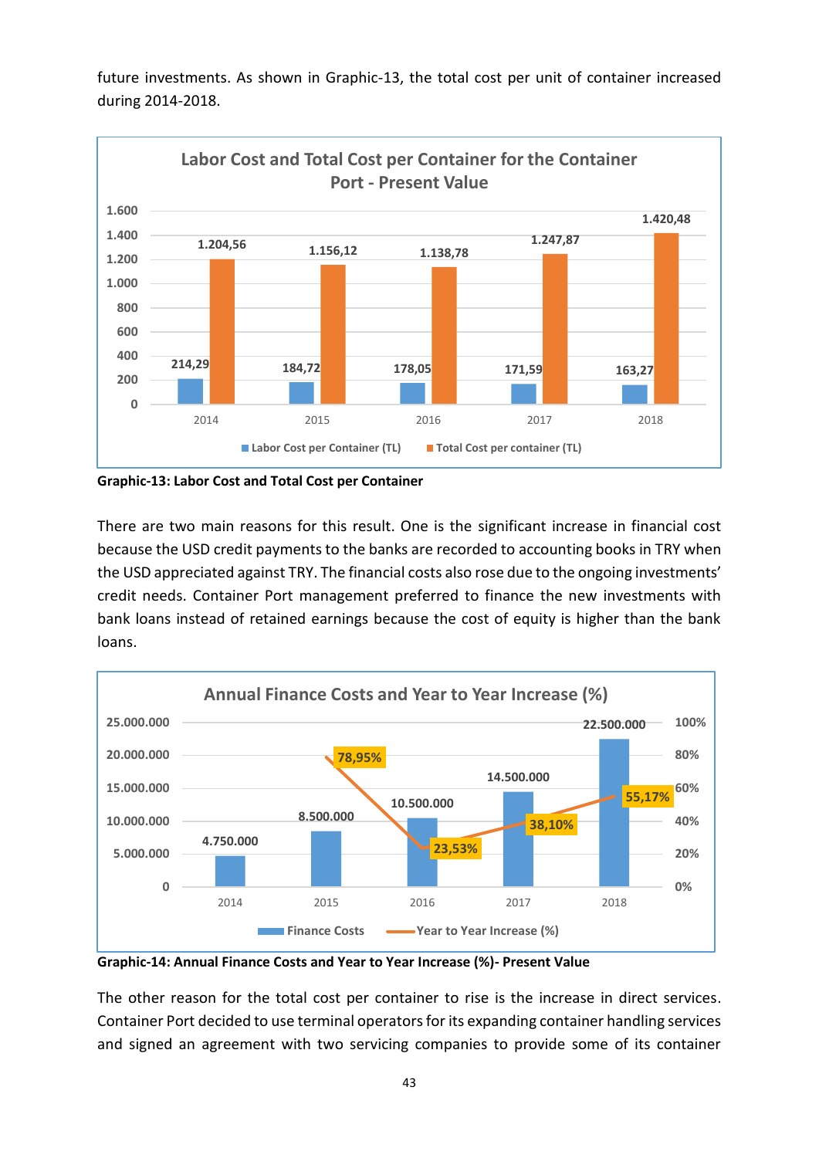

future investments. As shown in Graphic-13, the total cost per unit of container increased during 2014-2018.

**Graphic-13: Labor Cost and Total Cost per Container**

There are two main reasons for this result. One is the significant increase in financial cost because the USD credit payments to the banks are recorded to accounting books in TRY when the USD appreciated against TRY. The financial costs also rose due to the ongoing investments' credit needs. Container Port management preferred to finance the new investments with bank loans instead of retained earnings because the cost of equity is higher than the bank loans.



**Graphic-14: Annual Finance Costs and Year to Year Increase (%)- Present Value**

The other reason for the total cost per container to rise is the increase in direct services. Container Port decided to use terminal operators for its expanding container handling services and signed an agreement with two servicing companies to provide some of its container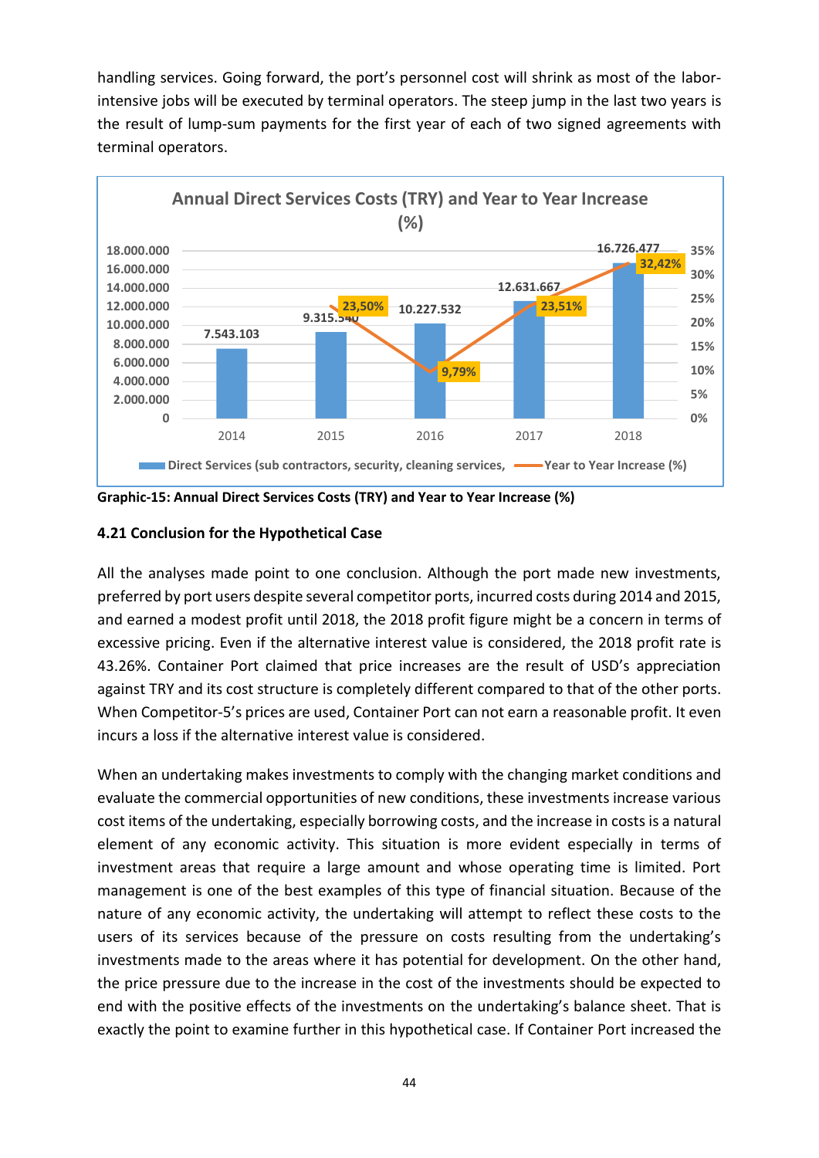handling services. Going forward, the port's personnel cost will shrink as most of the laborintensive jobs will be executed by terminal operators. The steep jump in the last two years is the result of lump-sum payments for the first year of each of two signed agreements with terminal operators.



**Graphic-15: Annual Direct Services Costs (TRY) and Year to Year Increase (%)**

### <span id="page-43-0"></span>**4.21 Conclusion for the Hypothetical Case**

All the analyses made point to one conclusion. Although the port made new investments, preferred by port users despite several competitor ports, incurred costs during 2014 and 2015, and earned a modest profit until 2018, the 2018 profit figure might be a concern in terms of excessive pricing. Even if the alternative interest value is considered, the 2018 profit rate is 43.26%. Container Port claimed that price increases are the result of USD's appreciation against TRY and its cost structure is completely different compared to that of the other ports. When Competitor-5's prices are used, Container Port can not earn a reasonable profit. It even incurs a loss if the alternative interest value is considered.

When an undertaking makes investments to comply with the changing market conditions and evaluate the commercial opportunities of new conditions, these investments increase various cost items of the undertaking, especially borrowing costs, and the increase in costs is a natural element of any economic activity. This situation is more evident especially in terms of investment areas that require a large amount and whose operating time is limited. Port management is one of the best examples of this type of financial situation. Because of the nature of any economic activity, the undertaking will attempt to reflect these costs to the users of its services because of the pressure on costs resulting from the undertaking's investments made to the areas where it has potential for development. On the other hand, the price pressure due to the increase in the cost of the investments should be expected to end with the positive effects of the investments on the undertaking's balance sheet. That is exactly the point to examine further in this hypothetical case. If Container Port increased the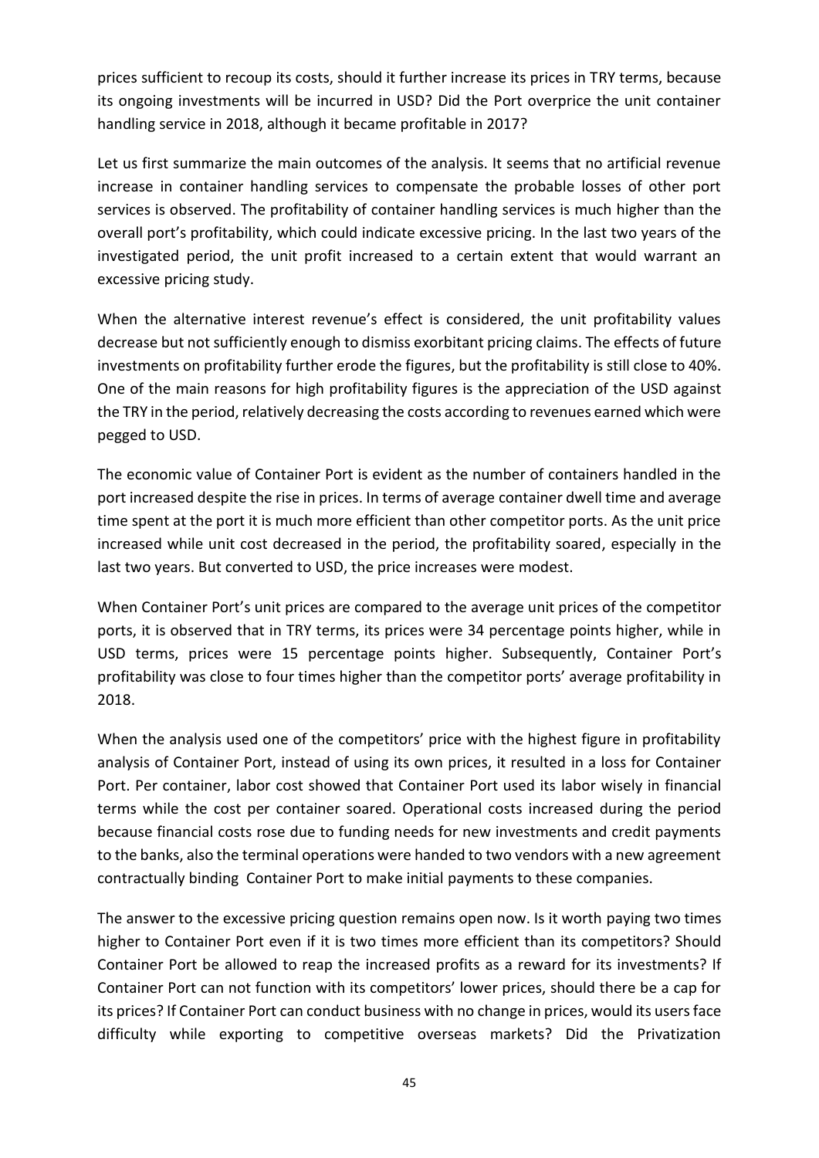prices sufficient to recoup its costs, should it further increase its prices in TRY terms, because its ongoing investments will be incurred in USD? Did the Port overprice the unit container handling service in 2018, although it became profitable in 2017?

Let us first summarize the main outcomes of the analysis. It seems that no artificial revenue increase in container handling services to compensate the probable losses of other port services is observed. The profitability of container handling services is much higher than the overall port's profitability, which could indicate excessive pricing. In the last two years of the investigated period, the unit profit increased to a certain extent that would warrant an excessive pricing study.

When the alternative interest revenue's effect is considered, the unit profitability values decrease but not sufficiently enough to dismiss exorbitant pricing claims. The effects of future investments on profitability further erode the figures, but the profitability is still close to 40%. One of the main reasons for high profitability figures is the appreciation of the USD against the TRY in the period, relatively decreasing the costs according to revenues earned which were pegged to USD.

The economic value of Container Port is evident as the number of containers handled in the port increased despite the rise in prices. In terms of average container dwell time and average time spent at the port it is much more efficient than other competitor ports. As the unit price increased while unit cost decreased in the period, the profitability soared, especially in the last two years. But converted to USD, the price increases were modest.

When Container Port's unit prices are compared to the average unit prices of the competitor ports, it is observed that in TRY terms, its prices were 34 percentage points higher, while in USD terms, prices were 15 percentage points higher. Subsequently, Container Port's profitability was close to four times higher than the competitor ports' average profitability in 2018.

When the analysis used one of the competitors' price with the highest figure in profitability analysis of Container Port, instead of using its own prices, it resulted in a loss for Container Port. Per container, labor cost showed that Container Port used its labor wisely in financial terms while the cost per container soared. Operational costs increased during the period because financial costs rose due to funding needs for new investments and credit payments to the banks, also the terminal operations were handed to two vendors with a new agreement contractually binding Container Port to make initial payments to these companies.

The answer to the excessive pricing question remains open now. Is it worth paying two times higher to Container Port even if it is two times more efficient than its competitors? Should Container Port be allowed to reap the increased profits as a reward for its investments? If Container Port can not function with its competitors' lower prices, should there be a cap for its prices? If Container Port can conduct business with no change in prices, would its users face difficulty while exporting to competitive overseas markets? Did the Privatization